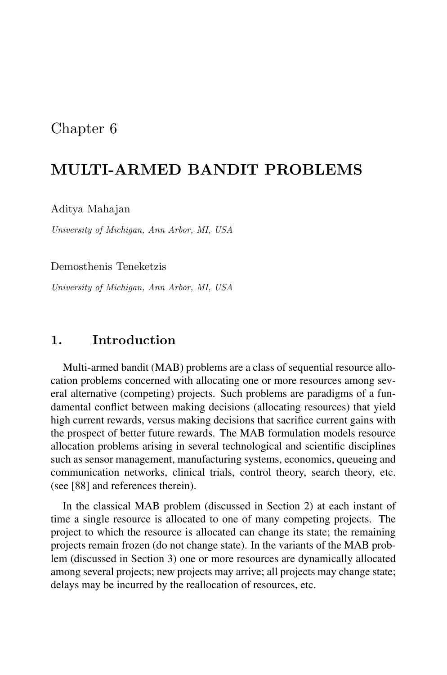## Chapter 6

# MULTI-ARMED BANDIT PROBLEMS

Aditya Mahajan

University of Michigan, Ann Arbor, MI, USA

Demosthenis Teneketzis

University of Michigan, Ann Arbor, MI, USA

#### 1. Introduction

Multi-armed bandit (MAB) problems are a class of sequential resource allocation problems concerned with allocating one or more resources among several alternative (competing) projects. Such problems are paradigms of a fundamental conflict between making decisions (allocating resources) that yield high current rewards, versus making decisions that sacrifice current gains with the prospect of better future rewards. The MAB formulation models resource allocation problems arising in several technological and scientific disciplines such as sensor management, manufacturing systems, economics, queueing and communication networks, clinical trials, control theory, search theory, etc. (see [88] and references therein).

In the classical MAB problem (discussed in Section 2) at each instant of time a single resource is allocated to one of many competing projects. The project to which the resource is allocated can change its state; the remaining projects remain frozen (do not change state). In the variants of the MAB problem (discussed in Section 3) one or more resources are dynamically allocated among several projects; new projects may arrive; all projects may change state; delays may be incurred by the reallocation of resources, etc.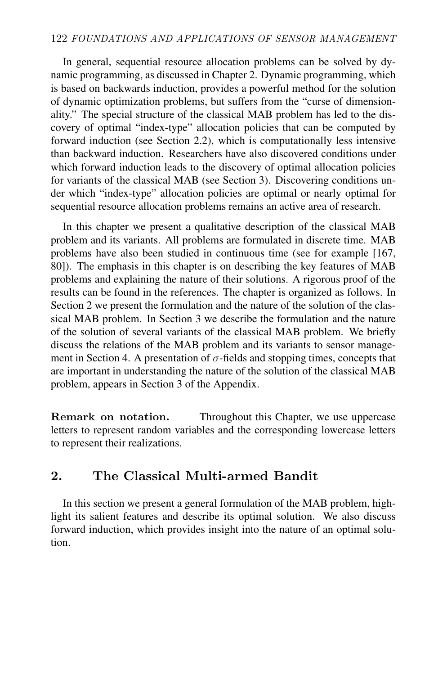#### 122 FOUNDATIONS AND APPLICATIONS OF SENSOR MANAGEMENT

In general, sequential resource allocation problems can be solved by dynamic programming, as discussed in Chapter 2. Dynamic programming, which is based on backwards induction, provides a powerful method for the solution of dynamic optimization problems, but suffers from the "curse of dimensionality." The special structure of the classical MAB problem has led to the discovery of optimal "index-type" allocation policies that can be computed by forward induction (see Section 2.2), which is computationally less intensive than backward induction. Researchers have also discovered conditions under which forward induction leads to the discovery of optimal allocation policies for variants of the classical MAB (see Section 3). Discovering conditions under which "index-type" allocation policies are optimal or nearly optimal for sequential resource allocation problems remains an active area of research.

In this chapter we present a qualitative description of the classical MAB problem and its variants. All problems are formulated in discrete time. MAB problems have also been studied in continuous time (see for example [167, 80]). The emphasis in this chapter is on describing the key features of MAB problems and explaining the nature of their solutions. A rigorous proof of the results can be found in the references. The chapter is organized as follows. In Section 2 we present the formulation and the nature of the solution of the classical MAB problem. In Section 3 we describe the formulation and the nature of the solution of several variants of the classical MAB problem. We briefly discuss the relations of the MAB problem and its variants to sensor management in Section 4. A presentation of  $\sigma$ -fields and stopping times, concepts that are important in understanding the nature of the solution of the classical MAB problem, appears in Section 3 of the Appendix.

Remark on notation. Throughout this Chapter, we use uppercase letters to represent random variables and the corresponding lowercase letters to represent their realizations.

## 2. The Classical Multi-armed Bandit

In this section we present a general formulation of the MAB problem, highlight its salient features and describe its optimal solution. We also discuss forward induction, which provides insight into the nature of an optimal solution.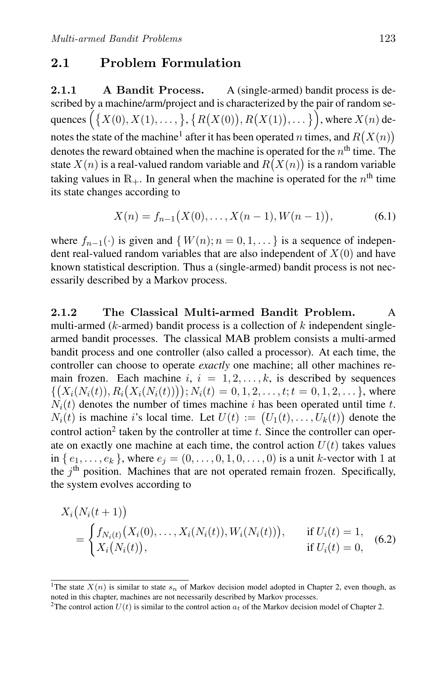#### 2.1 Problem Formulation

2.1.1 A Bandit Process. A (single-armed) bandit process is described by a machine/arm/project and is characterized by the pair of random sequences  $(X(0), X(1), \ldots, \}, \{R(X(0)), R(X(1)), \ldots\})$ , where  $X(n)$  denotes the state of the machine<sup>1</sup> after it has been operated n times, and  $R(X(n))$ denotes the reward obtained when the machine is operated for the  $n<sup>th</sup>$  time. The state  $X(n)$  is a real-valued random variable and  $R(X(n))$  is a random variable taking values in  $\mathbb{R}_+$ . In general when the machine is operated for the  $n^{\text{th}}$  time its state changes according to

$$
X(n) = f_{n-1}(X(0), \dots, X(n-1), W(n-1)),
$$
\n(6.1)

where  $f_{n-1}(\cdot)$  is given and  $\{W(n); n = 0, 1, \dots\}$  is a sequence of independent real-valued random variables that are also independent of  $X(0)$  and have known statistical description. Thus a (single-armed) bandit process is not necessarily described by a Markov process.

2.1.2 The Classical Multi-armed Bandit Problem. A multi-armed ( $k$ -armed) bandit process is a collection of  $k$  independent singlearmed bandit processes. The classical MAB problem consists a multi-armed bandit process and one controller (also called a processor). At each time, the controller can choose to operate *exactly* one machine; all other machines remain frozen. Each machine  $i, i = 1, 2, \ldots, k$ , is described by sequences  $\{ (X_i(N_i(t)), R_i(X_i(N_i(t)))); N_i(t) = 0, 1, 2, \ldots, t; t = 0, 1, 2, \ldots \},$  where  $N_i(t)$  denotes the number of times machine i has been operated until time t.  $N_i(t)$  is machine i's local time. Let  $U(t) := (U_1(t), \ldots, U_k(t))$  denote the control action<sup>2</sup> taken by the controller at time  $t$ . Since the controller can operate on exactly one machine at each time, the control action  $U(t)$  takes values in {  $e_1, ..., e_k$  }, where  $e_j = (0, ..., 0, 1, 0, ..., 0)$  is a unit k-vector with 1 at the  $j<sup>th</sup>$  position. Machines that are not operated remain frozen. Specifically, the system evolves according to

$$
X_i(N_i(t+1))
$$
  
= 
$$
\begin{cases} f_{N_i(t)}(X_i(0),...,X_i(N_i(t)),W_i(N_i(t))), & \text{if } U_i(t) = 1, \\ X_i(N_i(t)), & \text{if } U_i(t) = 0, \end{cases}
$$
(6.2)

<sup>&</sup>lt;sup>1</sup>The state  $X(n)$  is similar to state  $s_n$  of Markov decision model adopted in Chapter 2, even though, as noted in this chapter, machines are not necessarily described by Markov processes.

<sup>&</sup>lt;sup>2</sup>The control action  $U(t)$  is similar to the control action  $a_t$  of the Markov decision model of Chapter 2.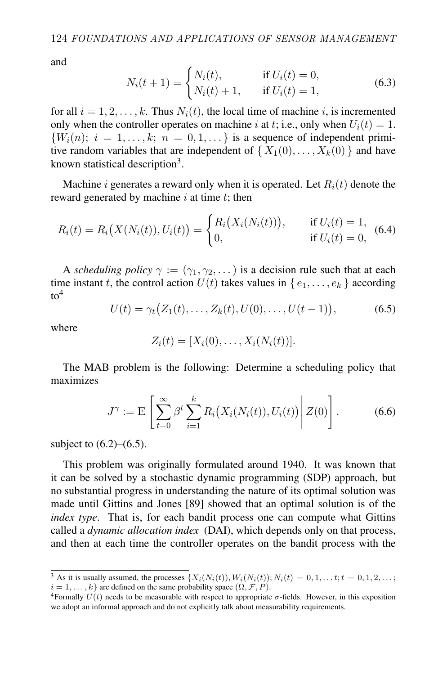and

$$
N_i(t+1) = \begin{cases} N_i(t), & \text{if } U_i(t) = 0, \\ N_i(t) + 1, & \text{if } U_i(t) = 1, \end{cases}
$$
 (6.3)

for all  $i = 1, 2, \ldots, k$ . Thus  $N_i(t)$ , the local time of machine i, is incremented only when the controller operates on machine i at t; i.e., only when  $U_i(t)=1$ .  ${W_i(n); i = 1, \ldots, k; n = 0, 1, \ldots}$  is a sequence of independent primitive random variables that are independent of  $\{X_1(0),...,X_k(0)\}\)$  and have known statistical description<sup>3</sup>.

Machine *i* generates a reward only when it is operated. Let  $R_i(t)$  denote the reward generated by machine  $i$  at time  $t$ ; then

$$
R_i(t) = R_i(X(N_i(t)), U_i(t)) = \begin{cases} R_i(X_i(N_i(t))), & \text{if } U_i(t) = 1, \\ 0, & \text{if } U_i(t) = 0, \end{cases}
$$
 (6.4)

A *scheduling policy*  $\gamma := (\gamma_1, \gamma_2, \dots)$  is a decision rule such that at each time instant t, the control action  $U(t)$  takes values in  $\{e_1, \ldots, e_k\}$  according to $4$ 

$$
U(t) = \gamma_t (Z_1(t), \dots, Z_k(t), U(0), \dots, U(t-1)), \tag{6.5}
$$

where

$$
Z_i(t)=[X_i(0),\ldots,X_i(N_i(t))].
$$

The MAB problem is the following: Determine a scheduling policy that maximizes

$$
J^{\gamma} := \mathbb{E}\left[\sum_{t=0}^{\infty} \beta^t \sum_{i=1}^k R_i\big(X_i(N_i(t)), U_i(t)\big)\middle| Z(0)\right].
$$
 (6.6)

subject to  $(6.2)$ – $(6.5)$ .

This problem was originally formulated around 1940. It was known that it can be solved by a stochastic dynamic programming (SDP) approach, but no substantial progress in understanding the nature of its optimal solution was made until Gittins and Jones [89] showed that an optimal solution is of the *index type*. That is, for each bandit process one can compute what Gittins called a *dynamic allocation index* (DAI), which depends only on that process, and then at each time the controller operates on the bandit process with the

<sup>&</sup>lt;sup>3</sup> As it is usually assumed, the processes  $\{X_i(N_i(t)), W_i(N_i(t)); N_i(t) = 0, 1, \ldots, t; t = 0, 1, 2, \ldots, t\}$  $i = 1, \ldots, k$  are defined on the same probability space  $(\Omega, \mathcal{F}, P)$ .

<sup>&</sup>lt;sup>4</sup>Formally  $U(t)$  needs to be measurable with respect to appropriate  $\sigma$ -fields. However, in this exposition we adopt an informal approach and do not explicitly talk about measurability requirements.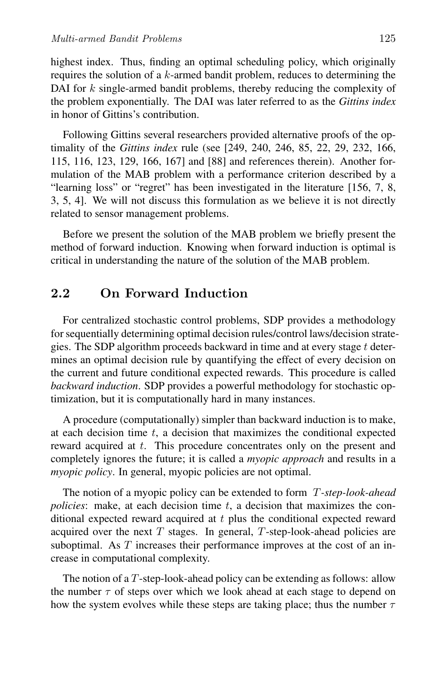highest index. Thus, finding an optimal scheduling policy, which originally requires the solution of a k-armed bandit problem, reduces to determining the DAI for k single-armed bandit problems, thereby reducing the complexity of the problem exponentially. The DAI was later referred to as the *Gittins index* in honor of Gittins's contribution.

Following Gittins several researchers provided alternative proofs of the optimality of the *Gittins index* rule (see [249, 240, 246, 85, 22, 29, 232, 166, 115, 116, 123, 129, 166, 167] and [88] and references therein). Another formulation of the MAB problem with a performance criterion described by a "learning loss" or "regret" has been investigated in the literature [156, 7, 8, 3, 5, 4]. We will not discuss this formulation as we believe it is not directly related to sensor management problems.

Before we present the solution of the MAB problem we briefly present the method of forward induction. Knowing when forward induction is optimal is critical in understanding the nature of the solution of the MAB problem.

#### 2.2 On Forward Induction

For centralized stochastic control problems, SDP provides a methodology for sequentially determining optimal decision rules/control laws/decision strategies. The SDP algorithm proceeds backward in time and at every stage  $t$  determines an optimal decision rule by quantifying the effect of every decision on the current and future conditional expected rewards. This procedure is called *backward induction*. SDP provides a powerful methodology for stochastic optimization, but it is computationally hard in many instances.

A procedure (computationally) simpler than backward induction is to make, at each decision time  $t$ , a decision that maximizes the conditional expected reward acquired at t. This procedure concentrates only on the present and completely ignores the future; it is called a *myopic approach* and results in a *myopic policy*. In general, myopic policies are not optimal.

The notion of a myopic policy can be extended to form T*-step-look-ahead policies*: make, at each decision time t, a decision that maximizes the conditional expected reward acquired at  $t$  plus the conditional expected reward acquired over the next  $T$  stages. In general,  $T$ -step-look-ahead policies are suboptimal. As  $T$  increases their performance improves at the cost of an increase in computational complexity.

The notion of a T-step-look-ahead policy can be extending as follows: allow the number  $\tau$  of steps over which we look ahead at each stage to depend on how the system evolves while these steps are taking place; thus the number  $\tau$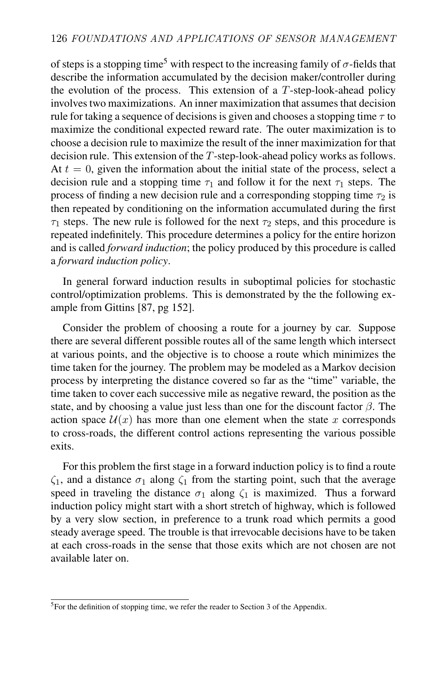of steps is a stopping time<sup>5</sup> with respect to the increasing family of  $\sigma$ -fields that describe the information accumulated by the decision maker/controller during the evolution of the process. This extension of a  $T$ -step-look-ahead policy involves two maximizations. An inner maximization that assumes that decision rule for taking a sequence of decisions is given and chooses a stopping time  $\tau$  to maximize the conditional expected reward rate. The outer maximization is to choose a decision rule to maximize the result of the inner maximization for that decision rule. This extension of the T-step-look-ahead policy works as follows. At  $t = 0$ , given the information about the initial state of the process, select a decision rule and a stopping time  $\tau_1$  and follow it for the next  $\tau_1$  steps. The process of finding a new decision rule and a corresponding stopping time  $\tau_2$  is then repeated by conditioning on the information accumulated during the first  $\tau_1$  steps. The new rule is followed for the next  $\tau_2$  steps, and this procedure is repeated indefinitely. This procedure determines a policy for the entire horizon and is called *forward induction*; the policy produced by this procedure is called a *forward induction policy*.

In general forward induction results in suboptimal policies for stochastic control/optimization problems. This is demonstrated by the the following example from Gittins [87, pg 152].

Consider the problem of choosing a route for a journey by car. Suppose there are several different possible routes all of the same length which intersect at various points, and the objective is to choose a route which minimizes the time taken for the journey. The problem may be modeled as a Markov decision process by interpreting the distance covered so far as the "time" variable, the time taken to cover each successive mile as negative reward, the position as the state, and by choosing a value just less than one for the discount factor  $\beta$ . The action space  $\mathcal{U}(x)$  has more than one element when the state x corresponds to cross-roads, the different control actions representing the various possible exits.

For this problem the first stage in a forward induction policy is to find a route  $\zeta_1$ , and a distance  $\sigma_1$  along  $\zeta_1$  from the starting point, such that the average speed in traveling the distance  $\sigma_1$  along  $\zeta_1$  is maximized. Thus a forward induction policy might start with a short stretch of highway, which is followed by a very slow section, in preference to a trunk road which permits a good steady average speed. The trouble is that irrevocable decisions have to be taken at each cross-roads in the sense that those exits which are not chosen are not available later on.

<sup>&</sup>lt;sup>5</sup>For the definition of stopping time, we refer the reader to Section 3 of the Appendix.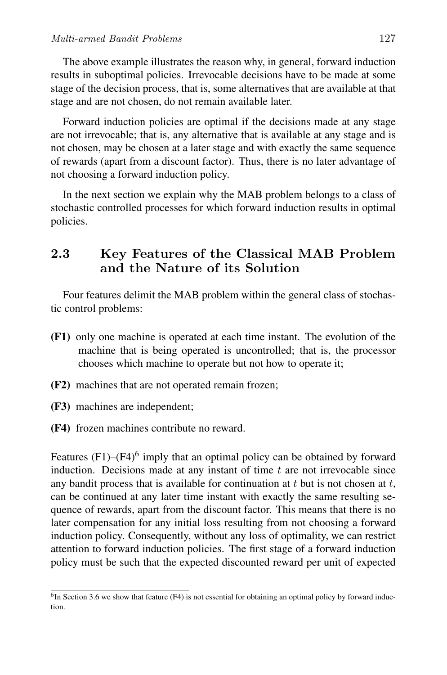The above example illustrates the reason why, in general, forward induction results in suboptimal policies. Irrevocable decisions have to be made at some stage of the decision process, that is, some alternatives that are available at that stage and are not chosen, do not remain available later.

Forward induction policies are optimal if the decisions made at any stage are not irrevocable; that is, any alternative that is available at any stage and is not chosen, may be chosen at a later stage and with exactly the same sequence of rewards (apart from a discount factor). Thus, there is no later advantage of not choosing a forward induction policy.

In the next section we explain why the MAB problem belongs to a class of stochastic controlled processes for which forward induction results in optimal policies.

## 2.3 Key Features of the Classical MAB Problem and the Nature of its Solution

Four features delimit the MAB problem within the general class of stochastic control problems:

- **(F1)** only one machine is operated at each time instant. The evolution of the machine that is being operated is uncontrolled; that is, the processor chooses which machine to operate but not how to operate it;
- **(F2)** machines that are not operated remain frozen;
- **(F3)** machines are independent;
- **(F4)** frozen machines contribute no reward.

Features  $(F1)$ – $(F4)^6$  imply that an optimal policy can be obtained by forward induction. Decisions made at any instant of time  $t$  are not irrevocable since any bandit process that is available for continuation at  $t$  but is not chosen at  $t$ , can be continued at any later time instant with exactly the same resulting sequence of rewards, apart from the discount factor. This means that there is no later compensation for any initial loss resulting from not choosing a forward induction policy. Consequently, without any loss of optimality, we can restrict attention to forward induction policies. The first stage of a forward induction policy must be such that the expected discounted reward per unit of expected

<sup>&</sup>lt;sup>6</sup>In Section 3.6 we show that feature (F4) is not essential for obtaining an optimal policy by forward induction.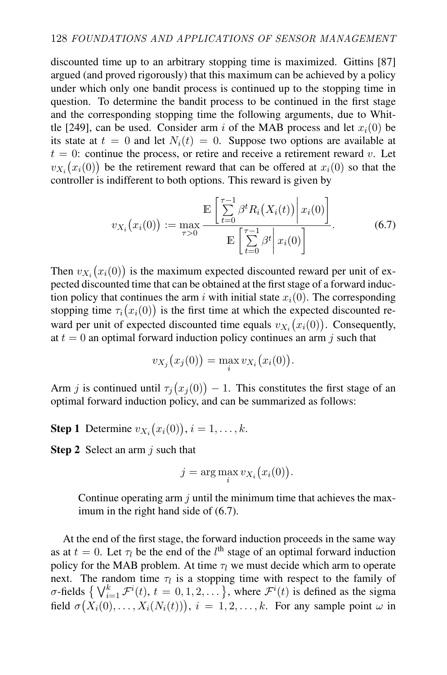discounted time up to an arbitrary stopping time is maximized. Gittins [87] argued (and proved rigorously) that this maximum can be achieved by a policy under which only one bandit process is continued up to the stopping time in question. To determine the bandit process to be continued in the first stage and the corresponding stopping time the following arguments, due to Whittle [249], can be used. Consider arm i of the MAB process and let  $x_i(0)$  be its state at  $t = 0$  and let  $N_i(t) = 0$ . Suppose two options are available at  $t = 0$ : continue the process, or retire and receive a retirement reward v. Let  $v_{X_i}(x_i(0))$  be the retirement reward that can be offered at  $x_i(0)$  so that the controller is indifferent to both options. This reward is given by

$$
v_{X_i}(x_i(0)) := \max_{\tau > 0} \frac{\mathbb{E}\left[\sum_{t=0}^{\tau-1} \beta^t R_i(X_i(t)) \middle| x_i(0)\right]}{\mathbb{E}\left[\sum_{t=0}^{\tau-1} \beta^t \middle| x_i(0)\right]}.
$$
(6.7)

Then  $v_{X_i}(x_i(0))$  is the maximum expected discounted reward per unit of expected discounted time that can be obtained at the first stage of a forward induction policy that continues the arm i with initial state  $x_i(0)$ . The corresponding stopping time  $\tau_i(x_i(0))$  is the first time at which the expected discounted reward per unit of expected discounted time equals  $v_{X_i}(x_i(0))$ . Consequently, at  $t = 0$  an optimal forward induction policy continues an arm j such that

$$
v_{X_j}(x_j(0)) = \max_i v_{X_i}(x_i(0)).
$$

Arm j is continued until  $\tau_j(x_j(0)) - 1$ . This constitutes the first stage of an optimal forward induction policy, and can be summarized as follows:

**Step 1** Determine  $v_{X_i}(x_i(0)), i = 1, \ldots, k$ .

**Step 2** Select an arm *i* such that

$$
j = \arg\max_{i} v_{X_i}(x_i(0)).
$$

Continue operating arm  $j$  until the minimum time that achieves the maximum in the right hand side of (6.7).

At the end of the first stage, the forward induction proceeds in the same way as at  $t = 0$ . Let  $\tau_l$  be the end of the l<sup>th</sup> stage of an optimal forward induction policy for the MAB problem. At time  $\tau_l$  we must decide which arm to operate next. The random time  $\tau_l$  is a stopping time with respect to the family of  $\sigma$ -fields  $\left\{ \bigvee_{i=1}^{k} \mathcal{F}^{i}(t), t = 0, 1, 2, \dots \right\}$ , where  $\mathcal{F}^{i}(t)$  is defined as the sigma field  $\sigma(X_i(0),...,X_i(N_i(t)))$ ,  $i = 1,2,...,k$ . For any sample point  $\omega$  in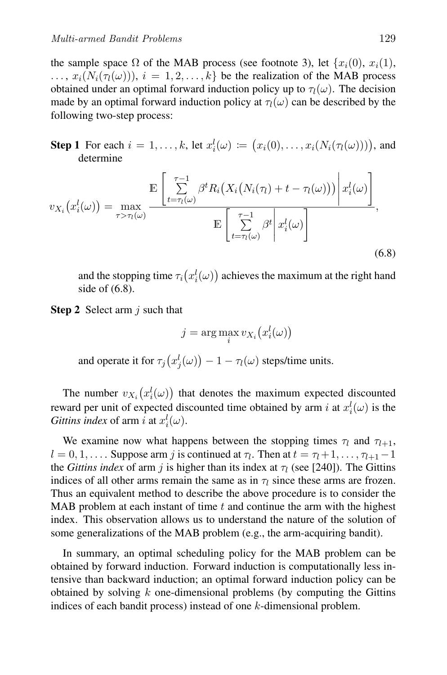the sample space  $\Omega$  of the MAB process (see footnote 3), let  $\{x_i(0), x_i(1),\}$  $\ldots$ ,  $x_i(N_i(\tau_l(\omega)))$ ,  $i = 1, 2, \ldots, k$  be the realization of the MAB process obtained under an optimal forward induction policy up to  $\tau_l(\omega)$ . The decision made by an optimal forward induction policy at  $\tau_l(\omega)$  can be described by the following two-step process:

**Step 1** For each  $i = 1, ..., k$ , let  $x_i^l(\omega) := (x_i(0), ..., x_i(N_i(\tau_l(\omega))))$ , and determine

$$
v_{X_i}(x_i^l(\omega)) = \max_{\tau > \tau_l(\omega)} \frac{\mathbb{E}\left[\sum_{t=\tau_l(\omega)}^{\tau-1} \beta^t R_i\big(X_i(N_i(\tau_l) + t - \tau_l(\omega))\big)\bigg| x_i^l(\omega)\right]}{\mathbb{E}\left[\sum_{t=\tau_l(\omega)}^{\tau-1} \beta^t \bigg| x_i^l(\omega)\right]},
$$
\n(6.8)

and the stopping time  $\tau_i\bigl(x_i^l(\omega)\bigr)$  achieves the maximum at the right hand side of (6.8).

**Step 2** Select arm *i* such that

$$
j = \arg\max_{i} v_{X_i}(x_i^l(\omega))
$$

and operate it for  $\tau_j(x_j^l(\omega)) - 1 - \tau_l(\omega)$  steps/time units.

The number  $v_{X_i}(x_i^l(\omega))$  that denotes the maximum expected discounted reward per unit of expected discounted time obtained by arm i at  $x_i^l(\omega)$  is the *Gittins index* of arm *i* at  $x_i^l(\omega)$ .

We examine now what happens between the stopping times  $\tau_l$  and  $\tau_{l+1}$ ,  $l = 0, 1, \dots$  Suppose arm j is continued at  $\tau_l$ . Then at  $t = \tau_l+1, \dots, \tau_{l+1}-1$ the *Gittins index* of arm j is higher than its index at  $\tau_l$  (see [240]). The Gittins indices of all other arms remain the same as in  $\tau_l$  since these arms are frozen. Thus an equivalent method to describe the above procedure is to consider the MAB problem at each instant of time  $t$  and continue the arm with the highest index. This observation allows us to understand the nature of the solution of some generalizations of the MAB problem (e.g., the arm-acquiring bandit).

In summary, an optimal scheduling policy for the MAB problem can be obtained by forward induction. Forward induction is computationally less intensive than backward induction; an optimal forward induction policy can be obtained by solving  $k$  one-dimensional problems (by computing the Gittins indices of each bandit process) instead of one k-dimensional problem.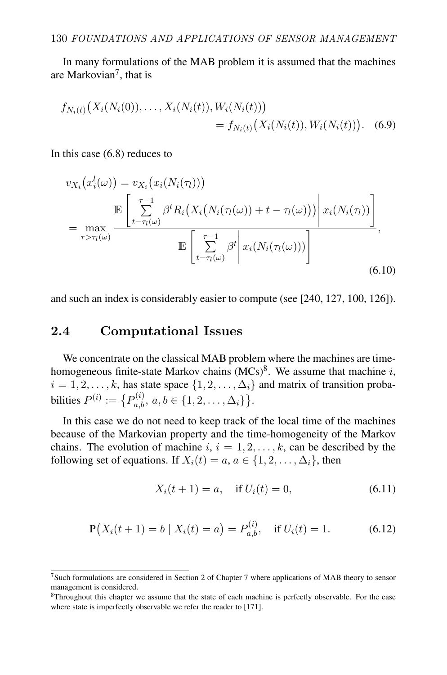In many formulations of the MAB problem it is assumed that the machines are Markovian<sup>7</sup>, that is

$$
f_{N_i(t)}(X_i(N_i(0)),...,X_i(N_i(t)),W_i(N_i(t)))
$$
  
=  $f_{N_i(t)}(X_i(N_i(t)),W_i(N_i(t))).$  (6.9)

In this case (6.8) reduces to

$$
v_{X_i}\big(x_i^l(\omega)\big) = v_{X_i}\big(x_i(N_i(\tau_l))\big)
$$
  
\n
$$
= \max_{\tau > \tau_l(\omega)} \frac{\mathbb{E}\left[\sum_{t=\tau_l(\omega)}^{\tau-1} \beta^t R_i\big(X_i\big(N_i(\tau_l(\omega)) + t - \tau_l(\omega)\big)\big)\middle| x_i(N_i(\tau_l))\right]}{\mathbb{E}\left[\sum_{t=\tau_l(\omega)}^{\tau-1} \beta^t \middle| x_i(N_i(\tau_l(\omega)))\right]},
$$
\n(6.10)

and such an index is considerably easier to compute (see [240, 127, 100, 126]).

#### 2.4 Computational Issues

We concentrate on the classical MAB problem where the machines are timehomogeneous finite-state Markov chains  $(MCs)^8$ . We assume that machine i,  $i = 1, 2, \ldots, k$ , has state space  $\{1, 2, \ldots, \Delta_i\}$  and matrix of transition probabilities  $P^{(i)} := \big\{P_{a,b}^{(i)}, a,b\in\{1,2,\ldots,\Delta_i\}\big\}.$ 

In this case we do not need to keep track of the local time of the machines because of the Markovian property and the time-homogeneity of the Markov chains. The evolution of machine  $i, i = 1, 2, \ldots, k$ , can be described by the following set of equations. If  $X_i(t) = a, a \in \{1, 2, ..., \Delta_i\}$ , then

$$
X_i(t+1) = a, \quad \text{if } U_i(t) = 0,\tag{6.11}
$$

$$
P(X_i(t+1) = b | X_i(t) = a) = P_{a,b}^{(i)}, \text{ if } U_i(t) = 1.
$$
 (6.12)

 $7$ Such formulations are considered in Section 2 of Chapter  $7$  where applications of MAB theory to sensor management is considered.

<sup>&</sup>lt;sup>8</sup>Throughout this chapter we assume that the state of each machine is perfectly observable. For the case where state is imperfectly observable we refer the reader to [171].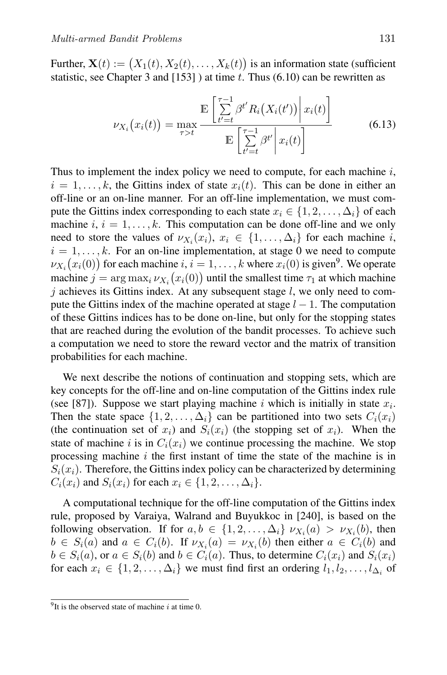Further,  $\mathbf{X}(t) := (X_1(t), X_2(t), \dots, X_k(t))$  is an information state (sufficient statistic, see Chapter 3 and [153] ) at time  $t$ . Thus (6.10) can be rewritten as

$$
\nu_{X_i}(x_i(t)) = \max_{\tau > t} \frac{\mathbb{E}\left[\sum_{t'=t}^{\tau-1} \beta^{t'} R_i(X_i(t')) \middle| x_i(t)\right]}{\mathbb{E}\left[\sum_{t'=t}^{\tau-1} \beta^{t'} \middle| x_i(t)\right]}
$$
(6.13)

Thus to implement the index policy we need to compute, for each machine  $i$ ,  $i = 1, \ldots, k$ , the Gittins index of state  $x_i(t)$ . This can be done in either an off-line or an on-line manner. For an off-line implementation, we must compute the Gittins index corresponding to each state  $x_i \in \{1, 2, \ldots, \Delta_i\}$  of each machine  $i, i = 1, \ldots, k$ . This computation can be done off-line and we only need to store the values of  $\nu_{X_i}(x_i)$ ,  $x_i \in \{1, ..., \Delta_i\}$  for each machine *i*,  $i = 1, \ldots, k$ . For an on-line implementation, at stage 0 we need to compute  $\nu_{X_i}(x_i(0))$  for each machine  $i, i = 1, \ldots, k$  where  $x_i(0)$  is given<sup>9</sup>. We operate machine  $j = \arg \max_i \nu_{X_i}(x_i(0))$  until the smallest time  $\tau_1$  at which machine  $j$  achieves its Gittins index. At any subsequent stage  $l$ , we only need to compute the Gittins index of the machine operated at stage  $l - 1$ . The computation of these Gittins indices has to be done on-line, but only for the stopping states that are reached during the evolution of the bandit processes. To achieve such a computation we need to store the reward vector and the matrix of transition probabilities for each machine.

We next describe the notions of continuation and stopping sets, which are key concepts for the off-line and on-line computation of the Gittins index rule (see [87]). Suppose we start playing machine i which is initially in state  $x_i$ . Then the state space  $\{1, 2, ..., \Delta_i\}$  can be partitioned into two sets  $C_i(x_i)$ (the continuation set of  $x_i$ ) and  $S_i(x_i)$  (the stopping set of  $x_i$ ). When the state of machine i is in  $C_i(x_i)$  we continue processing the machine. We stop processing machine  $i$  the first instant of time the state of the machine is in  $S_i(x_i)$ . Therefore, the Gittins index policy can be characterized by determining  $C_i(x_i)$  and  $S_i(x_i)$  for each  $x_i \in \{1, 2, \ldots, \Delta_i\}.$ 

A computational technique for the off-line computation of the Gittins index rule, proposed by Varaiya, Walrand and Buyukkoc in [240], is based on the following observation. If for  $a, b \in \{1, 2, ..., \Delta_i\}$   $\nu_{X_i}(a) > \nu_{X_i}(b)$ , then  $b \in S_i(a)$  and  $a \in C_i(b)$ . If  $\nu_{X_i}(a) = \nu_{X_i}(b)$  then either  $a \in C_i(b)$  and  $b \in S_i(a)$ , or  $a \in S_i(b)$  and  $b \in C_i(a)$ . Thus, to determine  $C_i(x_i)$  and  $S_i(x_i)$ for each  $x_i \in \{1, 2, \ldots, \Delta_i\}$  we must find first an ordering  $l_1, l_2, \ldots, l_{\Delta_i}$  of

<sup>&</sup>lt;sup>9</sup>It is the observed state of machine  $i$  at time 0.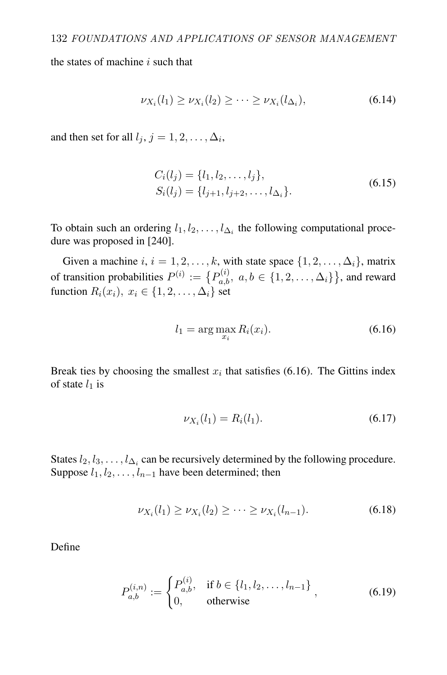the states of machine  $i$  such that

$$
\nu_{X_i}(l_1) \ge \nu_{X_i}(l_2) \ge \cdots \ge \nu_{X_i}(l_{\Delta_i}),\tag{6.14}
$$

and then set for all  $l_j$ ,  $j = 1, 2, \ldots, \Delta_i$ ,

$$
C_i(l_j) = \{l_1, l_2, \dots, l_j\},
$$
  
\n
$$
S_i(l_j) = \{l_{j+1}, l_{j+2}, \dots, l_{\Delta_i}\}.
$$
\n(6.15)

To obtain such an ordering  $l_1, l_2, \ldots, l_{\Delta_i}$  the following computational procedure was proposed in [240].

Given a machine  $i, i = 1, 2, \ldots, k$ , with state space  $\{1, 2, \ldots, \Delta_i\}$ , matrix of transition probabilities  $P^{(i)} := \{P_{a,b}^{(i)}, a, b \in \{1, 2, ..., \Delta_i\}\}\)$ , and reward function  $R_i(x_i)$ ,  $x_i \in \{1, 2, \ldots, \Delta_i\}$  set

$$
l_1 = \arg\max_{x_i} R_i(x_i). \tag{6.16}
$$

Break ties by choosing the smallest  $x_i$  that satisfies (6.16). The Gittins index of state  $l_1$  is

$$
\nu_{X_i}(l_1) = R_i(l_1). \tag{6.17}
$$

States  $l_2, l_3, \ldots, l_{\Delta_i}$  can be recursively determined by the following procedure. Suppose  $l_1, l_2, \ldots, l_{n-1}$  have been determined; then

$$
\nu_{X_i}(l_1) \ge \nu_{X_i}(l_2) \ge \cdots \ge \nu_{X_i}(l_{n-1}).\tag{6.18}
$$

Define

$$
P_{a,b}^{(i,n)} := \begin{cases} P_{a,b}^{(i)}, & \text{if } b \in \{l_1, l_2, \dots, l_{n-1}\} \\ 0, & \text{otherwise} \end{cases}
$$
 (6.19)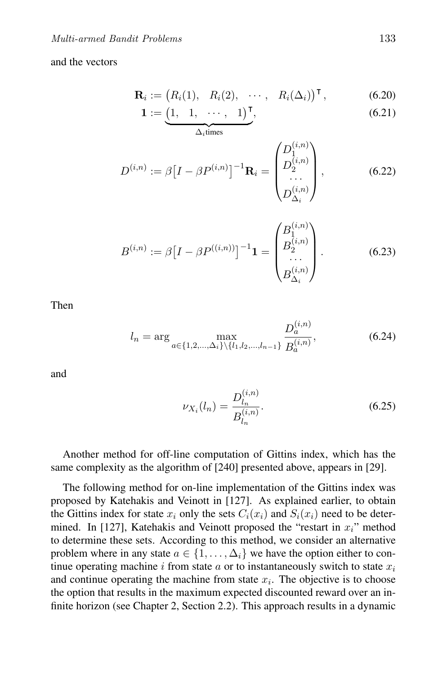and the vectors

$$
\mathbf{R}_i := \begin{pmatrix} R_i(1), & R_i(2), & \cdots, & R_i(\Delta_i) \end{pmatrix}^\mathsf{T},\tag{6.20}
$$

$$
\mathbf{1} := \underbrace{(1, 1, \cdots, 1)^{\mathsf{T}}}_{\Delta_i \text{times}},
$$
\n(6.21)

$$
D^{(i,n)} := \beta \left[I - \beta P^{(i,n)}\right]^{-1} \mathbf{R}_i = \begin{pmatrix} D_1^{(i,n)} \\ D_2^{(i,n)} \\ \dots \\ D_{\Delta_i}^{(i,n)} \end{pmatrix}, \tag{6.22}
$$

$$
B^{(i,n)} := \beta \left[I - \beta P^{((i,n))}\right]^{-1} \mathbf{1} = \begin{pmatrix} B_1^{(i,n)} \\ B_2^{(i,n)} \\ \dots \\ B_{\Delta_i}^{(i,n)} \end{pmatrix} . \tag{6.23}
$$

Then

$$
l_n = \arg \max_{a \in \{1, 2, \dots, \Delta_i\} \setminus \{l_1, l_2, \dots, l_{n-1}\}} \frac{D_a^{(i,n)}}{B_a^{(i,n)}},
$$
(6.24)

and

$$
\nu_{X_i}(l_n) = \frac{D_{l_n}^{(i,n)}}{B_{l_n}^{(i,n)}}.\t(6.25)
$$

Another method for off-line computation of Gittins index, which has the same complexity as the algorithm of [240] presented above, appears in [29].

The following method for on-line implementation of the Gittins index was proposed by Katehakis and Veinott in [127]. As explained earlier, to obtain the Gittins index for state  $x_i$  only the sets  $C_i(x_i)$  and  $S_i(x_i)$  need to be determined. In [127], Katehakis and Veinott proposed the "restart in  $x_i$ " method to determine these sets. According to this method, we consider an alternative problem where in any state  $a \in \{1, \ldots, \Delta_i\}$  we have the option either to continue operating machine i from state a or to instantaneously switch to state  $x_i$ and continue operating the machine from state  $x_i$ . The objective is to choose the option that results in the maximum expected discounted reward over an infinite horizon (see Chapter 2, Section 2.2). This approach results in a dynamic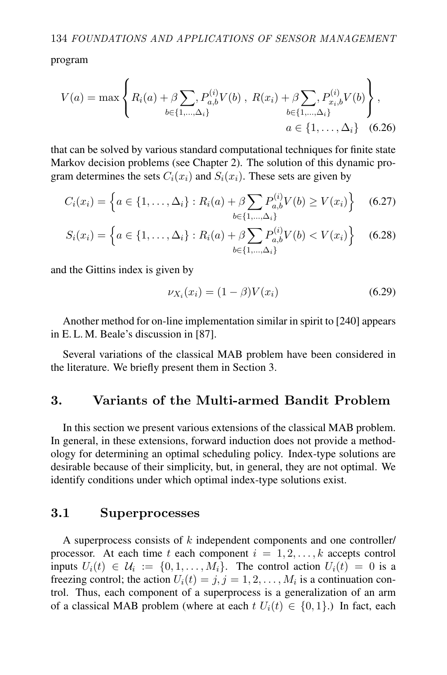program

$$
V(a) = \max \left\{ R_i(a) + \beta \sum_{b \in \{1, ..., \Delta_i\}} P_{a,b}^{(i)} V(b) , R(x_i) + \beta \sum_{b \in \{1, ..., \Delta_i\}} P_{x_i,b}^{(i)} V(b) \right\},\newline a \in \{1, ..., \Delta_i\} \quad (6.26)
$$

that can be solved by various standard computational techniques for finite state Markov decision problems (see Chapter 2). The solution of this dynamic program determines the sets  $C_i(x_i)$  and  $S_i(x_i)$ . These sets are given by

$$
C_i(x_i) = \left\{ a \in \{1, ..., \Delta_i\} : R_i(a) + \beta \sum_{b \in \{1, ..., \Delta_i\}} P_{a,b}^{(i)} V(b) \ge V(x_i) \right\}
$$
 (6.27)

$$
S_i(x_i) = \left\{ a \in \{1, ..., \Delta_i\} : R_i(a) + \beta \sum_{b \in \{1, ..., \Delta_i\}} P_{a,b}^{(i)} V(b) < V(x_i) \right\} \tag{6.28}
$$

and the Gittins index is given by

$$
\nu_{X_i}(x_i) = (1 - \beta)V(x_i)
$$
\n(6.29)

Another method for on-line implementation similar in spirit to [240] appears in E. L. M. Beale's discussion in [87].

Several variations of the classical MAB problem have been considered in the literature. We briefly present them in Section 3.

#### 3. Variants of the Multi-armed Bandit Problem

In this section we present various extensions of the classical MAB problem. In general, in these extensions, forward induction does not provide a methodology for determining an optimal scheduling policy. Index-type solutions are desirable because of their simplicity, but, in general, they are not optimal. We identify conditions under which optimal index-type solutions exist.

#### 3.1 Superprocesses

A superprocess consists of k independent components and one controller/ processor. At each time t each component  $i = 1, 2, \ldots, k$  accepts control inputs  $U_i(t) \in \mathcal{U}_i := \{0, 1, \ldots, M_i\}$ . The control action  $U_i(t) = 0$  is a freezing control; the action  $U_i(t) = j, j = 1, 2, \dots, M_i$  is a continuation control. Thus, each component of a superprocess is a generalization of an arm of a classical MAB problem (where at each  $t U_i(t) \in \{0, 1\}$ .) In fact, each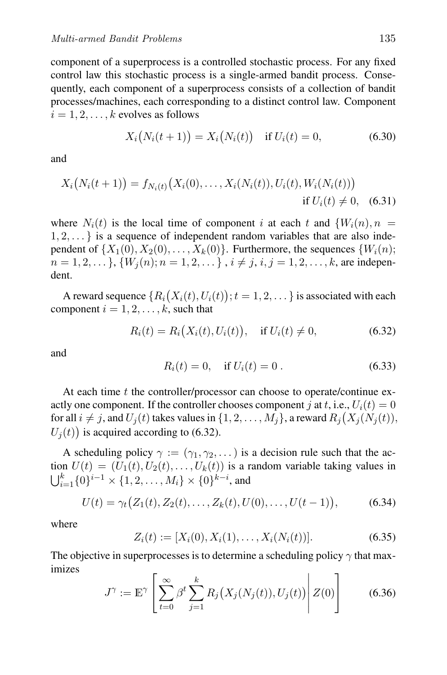component of a superprocess is a controlled stochastic process. For any fixed control law this stochastic process is a single-armed bandit process. Consequently, each component of a superprocess consists of a collection of bandit processes/machines, each corresponding to a distinct control law. Component  $i = 1, 2, \ldots, k$  evolves as follows

$$
X_i(N_i(t+1)) = X_i(N_i(t)) \text{ if } U_i(t) = 0,
$$
 (6.30)

and

$$
X_i(N_i(t+1)) = f_{N_i(t)}(X_i(0),...,X_i(N_i(t)),U_i(t),W_i(N_i(t)))
$$
  
if  $U_i(t) \neq 0$ , (6.31)

where  $N_i(t)$  is the local time of component i at each t and  $\{W_i(n), n =$  $1, 2, \ldots$  is a sequence of independent random variables that are also independent of  $\{X_1(0), X_2(0), \ldots, X_k(0)\}\)$ . Furthermore, the sequences  $\{W_i(n)\}$ ;  $n = 1, 2, \ldots$ ,  $\{W_i(n); n = 1, 2, \ldots\}$ ,  $i \neq j, i, j = 1, 2, \ldots, k$ , are independent.

A reward sequence  $\{R_i(X_i(t),U_i(t)) ; t = 1,2,...\}$  is associated with each component  $i = 1, 2, \ldots, k$ , such that

$$
R_i(t) = R_i(X_i(t), U_i(t)), \text{ if } U_i(t) \neq 0,
$$
\n(6.32)

and

$$
R_i(t) = 0, \quad \text{if } U_i(t) = 0 \,. \tag{6.33}
$$

At each time  $t$  the controller/processor can choose to operate/continue exactly one component. If the controller chooses component j at t, i.e.,  $U_i(t)=0$ for all  $i \neq j$ , and  $U_j(t)$  takes values in  $\{1, 2, \ldots, M_j\}$ , a reward  $R_j\big(X_j(N_j(t)),$  $U_j(t)$ ) is acquired according to (6.32).

A scheduling policy  $\gamma := (\gamma_1, \gamma_2, \dots)$  is a decision rule such that the action  $U(t)=(U_1(t), U_2(t),...,U_k(t))$  is a random variable taking values in  $\bigcup_{i=1}^k \{0\}^{i-1} \times \{1, 2, \ldots, M_i\} \times \{0\}^{k-i}$ , and

$$
U(t) = \gamma_t (Z_1(t), Z_2(t), \dots, Z_k(t), U(0), \dots, U(t-1)), \tag{6.34}
$$

where

$$
Z_i(t) := [X_i(0), X_i(1), \dots, X_i(N_i(t))]. \tag{6.35}
$$

The objective in superprocesses is to determine a scheduling policy  $\gamma$  that maximizes

$$
J^{\gamma} := \mathbb{E}^{\gamma} \left[ \sum_{t=0}^{\infty} \beta^{t} \sum_{j=1}^{k} R_{j} \big(X_{j}(N_{j}(t)), U_{j}(t)\big) \middle| Z(0) \right] \tag{6.36}
$$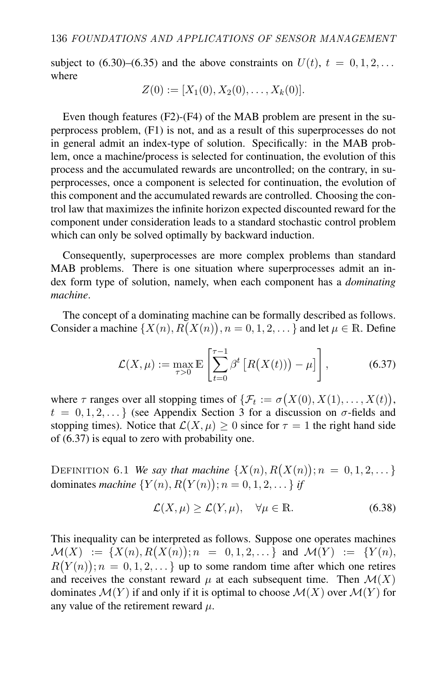subject to (6.30)–(6.35) and the above constraints on  $U(t)$ ,  $t = 0, 1, 2, \ldots$ where

$$
Z(0) := [X_1(0), X_2(0), \ldots, X_k(0)].
$$

Even though features (F2)-(F4) of the MAB problem are present in the superprocess problem, (F1) is not, and as a result of this superprocesses do not in general admit an index-type of solution. Specifically: in the MAB problem, once a machine/process is selected for continuation, the evolution of this process and the accumulated rewards are uncontrolled; on the contrary, in superprocesses, once a component is selected for continuation, the evolution of this component and the accumulated rewards are controlled. Choosing the control law that maximizes the infinite horizon expected discounted reward for the component under consideration leads to a standard stochastic control problem which can only be solved optimally by backward induction.

Consequently, superprocesses are more complex problems than standard MAB problems. There is one situation where superprocesses admit an index form type of solution, namely, when each component has a *dominating machine*.

The concept of a dominating machine can be formally described as follows. Consider a machine  $\{X(n), R(X(n)), n = 0, 1, 2, \ldots\}$  and let  $\mu \in \mathbb{R}$ . Define

$$
\mathcal{L}(X,\mu) := \max_{\tau>0} \mathbb{E}\left[\sum_{t=0}^{\tau-1} \beta^t \left[R\big(X(t)\big)\big) - \mu\right]\right],\tag{6.37}
$$

where  $\tau$  ranges over all stopping times of  $\{\mathcal{F}_t := \sigma(X(0), X(1), \dots, X(t)\},\)$  $t = 0, 1, 2, \ldots$  (see Appendix Section 3 for a discussion on  $\sigma$ -fields and stopping times). Notice that  $\mathcal{L}(X, \mu) \geq 0$  since for  $\tau = 1$  the right hand side of (6.37) is equal to zero with probability one.

DEFINITION 6.1 We say that machine  $\{X(n), R(X(n)); n = 0, 1, 2, ...\}$ dominates *machine*  $\{Y(n), R(Y(n)); n = 0, 1, 2, \ldots\}$  *if* 

$$
\mathcal{L}(X,\mu) \ge \mathcal{L}(Y,\mu), \quad \forall \mu \in \mathbb{R}.\tag{6.38}
$$

This inequality can be interpreted as follows. Suppose one operates machines  $\mathcal{M}(X) := \{ X(n), R(X(n)) ; n = 0, 1, 2, \ldots \}$  and  $\mathcal{M}(Y) := \{ Y(n),$  $R(Y(n)); n = 0, 1, 2, \ldots$  } up to some random time after which one retires and receives the constant reward  $\mu$  at each subsequent time. Then  $\mathcal{M}(X)$ dominates  $\mathcal{M}(Y)$  if and only if it is optimal to choose  $\mathcal{M}(X)$  over  $\mathcal{M}(Y)$  for any value of the retirement reward  $\mu$ .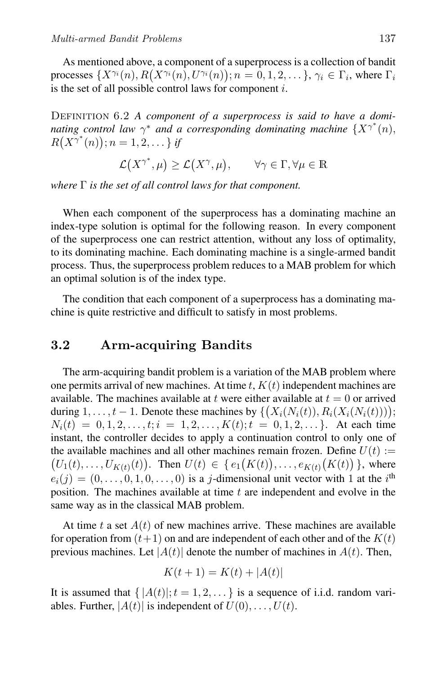L

As mentioned above, a component of a superprocess is a collection of bandit processes  $\{X^{\gamma_i}(n), R\big(X^{\gamma_i}(n), U^{\gamma_i}(n)\big); n = 0, 1, 2, \dots\}, \, \gamma_i \in \Gamma_i,$  where  $\Gamma_i$ is the set of all possible control laws for component  $i$ .

DEFINITION 6.2 A component of a superprocess is said to have a domi*nating control law*  $\gamma^*$  *and a corresponding dominating machine*  $\{X^{\gamma^*}(n),\}$  $R(X^{\gamma^*}(n)); n = 1, 2, ...$  *if* 

$$
\mathcal{L}(X^{\gamma^*}, \mu) \ge \mathcal{L}(X^{\gamma}, \mu), \qquad \forall \gamma \in \Gamma, \forall \mu \in \mathbb{R}
$$

*where* Γ *is the set of all control laws for that component.*

When each component of the superprocess has a dominating machine an index-type solution is optimal for the following reason. In every component of the superprocess one can restrict attention, without any loss of optimality, to its dominating machine. Each dominating machine is a single-armed bandit process. Thus, the superprocess problem reduces to a MAB problem for which an optimal solution is of the index type.

The condition that each component of a superprocess has a dominating machine is quite restrictive and difficult to satisfy in most problems.

#### 3.2 Arm-acquiring Bandits

The arm-acquiring bandit problem is a variation of the MAB problem where one permits arrival of new machines. At time  $t, K(t)$  independent machines are available. The machines available at t were either available at  $t = 0$  or arrived during  $1, \ldots, t-1$ . Denote these machines by  $\{ (X_i(N_i(t)), R_i(X_i(N_i(t)))) \}$  $N_i(t) = 0, 1, 2, \ldots, t; i = 1, 2, \ldots, K(t); t = 0, 1, 2, \ldots$ . At each time instant, the controller decides to apply a continuation control to only one of  $(U_1(t),...,U_{K(t)}(t))$ . Then  $U(t) \in \{e_1(K(t)),...,e_{K(t)}(K(t))\}$ , where the available machines and all other machines remain frozen. Define  $U(t) :=$  $e_i(j) = (0, \ldots, 0, 1, 0, \ldots, 0)$  is a *j*-dimensional unit vector with 1 at the *i*<sup>th</sup> position. The machines available at time  $t$  are independent and evolve in the same way as in the classical MAB problem.

At time t a set  $A(t)$  of new machines arrive. These machines are available for operation from  $(t+1)$  on and are independent of each other and of the  $K(t)$ previous machines. Let  $|A(t)|$  denote the number of machines in  $A(t)$ . Then,

$$
K(t + 1) = K(t) + |A(t)|
$$

It is assumed that  $\{|A(t)|; t = 1, 2, \dots\}$  is a sequence of i.i.d. random variables. Further,  $|A(t)|$  is independent of  $U(0), \ldots, U(t)$ .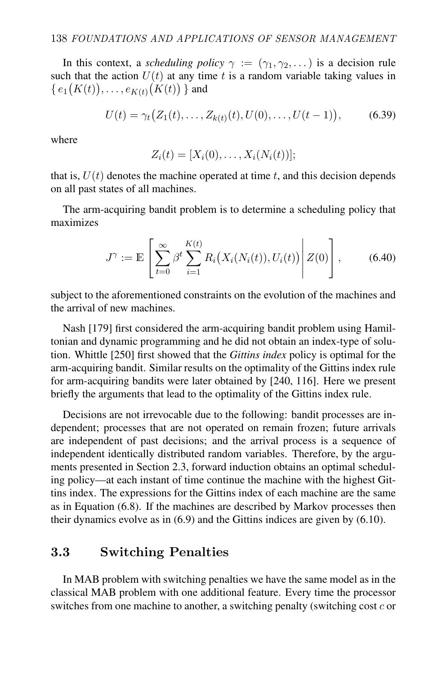In this context, a *scheduling policy*  $\gamma := (\gamma_1, \gamma_2, \dots)$  is a decision rule such that the action  $U(t)$  at any time t is a random variable taking values in {  $e_1(K(t)), \ldots, e_{K(t)}(K(t))$  } and

$$
U(t) = \gamma_t (Z_1(t), \dots, Z_{k(t)}(t), U(0), \dots, U(t-1)), \tag{6.39}
$$

where

$$
Z_i(t)=[X_i(0),\ldots,X_i(N_i(t))];
$$

that is,  $U(t)$  denotes the machine operated at time t, and this decision depends on all past states of all machines.

The arm-acquiring bandit problem is to determine a scheduling policy that maximizes

$$
J^{\gamma} := \mathbb{E}\left[\sum_{t=0}^{\infty} \beta^{t} \sum_{i=1}^{K(t)} R_{i}(X_{i}(N_{i}(t)), U_{i}(t)) \middle| Z(0)\right],
$$
 (6.40)

subject to the aforementioned constraints on the evolution of the machines and the arrival of new machines.

Nash [179] first considered the arm-acquiring bandit problem using Hamiltonian and dynamic programming and he did not obtain an index-type of solution. Whittle [250] first showed that the *Gittins index* policy is optimal for the arm-acquiring bandit. Similar results on the optimality of the Gittins index rule for arm-acquiring bandits were later obtained by [240, 116]. Here we present briefly the arguments that lead to the optimality of the Gittins index rule.

Decisions are not irrevocable due to the following: bandit processes are independent; processes that are not operated on remain frozen; future arrivals are independent of past decisions; and the arrival process is a sequence of independent identically distributed random variables. Therefore, by the arguments presented in Section 2.3, forward induction obtains an optimal scheduling policy—at each instant of time continue the machine with the highest Gittins index. The expressions for the Gittins index of each machine are the same as in Equation (6.8). If the machines are described by Markov processes then their dynamics evolve as in (6.9) and the Gittins indices are given by (6.10).

#### 3.3 Switching Penalties

In MAB problem with switching penalties we have the same model as in the classical MAB problem with one additional feature. Every time the processor switches from one machine to another, a switching penalty (switching cost  $c$  or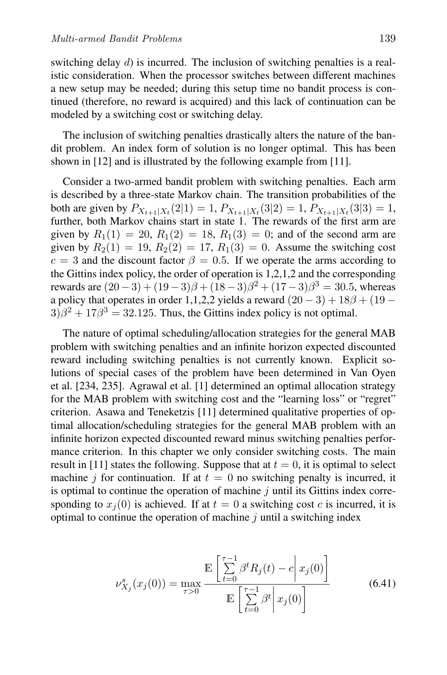switching delay d) is incurred. The inclusion of switching penalties is a realistic consideration. When the processor switches between different machines a new setup may be needed; during this setup time no bandit process is continued (therefore, no reward is acquired) and this lack of continuation can be modeled by a switching cost or switching delay.

The inclusion of switching penalties drastically alters the nature of the bandit problem. An index form of solution is no longer optimal. This has been shown in [12] and is illustrated by the following example from [11].

Consider a two-armed bandit problem with switching penalties. Each arm is described by a three-state Markov chain. The transition probabilities of the both are given by  $P_{X_{t+1}|X_t}(2|1) = 1$ ,  $P_{X_{t+1}|X_t}(3|2) = 1$ ,  $P_{X_{t+1}|X_t}(3|3) = 1$ , further, both Markov chains start in state 1. The rewards of the first arm are given by  $R_1(1) = 20$ ,  $R_1(2) = 18$ ,  $R_1(3) = 0$ ; and of the second arm are given by  $R_2(1) = 19$ ,  $R_2(2) = 17$ ,  $R_1(3) = 0$ . Assume the switching cost  $c = 3$  and the discount factor  $\beta = 0.5$ . If we operate the arms according to the Gittins index policy, the order of operation is 1,2,1,2 and the corresponding rewards are  $(20-3) + (19-3)\beta + (18-3)\beta^2 + (17-3)\beta^3 = 30.5$ , whereas a policy that operates in order 1,1,2,2 yields a reward  $(20 - 3) + 18\beta + (19 3\beta^2 + 17\beta^3 = 32.125$ . Thus, the Gittins index policy is not optimal.

The nature of optimal scheduling/allocation strategies for the general MAB problem with switching penalties and an infinite horizon expected discounted reward including switching penalties is not currently known. Explicit solutions of special cases of the problem have been determined in Van Oyen et al. [234, 235]. Agrawal et al. [1] determined an optimal allocation strategy for the MAB problem with switching cost and the "learning loss" or "regret" criterion. Asawa and Teneketzis [11] determined qualitative properties of optimal allocation/scheduling strategies for the general MAB problem with an infinite horizon expected discounted reward minus switching penalties performance criterion. In this chapter we only consider switching costs. The main result in [11] states the following. Suppose that at  $t = 0$ , it is optimal to select machine j for continuation. If at  $t = 0$  no switching penalty is incurred, it is optimal to continue the operation of machine  $j$  until its Gittins index corresponding to  $x_i(0)$  is achieved. If at  $t = 0$  a switching cost c is incurred, it is optimal to continue the operation of machine  $j$  until a switching index

$$
\nu_{X_j}^s(x_j(0)) = \max_{\tau > 0} \frac{\mathbb{E}\left[\sum_{t=0}^{\tau-1} \beta^t R_j(t) - c \middle| x_j(0)\right]}{\mathbb{E}\left[\sum_{t=0}^{\tau-1} \beta^t \middle| x_j(0)\right]}
$$
(6.41)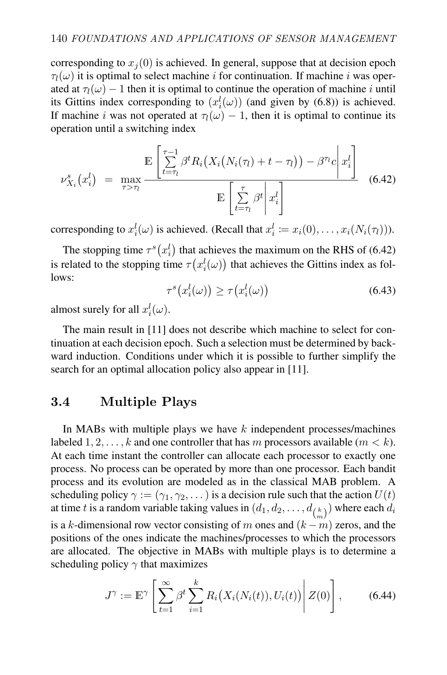corresponding to  $x_i(0)$  is achieved. In general, suppose that at decision epoch  $\tau_l(\omega)$  it is optimal to select machine i for continuation. If machine i was operated at  $\tau_l(\omega) - 1$  then it is optimal to continue the operation of machine i until its Gittins index corresponding to  $(x_i^l(\omega))$  (and given by (6.8)) is achieved. If machine i was not operated at  $\tau_l(\omega) - 1$ , then it is optimal to continue its operation until a switching index

$$
\nu_{X_i}^s(x_i^l) = \max_{\tau > \tau_l} \frac{\mathbb{E}\left[\sum_{t=\tau_l}^{\tau-1} \beta^t R_i \big(X_i \big(N_i(\tau_l) + t - \tau_l\big)\big) - \beta^{\tau_l} c \middle| x_i^l \right]}{\mathbb{E}\left[\sum_{t=\tau_l}^{\tau} \beta^t \middle| x_i^l \right]} \tag{6.42}
$$

corresponding to  $x_i^l(\omega)$  is achieved. (Recall that  $x_i^l := x_i(0), \ldots, x_i(N_i(\tau_l))$ ).

The stopping time  $\tau^s(x_i^l)$  that achieves the maximum on the RHS of (6.42) is related to the stopping time  $\tau(x_i^l(\omega))$  that achieves the Gittins index as follows:

$$
\tau^s(x_i^l(\omega)) \ge \tau(x_i^l(\omega)) \tag{6.43}
$$

almost surely for all  $x_i^l(\omega)$ .

The main result in [11] does not describe which machine to select for continuation at each decision epoch. Such a selection must be determined by backward induction. Conditions under which it is possible to further simplify the search for an optimal allocation policy also appear in [11].

### 3.4 Multiple Plays

In MABs with multiple plays we have  $k$  independent processes/machines labeled  $1, 2, \ldots, k$  and one controller that has m processors available ( $m < k$ ). At each time instant the controller can allocate each processor to exactly one process. No process can be operated by more than one processor. Each bandit process and its evolution are modeled as in the classical MAB problem. A scheduling policy  $\gamma := (\gamma_1, \gamma_2, \dots)$  is a decision rule such that the action  $U(t)$ at time  $t$  is a random variable taking values in  $(d_1, d_2, \ldots, d_{\binom{k}{m}})$  where each  $d_i$ is a k-dimensional row vector consisting of m ones and  $(k - m)$  zeros, and the positions of the ones indicate the machines/processes to which the processors are allocated. The objective in MABs with multiple plays is to determine a scheduling policy  $\gamma$  that maximizes

$$
J^{\gamma} := \mathbb{E}^{\gamma} \left[ \sum_{t=1}^{\infty} \beta^{t} \sum_{i=1}^{k} R_{i} \big(X_{i}(N_{i}(t)), U_{i}(t)\big) \middle| Z(0) \right], \quad (6.44)
$$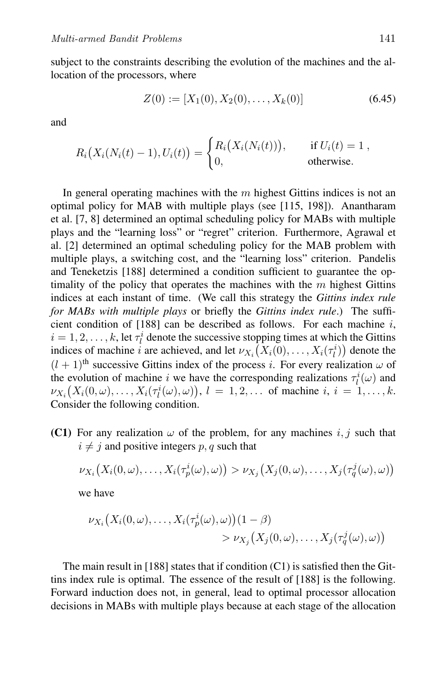subject to the constraints describing the evolution of the machines and the allocation of the processors, where

$$
Z(0) := [X_1(0), X_2(0), \dots, X_k(0)] \tag{6.45}
$$

and

$$
R_i(X_i(N_i(t)-1), U_i(t)) = \begin{cases} R_i(X_i(N_i(t))), & \text{if } U_i(t) = 1, \\ 0, & \text{otherwise.} \end{cases}
$$

In general operating machines with the  $m$  highest Gittins indices is not an optimal policy for MAB with multiple plays (see [115, 198]). Anantharam et al. [7, 8] determined an optimal scheduling policy for MABs with multiple plays and the "learning loss" or "regret" criterion. Furthermore, Agrawal et al. [2] determined an optimal scheduling policy for the MAB problem with multiple plays, a switching cost, and the "learning loss" criterion. Pandelis and Teneketzis [188] determined a condition sufficient to guarantee the optimality of the policy that operates the machines with the  $m$  highest Gittins indices at each instant of time. (We call this strategy the *Gittins index rule for MABs with multiple plays* or briefly the *Gittins index rule*.) The sufficient condition of  $[188]$  can be described as follows. For each machine i,  $i = 1, 2, \dots, k$ , let  $\tau_l^i$  denote the successive stopping times at which the Gittins indices of machine i are achieved, and let  $\nu_{X_i}(\tilde{X}_i(0), \ldots, X_i(\tau_l^i))$  denote the  $(l + 1)$ <sup>th</sup> successive Gittins index of the process i. For every realization  $\omega$  of the evolution of machine i we have the corresponding realizations  $\tau_l^i(\omega)$  and  $\nu_{X_i}\big(X_i(0,\omega),\ldots,X_i(\tau_l^i(\omega),\omega)\big),\ l=1,2,\ldots$  of machine  $i,\ i=1,\ldots,k$ . Consider the following condition.

**(C1)** For any realization  $\omega$  of the problem, for any machines i, j such that  $i \neq j$  and positive integers p, q such that

$$
\nu_{X_i}\big(X_i(0,\omega),\ldots,X_i(\tau_p^i(\omega),\omega)\big) > \nu_{X_j}\big(X_j(0,\omega),\ldots,X_j(\tau_q^j(\omega),\omega)\big)
$$

we have

$$
\nu_{X_i}\big(X_i(0,\omega),\ldots,X_i(\tau_p^i(\omega),\omega)\big)(1-\beta) \\
&>\nu_{X_j}\big(X_j(0,\omega),\ldots,X_j(\tau_q^j(\omega),\omega)\big)
$$

The main result in  $[188]$  states that if condition  $(C1)$  is satisfied then the Gittins index rule is optimal. The essence of the result of [188] is the following. Forward induction does not, in general, lead to optimal processor allocation decisions in MABs with multiple plays because at each stage of the allocation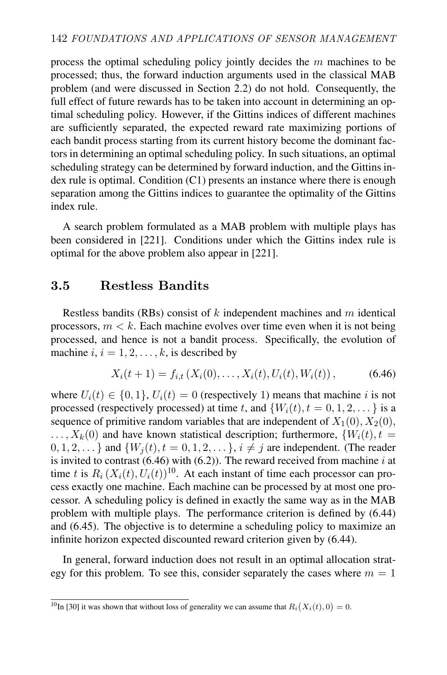process the optimal scheduling policy jointly decides the m machines to be processed; thus, the forward induction arguments used in the classical MAB problem (and were discussed in Section 2.2) do not hold. Consequently, the full effect of future rewards has to be taken into account in determining an optimal scheduling policy. However, if the Gittins indices of different machines are sufficiently separated, the expected reward rate maximizing portions of each bandit process starting from its current history become the dominant factors in determining an optimal scheduling policy. In such situations, an optimal scheduling strategy can be determined by forward induction, and the Gittins index rule is optimal. Condition (C1) presents an instance where there is enough separation among the Gittins indices to guarantee the optimality of the Gittins index rule.

A search problem formulated as a MAB problem with multiple plays has been considered in [221]. Conditions under which the Gittins index rule is optimal for the above problem also appear in [221].

### 3.5 Restless Bandits

Restless bandits (RBs) consist of k independent machines and m identical processors,  $m < k$ . Each machine evolves over time even when it is not being processed, and hence is not a bandit process. Specifically, the evolution of machine  $i, i = 1, 2, \ldots, k$ , is described by

$$
X_i(t+1) = f_{i,t}(X_i(0),...,X_i(t),U_i(t),W_i(t)),
$$
\n(6.46)

where  $U_i(t) \in \{0, 1\}, U_i(t) = 0$  (respectively 1) means that machine i is not processed (respectively processed) at time t, and  $\{W_i(t), t = 0, 1, 2, \dots\}$  is a sequence of primitive random variables that are independent of  $X_1(0), X_2(0)$ ,  $\ldots$ ,  $X_k(0)$  and have known statistical description; furthermore,  $\{W_i(t), t =$  $0, 1, 2, \ldots$  } and  $\{W_i(t), t = 0, 1, 2, \ldots\}$ ,  $i \neq j$  are independent. (The reader is invited to contrast  $(6.46)$  with  $(6.2)$ ). The reward received from machine i at time t is  $R_i$   $(X_i(t), U_i(t))$ <sup>10</sup>. At each instant of time each processor can process exactly one machine. Each machine can be processed by at most one processor. A scheduling policy is defined in exactly the same way as in the MAB problem with multiple plays. The performance criterion is defined by (6.44) and (6.45). The objective is to determine a scheduling policy to maximize an infinite horizon expected discounted reward criterion given by (6.44).

In general, forward induction does not result in an optimal allocation strategy for this problem. To see this, consider separately the cases where  $m = 1$ 

<sup>&</sup>lt;sup>10</sup>In [30] it was shown that without loss of generality we can assume that  $R_i(X_i(t),0) = 0$ .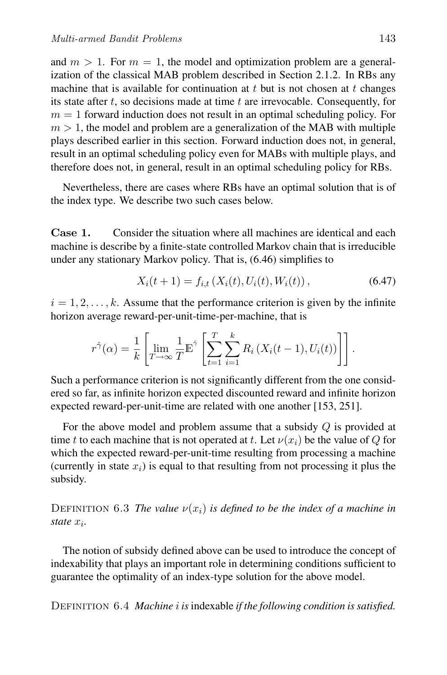and  $m > 1$ . For  $m = 1$ , the model and optimization problem are a generalization of the classical MAB problem described in Section 2.1.2. In RBs any machine that is available for continuation at  $t$  but is not chosen at  $t$  changes its state after  $t$ , so decisions made at time  $t$  are irrevocable. Consequently, for  $m = 1$  forward induction does not result in an optimal scheduling policy. For  $m > 1$ , the model and problem are a generalization of the MAB with multiple plays described earlier in this section. Forward induction does not, in general, result in an optimal scheduling policy even for MABs with multiple plays, and therefore does not, in general, result in an optimal scheduling policy for RBs.

Nevertheless, there are cases where RBs have an optimal solution that is of the index type. We describe two such cases below.

Case 1. Consider the situation where all machines are identical and each machine is describe by a finite-state controlled Markov chain that is irreducible under any stationary Markov policy. That is, (6.46) simplifies to

$$
X_i(t+1) = f_{i,t}(X_i(t), U_i(t), W_i(t)),
$$
\n(6.47)

 $i = 1, 2, \ldots, k$ . Assume that the performance criterion is given by the infinite horizon average reward-per-unit-time-per-machine, that is

$$
r^{\hat{\gamma}}(\alpha) = \frac{1}{k} \left[ \lim_{T \to \infty} \frac{1}{T} \mathbb{E}^{\hat{\gamma}} \left[ \sum_{t=1}^{T} \sum_{i=1}^{k} R_i \left( X_i(t-1), U_i(t) \right) \right] \right].
$$

Such a performance criterion is not significantly different from the one considered so far, as infinite horizon expected discounted reward and infinite horizon expected reward-per-unit-time are related with one another [153, 251].

For the above model and problem assume that a subsidy Q is provided at time t to each machine that is not operated at t. Let  $\nu(x_i)$  be the value of Q for which the expected reward-per-unit-time resulting from processing a machine (currently in state  $x_i$ ) is equal to that resulting from not processing it plus the subsidy.

DEFINITION 6.3 *The value*  $\nu(x_i)$  *is defined to be the index of a machine in state*  $x_i$ *.* 

The notion of subsidy defined above can be used to introduce the concept of indexability that plays an important role in determining conditions sufficient to guarantee the optimality of an index-type solution for the above model.

DEFINITION 6.4 *Machine i is* indexable *if the following condition is satisfied.*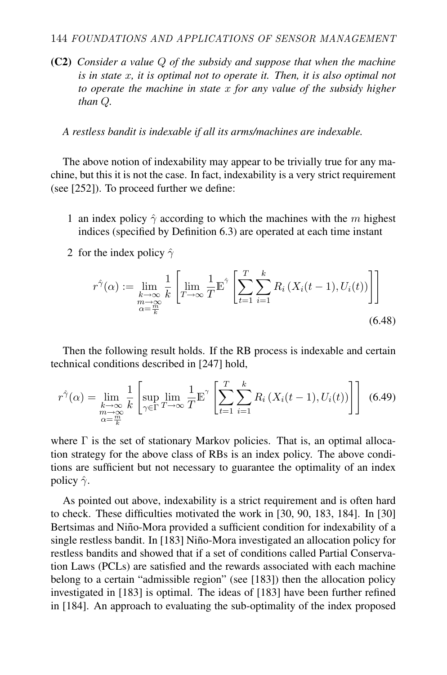**(C2)** *Consider a value* Q *of the subsidy and suppose that when the machine is in state* x*, it is optimal not to operate it. Then, it is also optimal not to operate the machine in state* x *for any value of the subsidy higher than* Q*.*

*A restless bandit is indexable if all its arms/machines are indexable.*

The above notion of indexability may appear to be trivially true for any machine, but this it is not the case. In fact, indexability is a very strict requirement (see [252]). To proceed further we define:

- 1 an index policy  $\hat{\gamma}$  according to which the machines with the m highest indices (specified by Definition 6.3) are operated at each time instant
- 2 for the index policy  $\hat{\gamma}$

$$
r^{\hat{\gamma}}(\alpha) := \lim_{\substack{k \to \infty \\ m \to \infty \\ \alpha = \frac{m}{k}}} \frac{1}{k} \left[ \lim_{T \to \infty} \frac{1}{T} \mathbb{E}^{\hat{\gamma}} \left[ \sum_{t=1}^{T} \sum_{i=1}^{k} R_i \left( X_i(t-1), U_i(t) \right) \right] \right]
$$
(6.48)

Then the following result holds. If the RB process is indexable and certain technical conditions described in [247] hold,

$$
r^{\hat{\gamma}}(\alpha) = \lim_{\substack{k \to \infty \\ m \to \infty \\ \alpha = \frac{m}{k}}} \frac{1}{k} \left[ \sup_{\gamma \in \Gamma} \lim_{T \to \infty} \frac{1}{T} \mathbb{E}^{\gamma} \left[ \sum_{t=1}^{T} \sum_{i=1}^{k} R_i \left( X_i(t-1), U_i(t) \right) \right] \right] \tag{6.49}
$$

where  $\Gamma$  is the set of stationary Markov policies. That is, an optimal allocation strategy for the above class of RBs is an index policy. The above conditions are sufficient but not necessary to guarantee the optimality of an index policy  $\hat{\gamma}$ .

As pointed out above, indexability is a strict requirement and is often hard to check. These difficulties motivated the work in [30, 90, 183, 184]. In [30] Bertsimas and Niño-Mora provided a sufficient condition for indexability of a single restless bandit. In [183] Niño-Mora investigated an allocation policy for restless bandits and showed that if a set of conditions called Partial Conservation Laws (PCLs) are satisfied and the rewards associated with each machine belong to a certain "admissible region" (see [183]) then the allocation policy investigated in [183] is optimal. The ideas of [183] have been further refined in [184]. An approach to evaluating the sub-optimality of the index proposed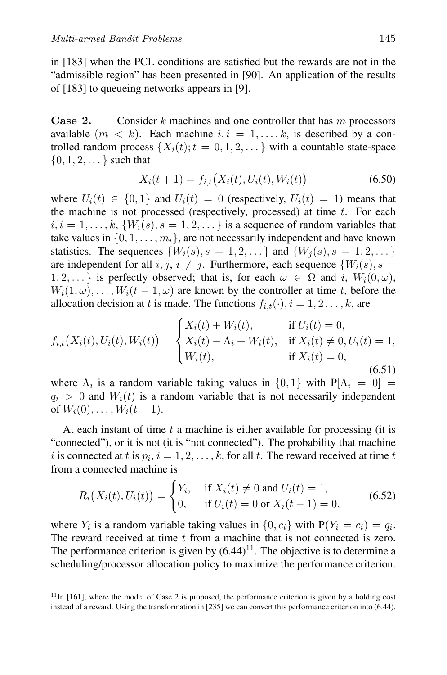in [183] when the PCL conditions are satisfied but the rewards are not in the "admissible region" has been presented in [90]. An application of the results of [183] to queueing networks appears in [9].

**Case 2.** Consider k machines and one controller that has m processors available  $(m < k)$ . Each machine  $i, i = 1, \ldots, k$ , is described by a controlled random process  $\{X_i(t); t = 0, 1, 2, \dots\}$  with a countable state-space  $\{0, 1, 2, \ldots\}$  such that

$$
X_i(t+1) = f_{i,t}(X_i(t), U_i(t), W_i(t))
$$
\n(6.50)

where  $U_i(t) \in \{0,1\}$  and  $U_i(t)=0$  (respectively,  $U_i(t)=1$ ) means that the machine is not processed (respectively, processed) at time  $t$ . For each  $i, i = 1, \ldots, k$ ,  $\{W_i(s), s = 1, 2, \ldots\}$  is a sequence of random variables that take values in  $\{0, 1, \ldots, m_i\}$ , are not necessarily independent and have known statistics. The sequences  $\{W_i(s), s = 1, 2, \dots\}$  and  $\{W_i(s), s = 1, 2, \dots\}$ are independent for all  $i, j, i \neq j$ . Furthermore, each sequence  $\{W_i(s), s =$  $1, 2, \ldots$  is perfectly observed; that is, for each  $\omega \in \Omega$  and i,  $W_i(0, \omega)$ ,  $W_i(1,\omega),\ldots,W_i(t-1,\omega)$  are known by the controller at time t, before the allocation decision at t is made. The functions  $f_{i,t}(\cdot), i = 1, 2, \ldots, k$ , are

$$
f_{i,t}(X_i(t), U_i(t), W_i(t)) = \begin{cases} X_i(t) + W_i(t), & \text{if } U_i(t) = 0, \\ X_i(t) - \Lambda_i + W_i(t), & \text{if } X_i(t) \neq 0, U_i(t) = 1, \\ W_i(t), & \text{if } X_i(t) = 0, \end{cases}
$$
\n(6.51)

where  $\Lambda_i$  is a random variable taking values in  $\{0,1\}$  with  $P[\Lambda_i = 0] =$  $q_i > 0$  and  $W_i(t)$  is a random variable that is not necessarily independent of  $W_i(0), \ldots, W_i(t-1)$ .

At each instant of time  $t$  a machine is either available for processing (it is "connected"), or it is not (it is "not connected"). The probability that machine i is connected at t is  $p_i$ ,  $i = 1, 2, \ldots, k$ , for all t. The reward received at time t from a connected machine is

$$
R_i(X_i(t), U_i(t)) = \begin{cases} Y_i, & \text{if } X_i(t) \neq 0 \text{ and } U_i(t) = 1, \\ 0, & \text{if } U_i(t) = 0 \text{ or } X_i(t-1) = 0, \end{cases}
$$
 (6.52)

where  $Y_i$  is a random variable taking values in  $\{0, c_i\}$  with  $P(Y_i = c_i) = q_i$ . The reward received at time  $t$  from a machine that is not connected is zero. The performance criterion is given by  $(6.44)^{11}$ . The objective is to determine a scheduling/processor allocation policy to maximize the performance criterion.

 $11$ In [161], where the model of Case 2 is proposed, the performance criterion is given by a holding cost instead of a reward. Using the transformation in [235] we can convert this performance criterion into (6.44).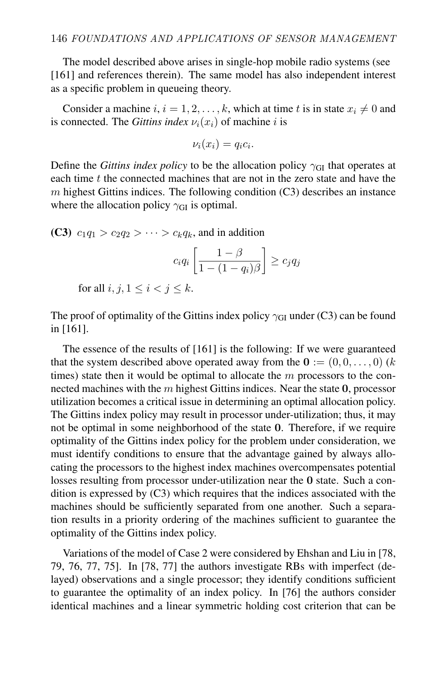The model described above arises in single-hop mobile radio systems (see [161] and references therein). The same model has also independent interest as a specific problem in queueing theory.

Consider a machine  $i, i = 1, 2, \ldots, k$ , which at time t is in state  $x_i \neq 0$  and is connected. The *Gittins index*  $\nu_i(x_i)$  of machine i is

$$
\nu_i(x_i) = q_i c_i.
$$

Define the *Gittins index policy* to be the allocation policy  $\gamma_{GI}$  that operates at each time  $t$  the connected machines that are not in the zero state and have the  $m$  highest Gittins indices. The following condition  $(C3)$  describes an instance where the allocation policy  $\gamma_{\text{GI}}$  is optimal.

**(C3)**  $c_1q_1 > c_2q_2 > \cdots > c_kq_k$ , and in addition

$$
c_i q_i \left[ \frac{1 - \beta}{1 - (1 - q_i)\beta} \right] \ge c_j q_j
$$

```
for all i, j, 1 \leq i < j \leq k.
```
The proof of optimality of the Gittins index policy  $\gamma_{GI}$  under (C3) can be found in [161].

The essence of the results of [161] is the following: If we were guaranteed that the system described above operated away from the  $\mathbf{0} := (0, 0, \dots, 0)$  (k times) state then it would be optimal to allocate the  $m$  processors to the connected machines with the  $m$  highest Gittins indices. Near the state  $0$ , processor utilization becomes a critical issue in determining an optimal allocation policy. The Gittins index policy may result in processor under-utilization; thus, it may not be optimal in some neighborhood of the state 0. Therefore, if we require optimality of the Gittins index policy for the problem under consideration, we must identify conditions to ensure that the advantage gained by always allocating the processors to the highest index machines overcompensates potential losses resulting from processor under-utilization near the 0 state. Such a condition is expressed by (C3) which requires that the indices associated with the machines should be sufficiently separated from one another. Such a separation results in a priority ordering of the machines sufficient to guarantee the optimality of the Gittins index policy.

Variations of the model of Case 2 were considered by Ehshan and Liu in [78, 79, 76, 77, 75]. In [78, 77] the authors investigate RBs with imperfect (delayed) observations and a single processor; they identify conditions sufficient to guarantee the optimality of an index policy. In [76] the authors consider identical machines and a linear symmetric holding cost criterion that can be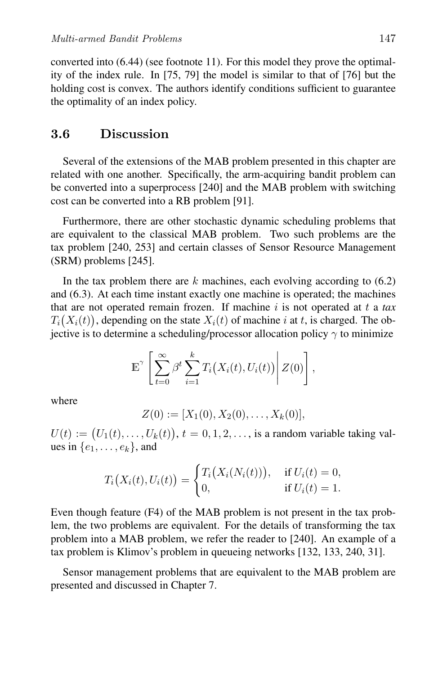converted into (6.44) (see footnote 11). For this model they prove the optimality of the index rule. In [75, 79] the model is similar to that of [76] but the holding cost is convex. The authors identify conditions sufficient to guarantee the optimality of an index policy.

#### 3.6 Discussion

Several of the extensions of the MAB problem presented in this chapter are related with one another. Specifically, the arm-acquiring bandit problem can be converted into a superprocess [240] and the MAB problem with switching cost can be converted into a RB problem [91].

Furthermore, there are other stochastic dynamic scheduling problems that are equivalent to the classical MAB problem. Two such problems are the tax problem [240, 253] and certain classes of Sensor Resource Management (SRM) problems [245].

In the tax problem there are  $k$  machines, each evolving according to  $(6.2)$ and (6.3). At each time instant exactly one machine is operated; the machines that are not operated remain frozen. If machine i is not operated at t a *tax*  $T_i(X_i(t))$ , depending on the state  $X_i(t)$  of machine i at t, is charged. The objective is to determine a scheduling/processor allocation policy  $\gamma$  to minimize

$$
\mathbb{E}^{\gamma}\left[\sum_{t=0}^{\infty}\beta^{t}\sum_{i=1}^{k}T_{i}\big(X_{i}(t),U_{i}(t)\big)\middle| Z(0)\right],
$$

where

$$
Z(0) := [X_1(0), X_2(0), \dots, X_k(0)],
$$

 $U(t) := (U_1(t), \ldots, U_k(t)), t = 0, 1, 2, \ldots$ , is a random variable taking values in  $\{e_1,\ldots,e_k\}$ , and

$$
T_i(X_i(t), U_i(t)) = \begin{cases} T_i(X_i(N_i(t))), & \text{if } U_i(t) = 0, \\ 0, & \text{if } U_i(t) = 1. \end{cases}
$$

Even though feature (F4) of the MAB problem is not present in the tax problem, the two problems are equivalent. For the details of transforming the tax problem into a MAB problem, we refer the reader to [240]. An example of a tax problem is Klimov's problem in queueing networks [132, 133, 240, 31].

Sensor management problems that are equivalent to the MAB problem are presented and discussed in Chapter 7.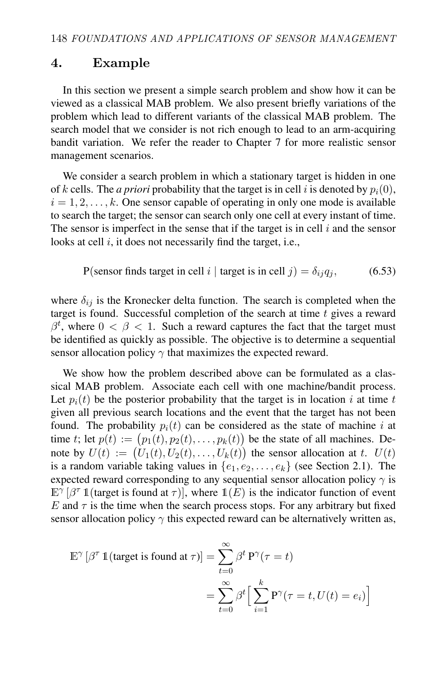### 4. Example

In this section we present a simple search problem and show how it can be viewed as a classical MAB problem. We also present briefly variations of the problem which lead to different variants of the classical MAB problem. The search model that we consider is not rich enough to lead to an arm-acquiring bandit variation. We refer the reader to Chapter 7 for more realistic sensor management scenarios.

We consider a search problem in which a stationary target is hidden in one of k cells. The *a priori* probability that the target is in cell i is denoted by  $p_i(0)$ ,  $i = 1, 2, \ldots, k$ . One sensor capable of operating in only one mode is available to search the target; the sensor can search only one cell at every instant of time. The sensor is imperfect in the sense that if the target is in cell  $i$  and the sensor looks at cell  $i$ , it does not necessarily find the target, i.e.,

P(sensor finds target in cell 
$$
i |
$$
 target is in cell  $j) = \delta_{ij} q_j$ , (6.53)

where  $\delta_{ij}$  is the Kronecker delta function. The search is completed when the target is found. Successful completion of the search at time  $t$  gives a reward  $\beta^t$ , where  $0 < \beta < 1$ . Such a reward captures the fact that the target must be identified as quickly as possible. The objective is to determine a sequential sensor allocation policy  $\gamma$  that maximizes the expected reward.

We show how the problem described above can be formulated as a classical MAB problem. Associate each cell with one machine/bandit process. Let  $p_i(t)$  be the posterior probability that the target is in location i at time t given all previous search locations and the event that the target has not been found. The probability  $p_i(t)$  can be considered as the state of machine i at time t; let  $p(t) := (p_1(t), p_2(t), \dots, p_k(t))$  be the state of all machines. Denote by  $U(t) := (U_1(t), U_2(t), \ldots, U_k(t))$  the sensor allocation at t.  $U(t)$ is a random variable taking values in  $\{e_1, e_2, \ldots, e_k\}$  (see Section 2.1). The expected reward corresponding to any sequential sensor allocation policy  $\gamma$  is  $\mathbb{E}^{\gamma}[\beta^{\tau}]$  1 (target is found at  $\tau$ )], where  $\mathbb{1}(E)$  is the indicator function of event E and  $\tau$  is the time when the search process stops. For any arbitrary but fixed sensor allocation policy  $\gamma$  this expected reward can be alternatively written as,

$$
\mathbb{E}^{\gamma} \left[ \beta^{\tau} \mathbb{1}(\text{target is found at } \tau) \right] = \sum_{t=0}^{\infty} \beta^t \mathbb{P}^{\gamma}(\tau = t)
$$

$$
= \sum_{t=0}^{\infty} \beta^t \Big[ \sum_{i=1}^{k} \mathbb{P}^{\gamma}(\tau = t, U(t) = e_i) \Big]
$$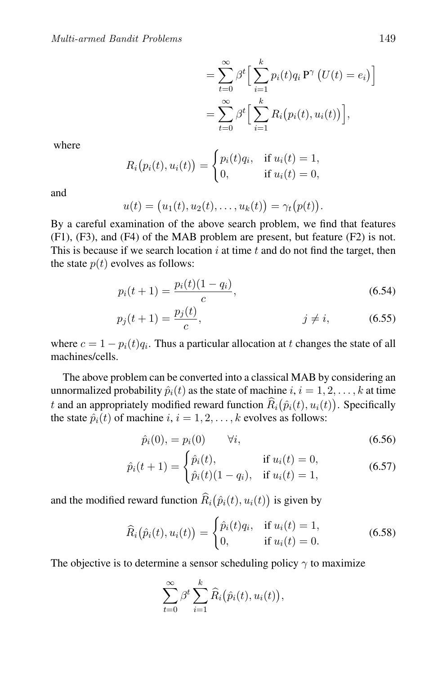$$
= \sum_{t=0}^{\infty} \beta^t \Big[ \sum_{i=1}^k p_i(t) q_i \, \mathbf{P}^{\gamma} \left( U(t) = e_i \right) \Big]
$$

$$
= \sum_{t=0}^{\infty} \beta^t \Big[ \sum_{i=1}^k R_i \big( p_i(t), u_i(t) \big) \Big],
$$

where

$$
R_i(p_i(t), u_i(t)) = \begin{cases} p_i(t)q_i, & \text{if } u_i(t) = 1, \\ 0, & \text{if } u_i(t) = 0, \end{cases}
$$

and

$$
u(t) = (u_1(t), u_2(t), \dots, u_k(t)) = \gamma_t(p(t)).
$$

By a careful examination of the above search problem, we find that features (F1), (F3), and (F4) of the MAB problem are present, but feature (F2) is not. This is because if we search location  $i$  at time  $t$  and do not find the target, then the state  $p(t)$  evolves as follows:

$$
p_i(t+1) = \frac{p_i(t)(1-q_i)}{c},\tag{6.54}
$$

$$
p_j(t+1) = \frac{p_j(t)}{c}, \t j \neq i,
$$
\t(6.55)

where  $c = 1 - p_i(t)q_i$ . Thus a particular allocation at t changes the state of all machines/cells.

The above problem can be converted into a classical MAB by considering an unnormalized probability  $\hat{p}_i(t)$  as the state of machine  $i, i = 1, 2, \ldots, k$  at time t and an appropriately modified reward function  $\widehat{R}_i(\hat{p}_i(t), u_i(t))$ . Specifically the state  $\hat{p}_i(t)$  of machine  $i, i = 1, 2, \ldots, k$  evolves as follows:

$$
\hat{p}_i(0), = p_i(0) \qquad \forall i,
$$
\n(6.56)

$$
\hat{p}_i(t+1) = \begin{cases} \hat{p}_i(t), & \text{if } u_i(t) = 0, \\ \hat{p}_i(t)(1-q_i), & \text{if } u_i(t) = 1, \end{cases}
$$
\n(6.57)

and the modified reward function  $\widehat{R}_i(\hat{p}_i(t), u_i(t))$  is given by

$$
\widehat{R}_i(\widehat{p}_i(t), u_i(t)) = \begin{cases} \widehat{p}_i(t)q_i, & \text{if } u_i(t) = 1, \\ 0, & \text{if } u_i(t) = 0. \end{cases}
$$
\n(6.58)

The objective is to determine a sensor scheduling policy  $\gamma$  to maximize

$$
\sum_{t=0}^{\infty} \beta^t \sum_{i=1}^k \widehat{R}_i(\widehat{p}_i(t), u_i(t)),
$$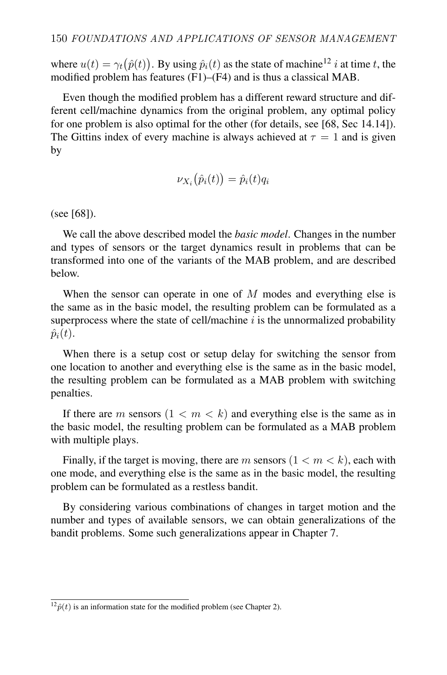where  $u(t) = \gamma_t(\hat{p}(t))$ . By using  $\hat{p}_i(t)$  as the state of machine<sup>12</sup> i at time t, the modified problem has features (F1)–(F4) and is thus a classical MAB.

Even though the modified problem has a different reward structure and different cell/machine dynamics from the original problem, any optimal policy for one problem is also optimal for the other (for details, see [68, Sec 14.14]). The Gittins index of every machine is always achieved at  $\tau = 1$  and is given by

$$
\nu_{X_i}(\hat{p}_i(t)) = \hat{p}_i(t)q_i
$$

(see [68]).

We call the above described model the *basic model*. Changes in the number and types of sensors or the target dynamics result in problems that can be transformed into one of the variants of the MAB problem, and are described below.

When the sensor can operate in one of  $M$  modes and everything else is the same as in the basic model, the resulting problem can be formulated as a superprocess where the state of cell/machine  $i$  is the unnormalized probability  $\hat{p}_i(t)$ .

When there is a setup cost or setup delay for switching the sensor from one location to another and everything else is the same as in the basic model, the resulting problem can be formulated as a MAB problem with switching penalties.

If there are m sensors  $(1 < m < k)$  and everything else is the same as in the basic model, the resulting problem can be formulated as a MAB problem with multiple plays.

Finally, if the target is moving, there are m sensors  $(1 < m < k)$ , each with one mode, and everything else is the same as in the basic model, the resulting problem can be formulated as a restless bandit.

By considering various combinations of changes in target motion and the number and types of available sensors, we can obtain generalizations of the bandit problems. Some such generalizations appear in Chapter 7.

 $12\hat{p}(t)$  is an information state for the modified problem (see Chapter 2).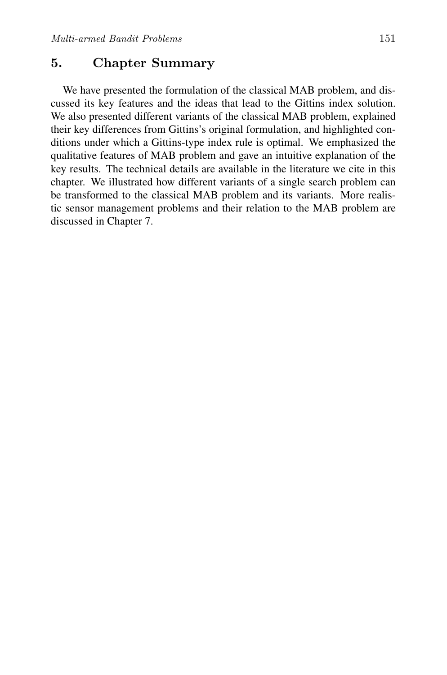### 5. Chapter Summary

We have presented the formulation of the classical MAB problem, and discussed its key features and the ideas that lead to the Gittins index solution. We also presented different variants of the classical MAB problem, explained their key differences from Gittins's original formulation, and highlighted conditions under which a Gittins-type index rule is optimal. We emphasized the qualitative features of MAB problem and gave an intuitive explanation of the key results. The technical details are available in the literature we cite in this chapter. We illustrated how different variants of a single search problem can be transformed to the classical MAB problem and its variants. More realistic sensor management problems and their relation to the MAB problem are discussed in Chapter 7.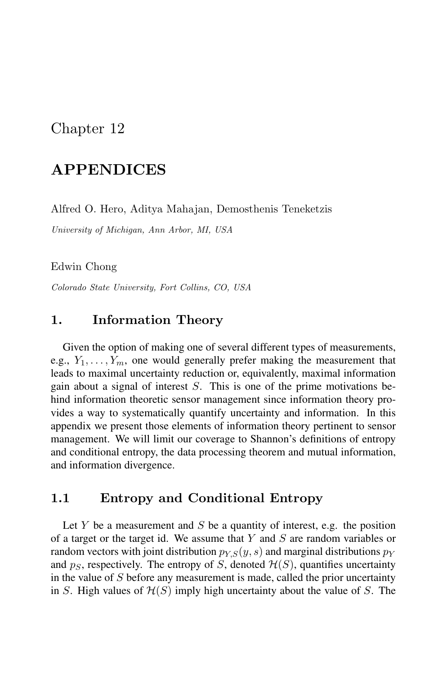## Chapter 12

# APPENDICES

Alfred O. Hero, Aditya Mahajan, Demosthenis Teneketzis

University of Michigan, Ann Arbor, MI, USA

#### Edwin Chong

Colorado State University, Fort Collins, CO, USA

## 1. Information Theory

Given the option of making one of several different types of measurements, e.g.,  $Y_1, \ldots, Y_m$ , one would generally prefer making the measurement that leads to maximal uncertainty reduction or, equivalently, maximal information gain about a signal of interest  $S$ . This is one of the prime motivations behind information theoretic sensor management since information theory provides a way to systematically quantify uncertainty and information. In this appendix we present those elements of information theory pertinent to sensor management. We will limit our coverage to Shannon's definitions of entropy and conditional entropy, the data processing theorem and mutual information, and information divergence.

#### 1.1 Entropy and Conditional Entropy

Let  $Y$  be a measurement and  $S$  be a quantity of interest, e.g. the position of a target or the target id. We assume that  $Y$  and  $S$  are random variables or random vectors with joint distribution  $p_{YS}(y, s)$  and marginal distributions  $p_Y$ and  $p<sub>S</sub>$ , respectively. The entropy of S, denoted  $\mathcal{H}(S)$ , quantifies uncertainty in the value of S before any measurement is made, called the prior uncertainty in S. High values of  $H(S)$  imply high uncertainty about the value of S. The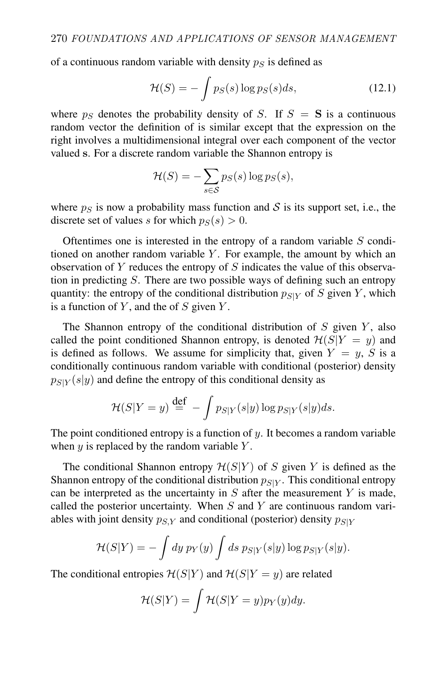of a continuous random variable with density  $p<sub>S</sub>$  is defined as

$$
\mathcal{H}(S) = -\int p_S(s) \log p_S(s) ds, \qquad (12.1)
$$

where  $p<sub>S</sub>$  denotes the probability density of S. If  $S = S$  is a continuous random vector the definition of is similar except that the expression on the right involves a multidimensional integral over each component of the vector valued s. For a discrete random variable the Shannon entropy is

$$
\mathcal{H}(S) = -\sum_{s \in \mathcal{S}} p_S(s) \log p_S(s),
$$

where  $p<sub>S</sub>$  is now a probability mass function and S is its support set, i.e., the discrete set of values s for which  $p_S(s) > 0$ .

Oftentimes one is interested in the entropy of a random variable  $S$  conditioned on another random variable  $Y$ . For example, the amount by which an observation of  $Y$  reduces the entropy of  $S$  indicates the value of this observation in predicting S. There are two possible ways of defining such an entropy quantity: the entropy of the conditional distribution  $p_{S|Y}$  of S given Y, which is a function of  $Y$ , and the of  $S$  given  $Y$ .

The Shannon entropy of the conditional distribution of  $S$  given  $Y$ , also called the point conditioned Shannon entropy, is denoted  $\mathcal{H}(S|Y = y)$  and is defined as follows. We assume for simplicity that, given  $Y = y$ , S is a conditionally continuous random variable with conditional (posterior) density  $p_{S|Y}(s|y)$  and define the entropy of this conditional density as

$$
\mathcal{H}(S|Y=y) \stackrel{\text{def}}{=} -\int p_{S|Y}(s|y) \log p_{S|Y}(s|y) ds.
$$

The point conditioned entropy is a function of  $y$ . It becomes a random variable when  $y$  is replaced by the random variable  $Y$ .

The conditional Shannon entropy  $H(S|Y)$  of S given Y is defined as the Shannon entropy of the conditional distribution  $p_{S|Y}$ . This conditional entropy can be interpreted as the uncertainty in  $S$  after the measurement  $Y$  is made, called the posterior uncertainty. When  $S$  and  $Y$  are continuous random variables with joint density  $p_{S,Y}$  and conditional (posterior) density  $p_{S|Y}$ 

$$
\mathcal{H}(S|Y) = -\int dy \, p_Y(y) \int ds \, p_{S|Y}(s|y) \log p_{S|Y}(s|y).
$$

The conditional entropies  $\mathcal{H}(S|Y)$  and  $\mathcal{H}(S|Y=y)$  are related

$$
\mathcal{H}(S|Y) = \int \mathcal{H}(S|Y=y)p_Y(y)dy.
$$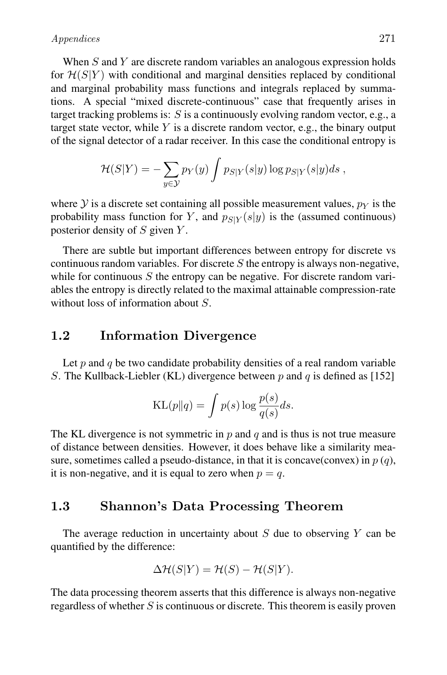#### Appendices 271

When S and Y are discrete random variables an analogous expression holds for  $\mathcal{H}(S|Y)$  with conditional and marginal densities replaced by conditional and marginal probability mass functions and integrals replaced by summations. A special "mixed discrete-continuous" case that frequently arises in target tracking problems is:  $S$  is a continuously evolving random vector, e.g., a target state vector, while  $Y$  is a discrete random vector, e.g., the binary output of the signal detector of a radar receiver. In this case the conditional entropy is

$$
\mathcal{H}(S|Y) = -\sum_{y \in \mathcal{Y}} p_Y(y) \int p_{S|Y}(s|y) \log p_{S|Y}(s|y) ds ,
$$

where  $Y$  is a discrete set containing all possible measurement values,  $p<sub>Y</sub>$  is the probability mass function for Y, and  $p_{S|Y}(s|y)$  is the (assumed continuous) posterior density of  $S$  given  $Y$ .

There are subtle but important differences between entropy for discrete vs continuous random variables. For discrete  $S$  the entropy is always non-negative, while for continuous  $S$  the entropy can be negative. For discrete random variables the entropy is directly related to the maximal attainable compression-rate without loss of information about S.

#### 1.2 Information Divergence

Let p and q be two candidate probability densities of a real random variable S. The Kullback-Liebler (KL) divergence between p and q is defined as [152]

$$
KL(p||q) = \int p(s) \log \frac{p(s)}{q(s)} ds.
$$

The KL divergence is not symmetric in  $p$  and  $q$  and is thus is not true measure of distance between densities. However, it does behave like a similarity measure, sometimes called a pseudo-distance, in that it is concave(convex) in  $p(q)$ , it is non-negative, and it is equal to zero when  $p = q$ .

#### 1.3 Shannon's Data Processing Theorem

The average reduction in uncertainty about  $S$  due to observing  $Y$  can be quantified by the difference:

$$
\Delta \mathcal{H}(S|Y) = \mathcal{H}(S) - \mathcal{H}(S|Y).
$$

The data processing theorem asserts that this difference is always non-negative regardless of whether  $S$  is continuous or discrete. This theorem is easily proven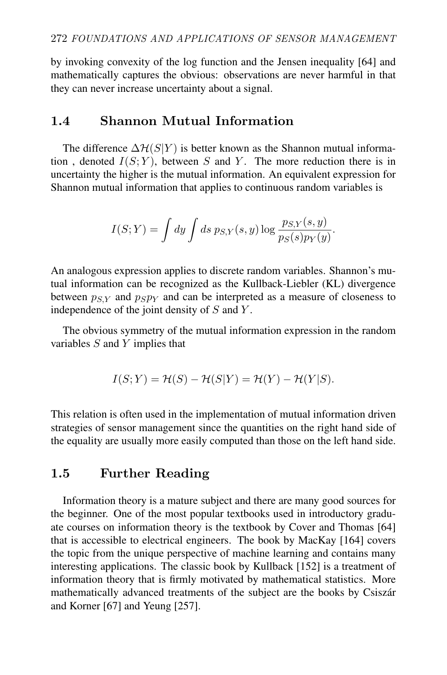by invoking convexity of the log function and the Jensen inequality [64] and mathematically captures the obvious: observations are never harmful in that they can never increase uncertainty about a signal.

### 1.4 Shannon Mutual Information

The difference  $\Delta \mathcal{H}(S|Y)$  is better known as the Shannon mutual information, denoted  $I(S; Y)$ , between S and Y. The more reduction there is in uncertainty the higher is the mutual information. An equivalent expression for Shannon mutual information that applies to continuous random variables is

$$
I(S;Y) = \int dy \int ds \ p_{S,Y}(s,y) \log \frac{p_{S,Y}(s,y)}{p_S(s)p_Y(y)}.
$$

An analogous expression applies to discrete random variables. Shannon's mutual information can be recognized as the Kullback-Liebler (KL) divergence between  $p_{S,Y}$  and  $p_Sp_Y$  and can be interpreted as a measure of closeness to independence of the joint density of  $S$  and  $Y$ .

The obvious symmetry of the mutual information expression in the random variables  $S$  and  $Y$  implies that

$$
I(S;Y) = \mathcal{H}(S) - \mathcal{H}(S|Y) = \mathcal{H}(Y) - \mathcal{H}(Y|S).
$$

This relation is often used in the implementation of mutual information driven strategies of sensor management since the quantities on the right hand side of the equality are usually more easily computed than those on the left hand side.

### 1.5 Further Reading

Information theory is a mature subject and there are many good sources for the beginner. One of the most popular textbooks used in introductory graduate courses on information theory is the textbook by Cover and Thomas [64] that is accessible to electrical engineers. The book by MacKay [164] covers the topic from the unique perspective of machine learning and contains many interesting applications. The classic book by Kullback [152] is a treatment of information theory that is firmly motivated by mathematical statistics. More mathematically advanced treatments of the subject are the books by Csiszár and Korner [67] and Yeung [257].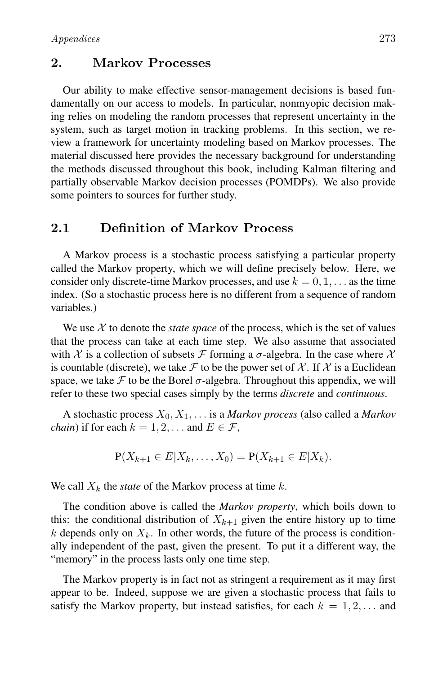### 2. Markov Processes

Our ability to make effective sensor-management decisions is based fundamentally on our access to models. In particular, nonmyopic decision making relies on modeling the random processes that represent uncertainty in the system, such as target motion in tracking problems. In this section, we review a framework for uncertainty modeling based on Markov processes. The material discussed here provides the necessary background for understanding the methods discussed throughout this book, including Kalman filtering and partially observable Markov decision processes (POMDPs). We also provide some pointers to sources for further study.

#### 2.1 Definition of Markov Process

A Markov process is a stochastic process satisfying a particular property called the Markov property, which we will define precisely below. Here, we consider only discrete-time Markov processes, and use  $k = 0, 1, \ldots$  as the time index. (So a stochastic process here is no different from a sequence of random variables.)

We use  $X$  to denote the *state space* of the process, which is the set of values that the process can take at each time step. We also assume that associated with X is a collection of subsets F forming a  $\sigma$ -algebra. In the case where X is countable (discrete), we take F to be the power set of X. If X is a Euclidean space, we take  $\mathcal F$  to be the Borel  $\sigma$ -algebra. Throughout this appendix, we will refer to these two special cases simply by the terms *discrete* and *continuous*.

A stochastic process X0, X1,... is a *Markov process* (also called a *Markov chain*) if for each  $k = 1, 2, \ldots$  and  $E \in \mathcal{F}$ ,

$$
P(X_{k+1} \in E | X_k, \dots, X_0) = P(X_{k+1} \in E | X_k).
$$

We call  $X_k$  the *state* of the Markov process at time  $k$ .

The condition above is called the *Markov property*, which boils down to this: the conditional distribution of  $X_{k+1}$  given the entire history up to time k depends only on  $X_k$ . In other words, the future of the process is conditionally independent of the past, given the present. To put it a different way, the "memory" in the process lasts only one time step.

The Markov property is in fact not as stringent a requirement as it may first appear to be. Indeed, suppose we are given a stochastic process that fails to satisfy the Markov property, but instead satisfies, for each  $k = 1, 2, \ldots$  and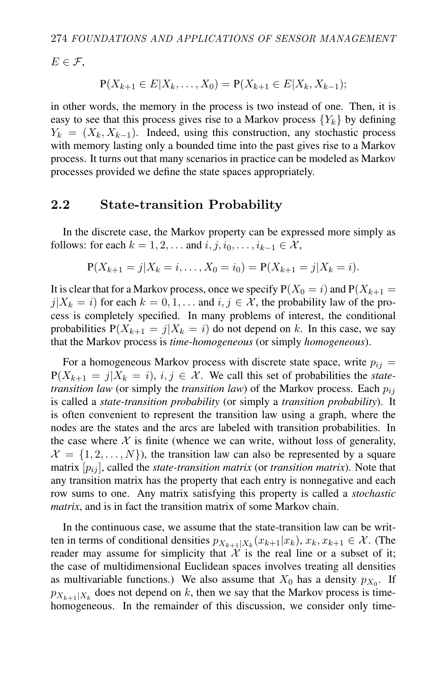$E \in \mathcal{F}$ ,

$$
P(X_{k+1} \in E | X_k, \dots, X_0) = P(X_{k+1} \in E | X_k, X_{k-1});
$$

in other words, the memory in the process is two instead of one. Then, it is easy to see that this process gives rise to a Markov process  ${Y_k}$  by defining  $Y_k = (X_k, X_{k-1})$ . Indeed, using this construction, any stochastic process with memory lasting only a bounded time into the past gives rise to a Markov process. It turns out that many scenarios in practice can be modeled as Markov processes provided we define the state spaces appropriately.

#### 2.2 State-transition Probability

In the discrete case, the Markov property can be expressed more simply as follows: for each  $k = 1, 2, \ldots$  and  $i, j, i_0, \ldots, i_{k-1} \in \mathcal{X}$ ,

$$
P(X_{k+1} = j | X_k = i, ..., X_0 = i_0) = P(X_{k+1} = j | X_k = i).
$$

It is clear that for a Markov process, once we specify  $P(X_0 = i)$  and  $P(X_{k+1} =$  $j|X_k = i$  for each  $k = 0, 1, \ldots$  and  $i, j \in \mathcal{X}$ , the probability law of the process is completely specified. In many problems of interest, the conditional probabilities  $P(X_{k+1} = j | X_k = i)$  do not depend on k. In this case, we say that the Markov process is *time-homogeneous* (or simply *homogeneous*).

For a homogeneous Markov process with discrete state space, write  $p_{ij} =$  $P(X_{k+1} = j | X_k = i), i, j \in \mathcal{X}$ . We call this set of probabilities the *statetransition law* (or simply the *transition law*) of the Markov process. Each  $p_{ij}$ is called a *state-transition probability* (or simply a *transition probability*). It is often convenient to represent the transition law using a graph, where the nodes are the states and the arcs are labeled with transition probabilities. In the case where  $\mathcal X$  is finite (whence we can write, without loss of generality,  $\mathcal{X} = \{1, 2, \ldots, N\}$ , the transition law can also be represented by a square matrix  $[p_{ij}]$ , called the *state-transition matrix* (or *transition matrix*). Note that any transition matrix has the property that each entry is nonnegative and each row sums to one. Any matrix satisfying this property is called a *stochastic matrix*, and is in fact the transition matrix of some Markov chain.

In the continuous case, we assume that the state-transition law can be written in terms of conditional densities  $p_{X_{k+1}|X_k}(x_{k+1}|x_k), x_k, x_{k+1} \in \mathcal{X}$ . (The reader may assume for simplicity that  $\mathcal X$  is the real line or a subset of it; the case of multidimensional Euclidean spaces involves treating all densities as multivariable functions.) We also assume that  $X_0$  has a density  $p_{X_0}$ . If  $p_{X_{k+1}|X_k}$  does not depend on k, then we say that the Markov process is timehomogeneous. In the remainder of this discussion, we consider only time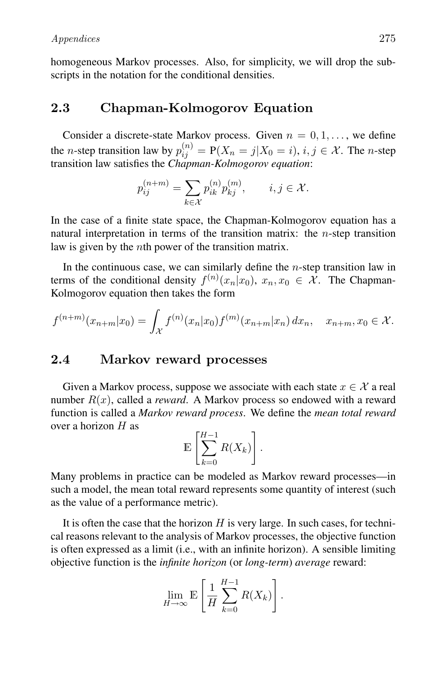homogeneous Markov processes. Also, for simplicity, we will drop the subscripts in the notation for the conditional densities.

### 2.3 Chapman-Kolmogorov Equation

Consider a discrete-state Markov process. Given  $n = 0, 1, \ldots$ , we define the *n*-step transition law by  $p_{ij}^{(n)} = P(X_n = j | X_0 = i), i, j \in \mathcal{X}$ . The *n*-step transition law satisfies the *Chapman-Kolmogorov equation*:

$$
p_{ij}^{(n+m)} = \sum_{k \in \mathcal{X}} p_{ik}^{(n)} p_{kj}^{(m)}, \qquad i, j \in \mathcal{X}.
$$

In the case of a finite state space, the Chapman-Kolmogorov equation has a natural interpretation in terms of the transition matrix: the  $n$ -step transition law is given by the nth power of the transition matrix.

In the continuous case, we can similarly define the  $n$ -step transition law in terms of the conditional density  $f^{(n)}(x_n|x_0), x_n, x_0 \in \mathcal{X}$ . The Chapman-Kolmogorov equation then takes the form

$$
f^{(n+m)}(x_{n+m}|x_0) = \int_{\mathcal{X}} f^{(n)}(x_n|x_0) f^{(m)}(x_{n+m}|x_n) dx_n, \quad x_{n+m}, x_0 \in \mathcal{X}.
$$

#### 2.4 Markov reward processes

Given a Markov process, suppose we associate with each state  $x \in \mathcal{X}$  a real number  $R(x)$ , called a *reward*. A Markov process so endowed with a reward function is called a *Markov reward process*. We define the *mean total reward* over a horizon  $H$  as

$$
\mathbb{E}\left[\sum_{k=0}^{H-1} R(X_k)\right].
$$

Many problems in practice can be modeled as Markov reward processes—in such a model, the mean total reward represents some quantity of interest (such as the value of a performance metric).

It is often the case that the horizon  $H$  is very large. In such cases, for technical reasons relevant to the analysis of Markov processes, the objective function is often expressed as a limit (i.e., with an infinite horizon). A sensible limiting objective function is the *infinite horizon* (or *long-term*) *average* reward:

$$
\lim_{H \to \infty} \mathbb{E}\left[\frac{1}{H} \sum_{k=0}^{H-1} R(X_k)\right].
$$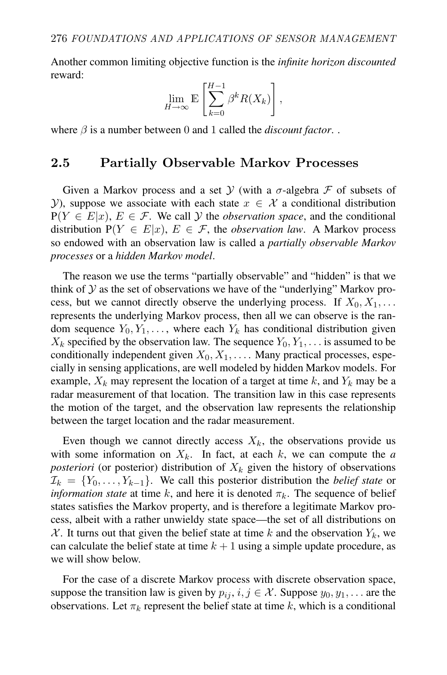Another common limiting objective function is the *infinite horizon discounted* reward:

$$
\lim_{H \to \infty} \mathbb{E}\left[\sum_{k=0}^{H-1} \beta^k R(X_k)\right],
$$

where  $\beta$  is a number between 0 and 1 called the *discount factor*.

#### 2.5 Partially Observable Markov Processes

Given a Markov process and a set  $\mathcal Y$  (with a  $\sigma$ -algebra  $\mathcal F$  of subsets of Y), suppose we associate with each state  $x \in \mathcal{X}$  a conditional distribution  $P(Y \in E|x)$ ,  $E \in \mathcal{F}$ . We call  $\mathcal Y$  the *observation space*, and the conditional distribution  $P(Y \in E|x)$ ,  $E \in \mathcal{F}$ , the *observation law*. A Markov process so endowed with an observation law is called a *partially observable Markov processes* or a *hidden Markov model*.

The reason we use the terms "partially observable" and "hidden" is that we think of  $Y$  as the set of observations we have of the "underlying" Markov process, but we cannot directly observe the underlying process. If  $X_0, X_1, \ldots$ represents the underlying Markov process, then all we can observe is the random sequence  $Y_0, Y_1, \ldots$ , where each  $Y_k$  has conditional distribution given  $X_k$  specified by the observation law. The sequence  $Y_0, Y_1, \ldots$  is assumed to be conditionally independent given  $X_0, X_1, \ldots$ . Many practical processes, especially in sensing applications, are well modeled by hidden Markov models. For example,  $X_k$  may represent the location of a target at time k, and  $Y_k$  may be a radar measurement of that location. The transition law in this case represents the motion of the target, and the observation law represents the relationship between the target location and the radar measurement.

Even though we cannot directly access  $X_k$ , the observations provide us with some information on  $X_k$ . In fact, at each k, we can compute the *a posteriori* (or posterior) distribution of  $X_k$  given the history of observations  $\mathcal{I}_k = \{Y_0, \ldots, Y_{k-1}\}.$  We call this posterior distribution the *belief state* or *information state* at time k, and here it is denoted  $\pi_k$ . The sequence of belief states satisfies the Markov property, and is therefore a legitimate Markov process, albeit with a rather unwieldy state space—the set of all distributions on X. It turns out that given the belief state at time k and the observation  $Y_k$ , we can calculate the belief state at time  $k + 1$  using a simple update procedure, as we will show below.

For the case of a discrete Markov process with discrete observation space, suppose the transition law is given by  $p_{ij}$ ,  $i, j \in \mathcal{X}$ . Suppose  $y_0, y_1, \ldots$  are the observations. Let  $\pi_k$  represent the belief state at time k, which is a conditional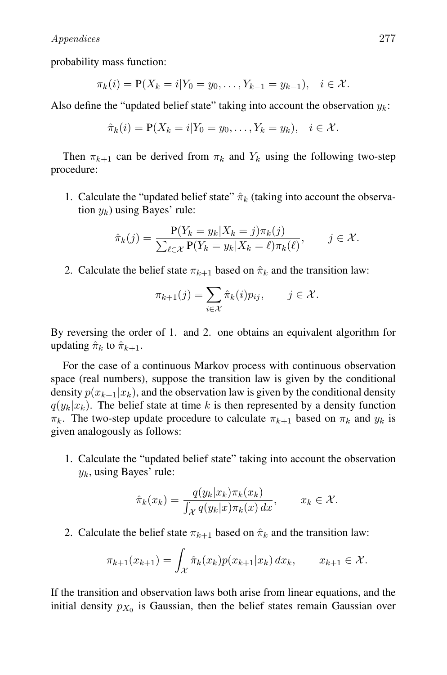probability mass function:

$$
\pi_k(i) = P(X_k = i | Y_0 = y_0, \dots, Y_{k-1} = y_{k-1}), \quad i \in \mathcal{X}.
$$

Also define the "updated belief state" taking into account the observation  $y_k$ :

$$
\hat{\pi}_k(i) = \mathbf{P}(X_k = i | Y_0 = y_0, \dots, Y_k = y_k), \quad i \in \mathcal{X}.
$$

Then  $\pi_{k+1}$  can be derived from  $\pi_k$  and  $Y_k$  using the following two-step procedure:

1. Calculate the "updated belief state"  $\hat{\pi}_k$  (taking into account the observation  $y_k$ ) using Bayes' rule:

$$
\hat{\pi}_k(j) = \frac{\mathbf{P}(Y_k = y_k | X_k = j)\pi_k(j)}{\sum_{\ell \in \mathcal{X}} \mathbf{P}(Y_k = y_k | X_k = \ell)\pi_k(\ell)}, \qquad j \in \mathcal{X}.
$$

2. Calculate the belief state  $\pi_{k+1}$  based on  $\hat{\pi}_k$  and the transition law:

$$
\pi_{k+1}(j) = \sum_{i \in \mathcal{X}} \hat{\pi}_k(i) p_{ij}, \qquad j \in \mathcal{X}.
$$

By reversing the order of 1. and 2. one obtains an equivalent algorithm for updating  $\hat{\pi}_k$  to  $\hat{\pi}_{k+1}$ .

For the case of a continuous Markov process with continuous observation space (real numbers), suppose the transition law is given by the conditional density  $p(x_{k+1}|x_k)$ , and the observation law is given by the conditional density  $q(y_k|x_k)$ . The belief state at time k is then represented by a density function  $\pi_k$ . The two-step update procedure to calculate  $\pi_{k+1}$  based on  $\pi_k$  and  $y_k$  is given analogously as follows:

1. Calculate the "updated belief state" taking into account the observation  $y_k$ , using Bayes' rule:

$$
\hat{\pi}_k(x_k) = \frac{q(y_k|x_k)\pi_k(x_k)}{\int_{\mathcal{X}} q(y_k|x)\pi_k(x) dx}, \qquad x_k \in \mathcal{X}.
$$

2. Calculate the belief state  $\pi_{k+1}$  based on  $\hat{\pi}_k$  and the transition law:

$$
\pi_{k+1}(x_{k+1}) = \int_{\mathcal{X}} \hat{\pi}_k(x_k) p(x_{k+1}|x_k) \, dx_k, \qquad x_{k+1} \in \mathcal{X}.
$$

If the transition and observation laws both arise from linear equations, and the initial density  $p_{X_0}$  is Gaussian, then the belief states remain Gaussian over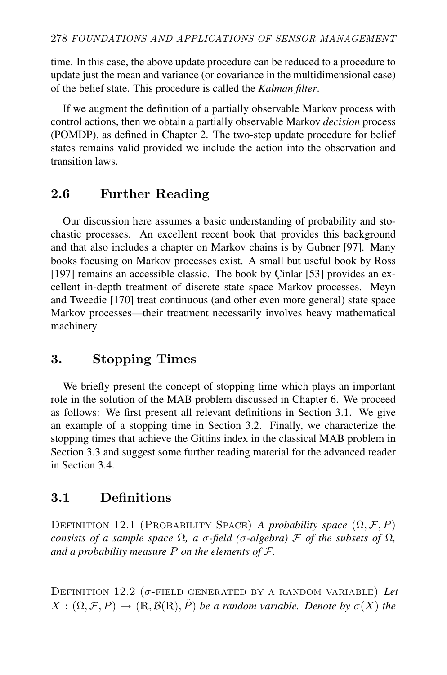time. In this case, the above update procedure can be reduced to a procedure to update just the mean and variance (or covariance in the multidimensional case) of the belief state. This procedure is called the *Kalman filter*.

If we augment the definition of a partially observable Markov process with control actions, then we obtain a partially observable Markov *decision* process (POMDP), as defined in Chapter 2. The two-step update procedure for belief states remains valid provided we include the action into the observation and transition laws.

## 2.6 Further Reading

Our discussion here assumes a basic understanding of probability and stochastic processes. An excellent recent book that provides this background and that also includes a chapter on Markov chains is by Gubner [97]. Many books focusing on Markov processes exist. A small but useful book by Ross [197] remains an accessible classic. The book by Cinlar [53] provides an excellent in-depth treatment of discrete state space Markov processes. Meyn and Tweedie [170] treat continuous (and other even more general) state space Markov processes—their treatment necessarily involves heavy mathematical machinery.

## 3. Stopping Times

We briefly present the concept of stopping time which plays an important role in the solution of the MAB problem discussed in Chapter 6. We proceed as follows: We first present all relevant definitions in Section 3.1. We give an example of a stopping time in Section 3.2. Finally, we characterize the stopping times that achieve the Gittins index in the classical MAB problem in Section 3.3 and suggest some further reading material for the advanced reader in Section 3.4.

## 3.1 Definitions

DEFINITION 12.1 (PROBABILITY SPACE) A *probability space*  $(\Omega, \mathcal{F}, P)$ *consists of a sample space* Ω*, a* σ*-field (*σ*-algebra)* F *of the subsets of* Ω*, and a probability measure* P *on the elements of* F*.*

DEFINITION  $12.2$  ( $\sigma$ -FIELD GENERATED BY A RANDOM VARIABLE) Let  $X : (\Omega, \mathcal{F}, P) \to (\mathbb{R}, \mathcal{B}(\mathbb{R}), \hat{P})$  *be a random variable. Denote by*  $\sigma(X)$  *the*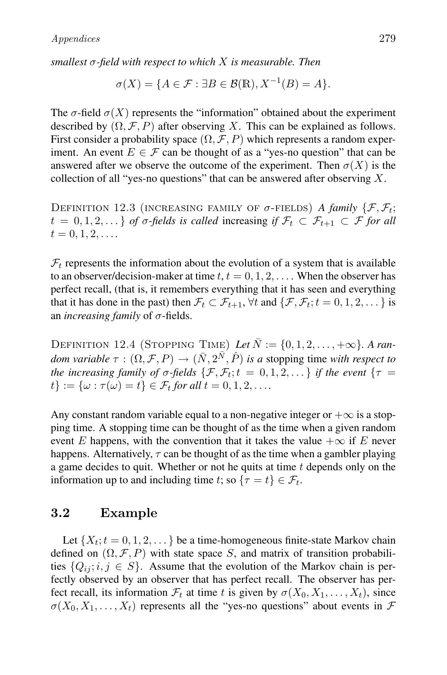*smallest* σ*-field with respect to which* X *is measurable. Then*

$$
\sigma(X) = \{ A \in \mathcal{F} : \exists B \in \mathcal{B}(\mathbb{R}), X^{-1}(B) = A \}.
$$

The  $\sigma$ -field  $\sigma(X)$  represents the "information" obtained about the experiment described by  $(\Omega, \mathcal{F}, P)$  after observing X. This can be explained as follows. First consider a probability space  $(\Omega, \mathcal{F}, P)$  which represents a random experiment. An event  $E \in \mathcal{F}$  can be thought of as a "yes-no question" that can be answered after we observe the outcome of the experiment. Then  $\sigma(X)$  is the collection of all "yes-no questions" that can be answered after observing  $X$ .

DEFINITION 12.3 (INCREASING FAMILY OF  $\sigma$ -FIELDS) A family  $\{\mathcal{F}, \mathcal{F}_t;$  $t = 0, 1, 2, \ldots$  *of σ*-fields is called increasing if  $\mathcal{F}_t \subset \mathcal{F}_{t+1} \subset \mathcal{F}$  for all  $t = 0, 1, 2, \ldots$ 

 $\mathcal{F}_t$  represents the information about the evolution of a system that is available to an observer/decision-maker at time  $t, t = 0, 1, 2, \ldots$ . When the observer has perfect recall, (that is, it remembers everything that it has seen and everything that it has done in the past) then  $\mathcal{F}_t \subset \mathcal{F}_{t+1}$ ,  $\forall t$  and  $\{\mathcal{F}, \mathcal{F}_t; t = 0, 1, 2, \dots\}$  is an *increasing family* of σ-fields.

DEFINITION 12.4 (STOPPING TIME) Let  $\overline{N} := \{0, 1, 2, \ldots, +\infty\}$ *. A random variable*  $\tau : (\Omega, \mathcal{F}, P) \to (\bar{N}, 2^{\bar{N}}, \hat{P})$  *is a stopping time with respect to the increasing family of*  $\sigma$ *-fields*  $\{\mathcal{F}, \mathcal{F}_t; t = 0, 1, 2, \dots\}$  *if the event*  $\{\tau =$  $t\} := {\omega : \tau(\omega) = t} \in \mathcal{F}_t$  for all  $t = 0, 1, 2, \ldots$ *.* 

Any constant random variable equal to a non-negative integer or  $+\infty$  is a stopping time. A stopping time can be thought of as the time when a given random event E happens, with the convention that it takes the value  $+\infty$  if E never happens. Alternatively,  $\tau$  can be thought of as the time when a gambler playing a game decides to quit. Whether or not he quits at time  $t$  depends only on the information up to and including time t; so  $\{\tau = t\} \in \mathcal{F}_t$ .

#### 3.2 Example

Let  $\{X_t; t = 0, 1, 2, \dots\}$  be a time-homogeneous finite-state Markov chain defined on  $(\Omega, \mathcal{F}, P)$  with state space S, and matrix of transition probabilities  $\{Q_{ij}; i, j \in S\}$ . Assume that the evolution of the Markov chain is perfectly observed by an observer that has perfect recall. The observer has perfect recall, its information  $\mathcal{F}_t$  at time t is given by  $\sigma(X_0, X_1, \ldots, X_t)$ , since  $\sigma(X_0, X_1, \ldots, X_t)$  represents all the "yes-no questions" about events in  $\mathcal F$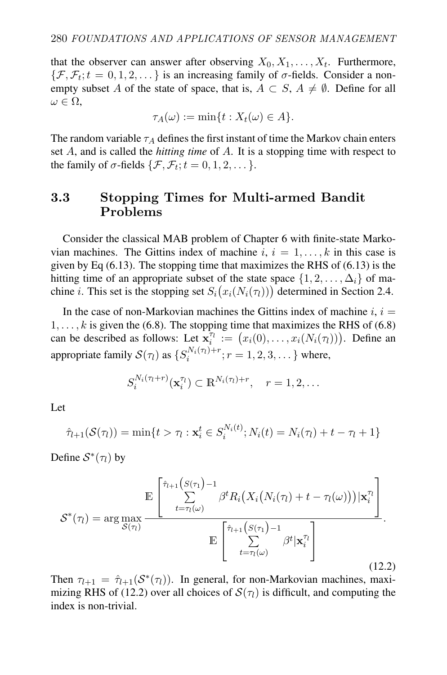that the observer can answer after observing  $X_0, X_1, \ldots, X_t$ . Furthermore,  $\{\mathcal{F}, \mathcal{F}_t; t = 0, 1, 2, \dots\}$  is an increasing family of  $\sigma$ -fields. Consider a nonempty subset A of the state of space, that is,  $A \subset S$ ,  $A \neq \emptyset$ . Define for all  $\omega \in \Omega$ ,

$$
\tau_A(\omega) := \min\{t : X_t(\omega) \in A\}.
$$

The random variable  $\tau_A$  defines the first instant of time the Markov chain enters set A, and is called the *hitting time* of A. It is a stopping time with respect to the family of  $\sigma$ -fields  $\{\mathcal{F}, \mathcal{F}_t; t = 0, 1, 2, \dots\}.$ 

### 3.3 Stopping Times for Multi-armed Bandit Problems

Consider the classical MAB problem of Chapter 6 with finite-state Markovian machines. The Gittins index of machine  $i, i = 1, \ldots, k$  in this case is given by Eq  $(6.13)$ . The stopping time that maximizes the RHS of  $(6.13)$  is the hitting time of an appropriate subset of the state space  $\{1, 2, \ldots, \Delta_i\}$  of machine *i*. This set is the stopping set  $S_i(x_i(N_i(\tau_i)))$  determined in Section 2.4.

In the case of non-Markovian machines the Gittins index of machine i,  $i =$  $1, \ldots, k$  is given the (6.8). The stopping time that maximizes the RHS of (6.8) can be described as follows: Let  $\mathbf{x}_i^{\tau_i}$  $\mathcal{I}_i^{\tau_i} := (x_i(0), \ldots, x_i(N_i(\tau_i)))$ . Define an appropriate family  $\mathcal{S}(\tau_l)$  as  $\{S_i^{N_i(\tau_l)+r}\}$  $i^{[N_i(\tau_l)+r}$ ;  $r = 1, 2, 3, ...$  where,

$$
S_i^{N_i(\tau_l+r)}(\mathbf{x}_i^{\tau_l}) \subset \mathbb{R}^{N_i(\tau_l)+r}, \quad r = 1, 2, \dots
$$

Let

$$
\hat{\tau}_{l+1}(\mathcal{S}(\tau_l)) = \min\{t > \tau_l : \mathbf{x}_i^t \in S_i^{N_i(t)}; N_i(t) = N_i(\tau_l) + t - \tau_l + 1\}
$$

Define  $S^*(\tau_l)$  by

$$
S^*(\tau_l) = \arg \max_{S(\tau_l)} \frac{\mathbb{E}\left[\sum_{t=\tau_l(\omega)}^{\hat{\tau}_{l+1}} \beta^t R_i \big(X_i \big(N_i(\tau_l) + t - \tau_l(\omega)\big)\big) | \mathbf{x}_i^{\tau_l}\right]}{\mathbb{E}\left[\sum_{t=\tau_l(\omega)}^{\hat{\tau}_{l+1}} \beta^t | \mathbf{x}_i^{\tau_l}\right]}.
$$
\n(12.2)

Then  $\tau_{l+1} = \hat{\tau}_{l+1}(\mathcal{S}^*(\tau_l))$ . In general, for non-Markovian machines, maximizing RHS of (12.2) over all choices of  $S(\tau)$  is difficult, and computing the index is non-trivial.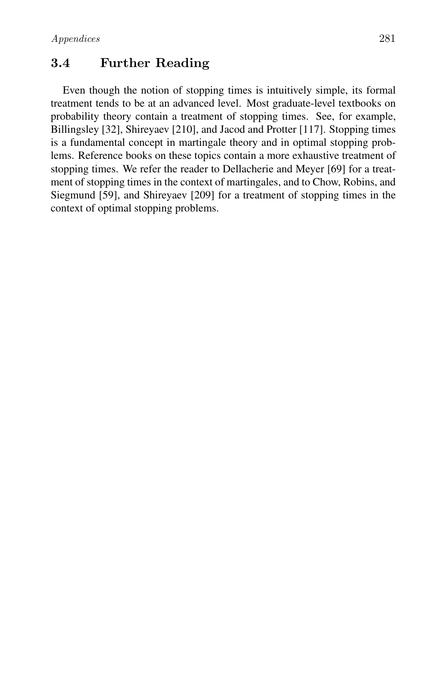## 3.4 Further Reading

Even though the notion of stopping times is intuitively simple, its formal treatment tends to be at an advanced level. Most graduate-level textbooks on probability theory contain a treatment of stopping times. See, for example, Billingsley [32], Shireyaev [210], and Jacod and Protter [117]. Stopping times is a fundamental concept in martingale theory and in optimal stopping problems. Reference books on these topics contain a more exhaustive treatment of stopping times. We refer the reader to Dellacherie and Meyer [69] for a treatment of stopping times in the context of martingales, and to Chow, Robins, and Siegmund [59], and Shireyaev [209] for a treatment of stopping times in the context of optimal stopping problems.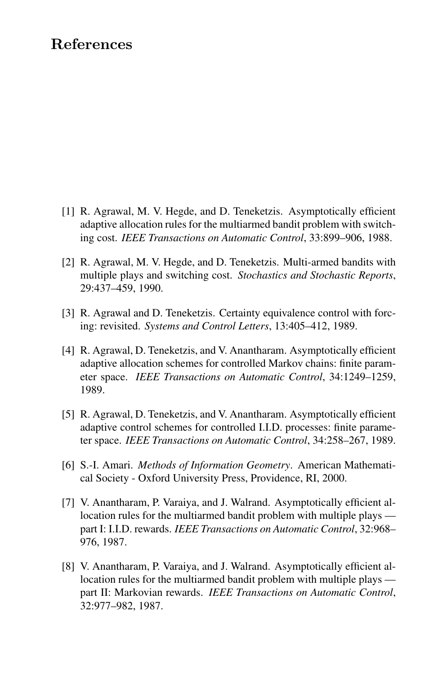# References

- [1] R. Agrawal, M. V. Hegde, and D. Teneketzis. Asymptotically efficient adaptive allocation rules for the multiarmed bandit problem with switching cost. *IEEE Transactions on Automatic Control*, 33:899–906, 1988.
- [2] R. Agrawal, M. V. Hegde, and D. Teneketzis. Multi-armed bandits with multiple plays and switching cost. *Stochastics and Stochastic Reports*, 29:437–459, 1990.
- [3] R. Agrawal and D. Teneketzis. Certainty equivalence control with forcing: revisited. *Systems and Control Letters*, 13:405–412, 1989.
- [4] R. Agrawal, D. Teneketzis, and V. Anantharam. Asymptotically efficient adaptive allocation schemes for controlled Markov chains: finite parameter space. *IEEE Transactions on Automatic Control*, 34:1249–1259, 1989.
- [5] R. Agrawal, D. Teneketzis, and V. Anantharam. Asymptotically efficient adaptive control schemes for controlled I.I.D. processes: finite parameter space. *IEEE Transactions on Automatic Control*, 34:258–267, 1989.
- [6] S.-I. Amari. *Methods of Information Geometry*. American Mathematical Society - Oxford University Press, Providence, RI, 2000.
- [7] V. Anantharam, P. Varaiya, and J. Walrand. Asymptotically efficient allocation rules for the multiarmed bandit problem with multiple plays part I: I.I.D. rewards. *IEEE Transactions on Automatic Control*, 32:968– 976, 1987.
- [8] V. Anantharam, P. Varaiya, and J. Walrand. Asymptotically efficient allocation rules for the multiarmed bandit problem with multiple plays part II: Markovian rewards. *IEEE Transactions on Automatic Control*, 32:977–982, 1987.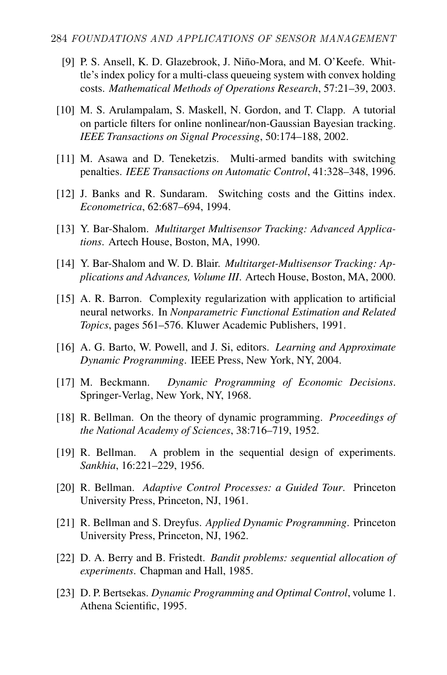- [9] P. S. Ansell, K. D. Glazebrook, J. Niño-Mora, and M. O'Keefe. Whittle's index policy for a multi-class queueing system with convex holding costs. *Mathematical Methods of Operations Research*, 57:21–39, 2003.
- [10] M. S. Arulampalam, S. Maskell, N. Gordon, and T. Clapp. A tutorial on particle filters for online nonlinear/non-Gaussian Bayesian tracking. *IEEE Transactions on Signal Processing*, 50:174–188, 2002.
- [11] M. Asawa and D. Teneketzis. Multi-armed bandits with switching penalties. *IEEE Transactions on Automatic Control*, 41:328–348, 1996.
- [12] J. Banks and R. Sundaram. Switching costs and the Gittins index. *Econometrica*, 62:687–694, 1994.
- [13] Y. Bar-Shalom. *Multitarget Multisensor Tracking: Advanced Applications*. Artech House, Boston, MA, 1990.
- [14] Y. Bar-Shalom and W. D. Blair. *Multitarget-Multisensor Tracking: Applications and Advances, Volume III*. Artech House, Boston, MA, 2000.
- [15] A. R. Barron. Complexity regularization with application to artificial neural networks. In *Nonparametric Functional Estimation and Related Topics*, pages 561–576. Kluwer Academic Publishers, 1991.
- [16] A. G. Barto, W. Powell, and J. Si, editors. *Learning and Approximate Dynamic Programming*. IEEE Press, New York, NY, 2004.
- [17] M. Beckmann. *Dynamic Programming of Economic Decisions*. Springer-Verlag, New York, NY, 1968.
- [18] R. Bellman. On the theory of dynamic programming. *Proceedings of the National Academy of Sciences*, 38:716–719, 1952.
- [19] R. Bellman. A problem in the sequential design of experiments. *Sankhia*, 16:221–229, 1956.
- [20] R. Bellman. *Adaptive Control Processes: a Guided Tour*. Princeton University Press, Princeton, NJ, 1961.
- [21] R. Bellman and S. Dreyfus. *Applied Dynamic Programming*. Princeton University Press, Princeton, NJ, 1962.
- [22] D. A. Berry and B. Fristedt. *Bandit problems: sequential allocation of experiments*. Chapman and Hall, 1985.
- [23] D. P. Bertsekas. *Dynamic Programming and Optimal Control*, volume 1. Athena Scientific, 1995.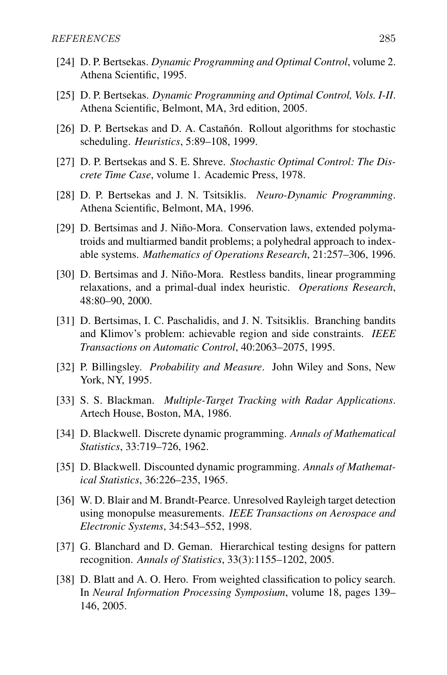- [24] D. P. Bertsekas. *Dynamic Programming and Optimal Control*, volume 2. Athena Scientific, 1995.
- [25] D. P. Bertsekas. *Dynamic Programming and Optimal Control, Vols. I-II*. Athena Scientific, Belmont, MA, 3rd edition, 2005.
- [26] D. P. Bertsekas and D. A. Castañón. Rollout algorithms for stochastic scheduling. *Heuristics*, 5:89–108, 1999.
- [27] D. P. Bertsekas and S. E. Shreve. *Stochastic Optimal Control: The Discrete Time Case*, volume 1. Academic Press, 1978.
- [28] D. P. Bertsekas and J. N. Tsitsiklis. *Neuro-Dynamic Programming*. Athena Scientific, Belmont, MA, 1996.
- [29] D. Bertsimas and J. Niño-Mora. Conservation laws, extended polymatroids and multiarmed bandit problems; a polyhedral approach to indexable systems. *Mathematics of Operations Research*, 21:257–306, 1996.
- [30] D. Bertsimas and J. Niño-Mora. Restless bandits, linear programming relaxations, and a primal-dual index heuristic. *Operations Research*, 48:80–90, 2000.
- [31] D. Bertsimas, I. C. Paschalidis, and J. N. Tsitsiklis. Branching bandits and Klimov's problem: achievable region and side constraints. *IEEE Transactions on Automatic Control*, 40:2063–2075, 1995.
- [32] P. Billingsley. *Probability and Measure*. John Wiley and Sons, New York, NY, 1995.
- [33] S. S. Blackman. *Multiple-Target Tracking with Radar Applications*. Artech House, Boston, MA, 1986.
- [34] D. Blackwell. Discrete dynamic programming. *Annals of Mathematical Statistics*, 33:719–726, 1962.
- [35] D. Blackwell. Discounted dynamic programming. *Annals of Mathematical Statistics*, 36:226–235, 1965.
- [36] W. D. Blair and M. Brandt-Pearce. Unresolved Rayleigh target detection using monopulse measurements. *IEEE Transactions on Aerospace and Electronic Systems*, 34:543–552, 1998.
- [37] G. Blanchard and D. Geman. Hierarchical testing designs for pattern recognition. *Annals of Statistics*, 33(3):1155–1202, 2005.
- [38] D. Blatt and A. O. Hero. From weighted classification to policy search. In *Neural Information Processing Symposium*, volume 18, pages 139– 146, 2005.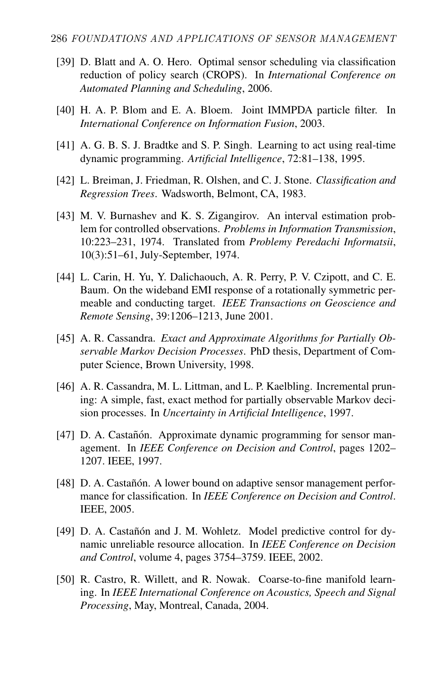- [39] D. Blatt and A. O. Hero. Optimal sensor scheduling via classification reduction of policy search (CROPS). In *International Conference on Automated Planning and Scheduling*, 2006.
- [40] H. A. P. Blom and E. A. Bloem. Joint IMMPDA particle filter. In *International Conference on Information Fusion*, 2003.
- [41] A. G. B. S. J. Bradtke and S. P. Singh. Learning to act using real-time dynamic programming. *Artificial Intelligence*, 72:81–138, 1995.
- [42] L. Breiman, J. Friedman, R. Olshen, and C. J. Stone. *Classification and Regression Trees*. Wadsworth, Belmont, CA, 1983.
- [43] M. V. Burnashev and K. S. Zigangirov. An interval estimation problem for controlled observations. *Problems in Information Transmission*, 10:223–231, 1974. Translated from *Problemy Peredachi Informatsii*, 10(3):51–61, July-September, 1974.
- [44] L. Carin, H. Yu, Y. Dalichaouch, A. R. Perry, P. V. Czipott, and C. E. Baum. On the wideband EMI response of a rotationally symmetric permeable and conducting target. *IEEE Transactions on Geoscience and Remote Sensing*, 39:1206–1213, June 2001.
- [45] A. R. Cassandra. *Exact and Approximate Algorithms for Partially Observable Markov Decision Processes*. PhD thesis, Department of Computer Science, Brown University, 1998.
- [46] A. R. Cassandra, M. L. Littman, and L. P. Kaelbling. Incremental pruning: A simple, fast, exact method for partially observable Markov decision processes. In *Uncertainty in Artificial Intelligence*, 1997.
- [47] D. A. Castañón. Approximate dynamic programming for sensor management. In *IEEE Conference on Decision and Control*, pages 1202– 1207. IEEE, 1997.
- [48] D. A. Castañón. A lower bound on adaptive sensor management performance for classification. In *IEEE Conference on Decision and Control*. IEEE, 2005.
- [49] D. A. Castañón and J. M. Wohletz. Model predictive control for dynamic unreliable resource allocation. In *IEEE Conference on Decision and Control*, volume 4, pages 3754–3759. IEEE, 2002.
- [50] R. Castro, R. Willett, and R. Nowak. Coarse-to-fine manifold learning. In *IEEE International Conference on Acoustics, Speech and Signal Processing*, May, Montreal, Canada, 2004.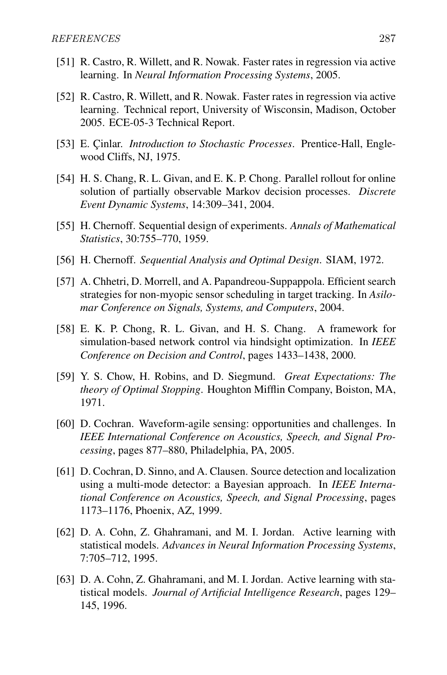- [51] R. Castro, R. Willett, and R. Nowak. Faster rates in regression via active learning. In *Neural Information Processing Systems*, 2005.
- [52] R. Castro, R. Willett, and R. Nowak. Faster rates in regression via active learning. Technical report, University of Wisconsin, Madison, October 2005. ECE-05-3 Technical Report.
- [53] E. Cinlar. *Introduction to Stochastic Processes*. Prentice-Hall, Englewood Cliffs, NJ, 1975.
- [54] H. S. Chang, R. L. Givan, and E. K. P. Chong. Parallel rollout for online solution of partially observable Markov decision processes. *Discrete Event Dynamic Systems*, 14:309–341, 2004.
- [55] H. Chernoff. Sequential design of experiments. *Annals of Mathematical Statistics*, 30:755–770, 1959.
- [56] H. Chernoff. *Sequential Analysis and Optimal Design*. SIAM, 1972.
- [57] A. Chhetri, D. Morrell, and A. Papandreou-Suppappola. Efficient search strategies for non-myopic sensor scheduling in target tracking. In *Asilomar Conference on Signals, Systems, and Computers*, 2004.
- [58] E. K. P. Chong, R. L. Givan, and H. S. Chang. A framework for simulation-based network control via hindsight optimization. In *IEEE Conference on Decision and Control*, pages 1433–1438, 2000.
- [59] Y. S. Chow, H. Robins, and D. Siegmund. *Great Expectations: The theory of Optimal Stopping*. Houghton Mifflin Company, Boiston, MA, 1971.
- [60] D. Cochran. Waveform-agile sensing: opportunities and challenges. In *IEEE International Conference on Acoustics, Speech, and Signal Processing*, pages 877–880, Philadelphia, PA, 2005.
- [61] D. Cochran, D. Sinno, and A. Clausen. Source detection and localization using a multi-mode detector: a Bayesian approach. In *IEEE International Conference on Acoustics, Speech, and Signal Processing*, pages 1173–1176, Phoenix, AZ, 1999.
- [62] D. A. Cohn, Z. Ghahramani, and M. I. Jordan. Active learning with statistical models. *Advances in Neural Information Processing Systems*, 7:705–712, 1995.
- [63] D. A. Cohn, Z. Ghahramani, and M. I. Jordan. Active learning with statistical models. *Journal of Artificial Intelligence Research*, pages 129– 145, 1996.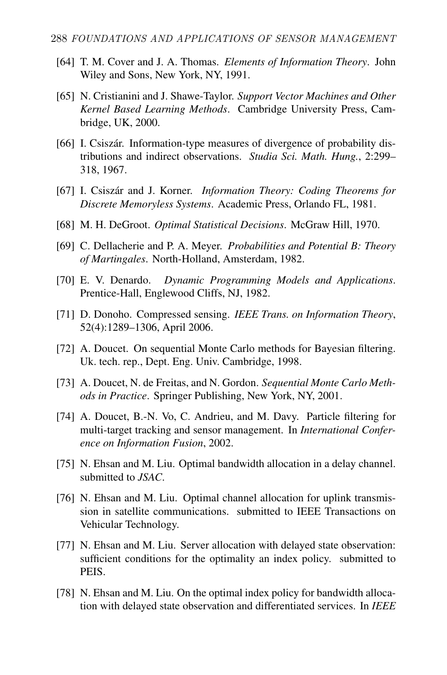- [64] T. M. Cover and J. A. Thomas. *Elements of Information Theory*. John Wiley and Sons, New York, NY, 1991.
- [65] N. Cristianini and J. Shawe-Taylor. *Support Vector Machines and Other Kernel Based Learning Methods*. Cambridge University Press, Cambridge, UK, 2000.
- [66] I. Csiszár. Information-type measures of divergence of probability distributions and indirect observations. *Studia Sci. Math. Hung.*, 2:299– 318, 1967.
- [67] I. Csiszár and J. Korner. *Information Theory: Coding Theorems for Discrete Memoryless Systems*. Academic Press, Orlando FL, 1981.
- [68] M. H. DeGroot. *Optimal Statistical Decisions*. McGraw Hill, 1970.
- [69] C. Dellacherie and P. A. Meyer. *Probabilities and Potential B: Theory of Martingales*. North-Holland, Amsterdam, 1982.
- [70] E. V. Denardo. *Dynamic Programming Models and Applications*. Prentice-Hall, Englewood Cliffs, NJ, 1982.
- [71] D. Donoho. Compressed sensing. *IEEE Trans. on Information Theory*, 52(4):1289–1306, April 2006.
- [72] A. Doucet. On sequential Monte Carlo methods for Bayesian filtering. Uk. tech. rep., Dept. Eng. Univ. Cambridge, 1998.
- [73] A. Doucet, N. de Freitas, and N. Gordon. *Sequential Monte Carlo Methods in Practice*. Springer Publishing, New York, NY, 2001.
- [74] A. Doucet, B.-N. Vo, C. Andrieu, and M. Davy. Particle filtering for multi-target tracking and sensor management. In *International Conference on Information Fusion*, 2002.
- [75] N. Ehsan and M. Liu. Optimal bandwidth allocation in a delay channel. submitted to *JSAC*.
- [76] N. Ehsan and M. Liu. Optimal channel allocation for uplink transmission in satellite communications. submitted to IEEE Transactions on Vehicular Technology.
- [77] N. Ehsan and M. Liu. Server allocation with delayed state observation: sufficient conditions for the optimality an index policy. submitted to PEIS.
- [78] N. Ehsan and M. Liu. On the optimal index policy for bandwidth allocation with delayed state observation and differentiated services. In *IEEE*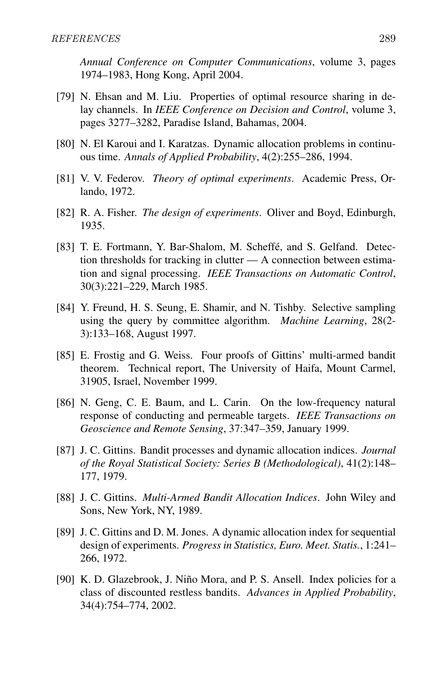*Annual Conference on Computer Communications*, volume 3, pages 1974–1983, Hong Kong, April 2004.

- [79] N. Ehsan and M. Liu. Properties of optimal resource sharing in delay channels. In *IEEE Conference on Decision and Control*, volume 3, pages 3277–3282, Paradise Island, Bahamas, 2004.
- [80] N. El Karoui and I. Karatzas. Dynamic allocation problems in continuous time. *Annals of Applied Probability*, 4(2):255–286, 1994.
- [81] V. V. Federov. *Theory of optimal experiments*. Academic Press, Orlando, 1972.
- [82] R. A. Fisher. *The design of experiments*. Oliver and Boyd, Edinburgh, 1935.
- [83] T. E. Fortmann, Y. Bar-Shalom, M. Scheffé, and S. Gelfand. Detection thresholds for tracking in clutter — A connection between estimation and signal processing. *IEEE Transactions on Automatic Control*, 30(3):221–229, March 1985.
- [84] Y. Freund, H. S. Seung, E. Shamir, and N. Tishby. Selective sampling using the query by committee algorithm. *Machine Learning*, 28(2- 3):133–168, August 1997.
- [85] E. Frostig and G. Weiss. Four proofs of Gittins' multi-armed bandit theorem. Technical report, The University of Haifa, Mount Carmel, 31905, Israel, November 1999.
- [86] N. Geng, C. E. Baum, and L. Carin. On the low-frequency natural response of conducting and permeable targets. *IEEE Transactions on Geoscience and Remote Sensing*, 37:347–359, January 1999.
- [87] J. C. Gittins. Bandit processes and dynamic allocation indices. *Journal of the Royal Statistical Society: Series B (Methodological)*, 41(2):148– 177, 1979.
- [88] J. C. Gittins. *Multi-Armed Bandit Allocation Indices*. John Wiley and Sons, New York, NY, 1989.
- [89] J. C. Gittins and D. M. Jones. A dynamic allocation index for sequential design of experiments. *Progress in Statistics, Euro. Meet. Statis.*, 1:241– 266, 1972.
- [90] K. D. Glazebrook, J. Niño Mora, and P. S. Ansell. Index policies for a class of discounted restless bandits. *Advances in Applied Probability*, 34(4):754–774, 2002.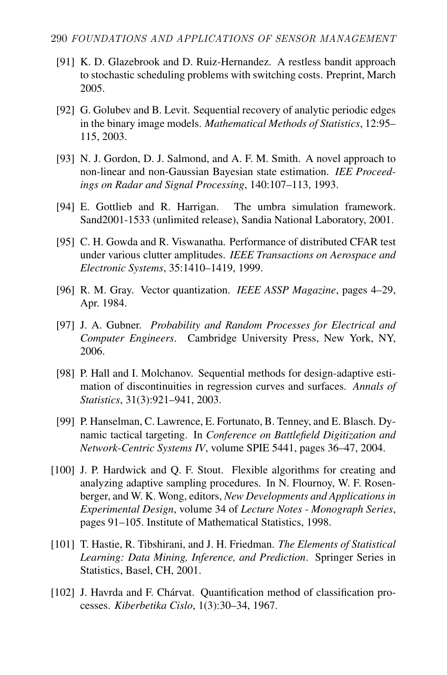- [91] K. D. Glazebrook and D. Ruiz-Hernandez. A restless bandit approach to stochastic scheduling problems with switching costs. Preprint, March 2005.
- [92] G. Golubev and B. Levit. Sequential recovery of analytic periodic edges in the binary image models. *Mathematical Methods of Statistics*, 12:95– 115, 2003.
- [93] N. J. Gordon, D. J. Salmond, and A. F. M. Smith. A novel approach to non-linear and non-Gaussian Bayesian state estimation. *IEE Proceedings on Radar and Signal Processing*, 140:107–113, 1993.
- [94] E. Gottlieb and R. Harrigan. The umbra simulation framework. Sand2001-1533 (unlimited release), Sandia National Laboratory, 2001.
- [95] C. H. Gowda and R. Viswanatha. Performance of distributed CFAR test under various clutter amplitudes. *IEEE Transactions on Aerospace and Electronic Systems*, 35:1410–1419, 1999.
- [96] R. M. Gray. Vector quantization. *IEEE ASSP Magazine*, pages 4–29, Apr. 1984.
- [97] J. A. Gubner. *Probability and Random Processes for Electrical and Computer Engineers*. Cambridge University Press, New York, NY, 2006.
- [98] P. Hall and I. Molchanov. Sequential methods for design-adaptive estimation of discontinuities in regression curves and surfaces. *Annals of Statistics*, 31(3):921–941, 2003.
- [99] P. Hanselman, C. Lawrence, E. Fortunato, B. Tenney, and E. Blasch. Dynamic tactical targeting. In *Conference on Battlefield Digitization and Network-Centric Systems IV*, volume SPIE 5441, pages 36–47, 2004.
- [100] J. P. Hardwick and Q. F. Stout. Flexible algorithms for creating and analyzing adaptive sampling procedures. In N. Flournoy, W. F. Rosenberger, and W. K. Wong, editors, *New Developments and Applications in Experimental Design*, volume 34 of *Lecture Notes - Monograph Series*, pages 91–105. Institute of Mathematical Statistics, 1998.
- [101] T. Hastie, R. Tibshirani, and J. H. Friedman. *The Elements of Statistical Learning: Data Mining, Inference, and Prediction*. Springer Series in Statistics, Basel, CH, 2001.
- [102] J. Havrda and F. Charvat. Quantification method of classification processes. *Kiberbetika Cislo*, 1(3):30–34, 1967.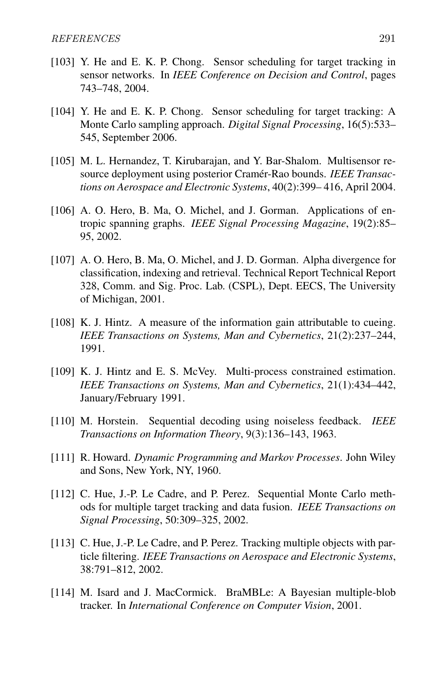- [103] Y. He and E. K. P. Chong. Sensor scheduling for target tracking in sensor networks. In *IEEE Conference on Decision and Control*, pages 743–748, 2004.
- [104] Y. He and E. K. P. Chong. Sensor scheduling for target tracking: A Monte Carlo sampling approach. *Digital Signal Processing*, 16(5):533– 545, September 2006.
- [105] M. L. Hernandez, T. Kirubarajan, and Y. Bar-Shalom. Multisensor resource deployment using posterior Cramér-Rao bounds. *IEEE Transactions on Aerospace and Electronic Systems*, 40(2):399– 416, April 2004.
- [106] A. O. Hero, B. Ma, O. Michel, and J. Gorman. Applications of entropic spanning graphs. *IEEE Signal Processing Magazine*, 19(2):85– 95, 2002.
- [107] A. O. Hero, B. Ma, O. Michel, and J. D. Gorman. Alpha divergence for classification, indexing and retrieval. Technical Report Technical Report 328, Comm. and Sig. Proc. Lab. (CSPL), Dept. EECS, The University of Michigan, 2001.
- [108] K. J. Hintz. A measure of the information gain attributable to cueing. *IEEE Transactions on Systems, Man and Cybernetics*, 21(2):237–244, 1991.
- [109] K. J. Hintz and E. S. McVey. Multi-process constrained estimation. *IEEE Transactions on Systems, Man and Cybernetics*, 21(1):434–442, January/February 1991.
- [110] M. Horstein. Sequential decoding using noiseless feedback. *IEEE Transactions on Information Theory*, 9(3):136–143, 1963.
- [111] R. Howard. *Dynamic Programming and Markov Processes*. John Wiley and Sons, New York, NY, 1960.
- [112] C. Hue, J.-P. Le Cadre, and P. Perez. Sequential Monte Carlo methods for multiple target tracking and data fusion. *IEEE Transactions on Signal Processing*, 50:309–325, 2002.
- [113] C. Hue, J.-P. Le Cadre, and P. Perez. Tracking multiple objects with particle filtering. *IEEE Transactions on Aerospace and Electronic Systems*, 38:791–812, 2002.
- [114] M. Isard and J. MacCormick. BraMBLe: A Bayesian multiple-blob tracker. In *International Conference on Computer Vision*, 2001.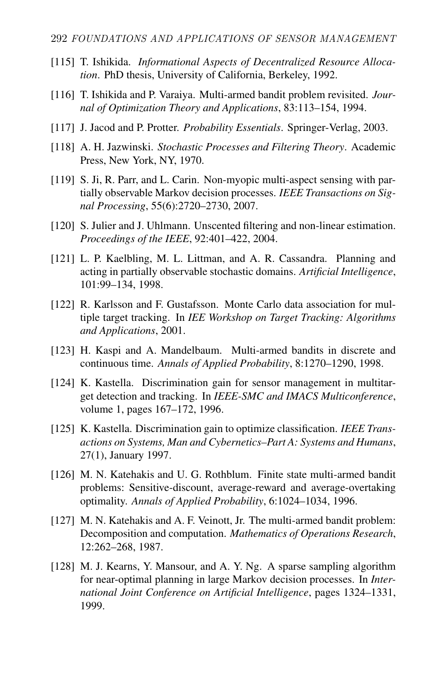- [115] T. Ishikida. *Informational Aspects of Decentralized Resource Allocation*. PhD thesis, University of California, Berkeley, 1992.
- [116] T. Ishikida and P. Varaiya. Multi-armed bandit problem revisited. *Journal of Optimization Theory and Applications*, 83:113–154, 1994.
- [117] J. Jacod and P. Protter. *Probability Essentials*. Springer-Verlag, 2003.
- [118] A. H. Jazwinski. *Stochastic Processes and Filtering Theory*. Academic Press, New York, NY, 1970.
- [119] S. Ji, R. Parr, and L. Carin. Non-myopic multi-aspect sensing with partially observable Markov decision processes. *IEEE Transactions on Signal Processing*, 55(6):2720–2730, 2007.
- [120] S. Julier and J. Uhlmann. Unscented filtering and non-linear estimation. *Proceedings of the IEEE*, 92:401–422, 2004.
- [121] L. P. Kaelbling, M. L. Littman, and A. R. Cassandra. Planning and acting in partially observable stochastic domains. *Artificial Intelligence*, 101:99–134, 1998.
- [122] R. Karlsson and F. Gustafsson. Monte Carlo data association for multiple target tracking. In *IEE Workshop on Target Tracking: Algorithms and Applications*, 2001.
- [123] H. Kaspi and A. Mandelbaum. Multi-armed bandits in discrete and continuous time. *Annals of Applied Probability*, 8:1270–1290, 1998.
- [124] K. Kastella. Discrimination gain for sensor management in multitarget detection and tracking. In *IEEE-SMC and IMACS Multiconference*, volume 1, pages 167–172, 1996.
- [125] K. Kastella. Discrimination gain to optimize classification. *IEEE Transactions on Systems, Man and Cybernetics–Part A: Systems and Humans*, 27(1), January 1997.
- [126] M. N. Katehakis and U. G. Rothblum. Finite state multi-armed bandit problems: Sensitive-discount, average-reward and average-overtaking optimality. *Annals of Applied Probability*, 6:1024–1034, 1996.
- [127] M. N. Katehakis and A. F. Veinott, Jr. The multi-armed bandit problem: Decomposition and computation. *Mathematics of Operations Research*, 12:262–268, 1987.
- [128] M. J. Kearns, Y. Mansour, and A. Y. Ng. A sparse sampling algorithm for near-optimal planning in large Markov decision processes. In *International Joint Conference on Artificial Intelligence*, pages 1324–1331, 1999.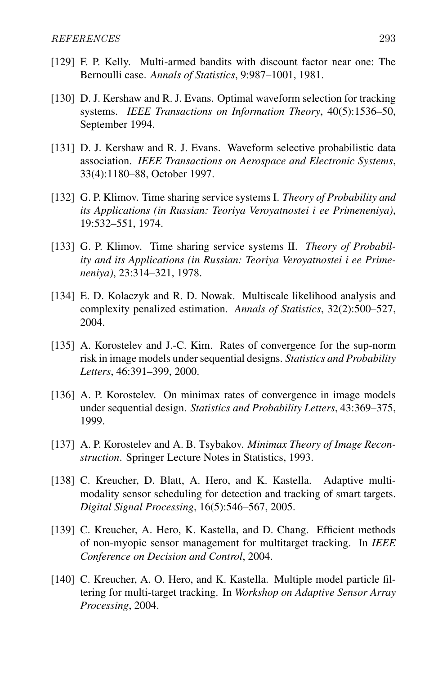- [129] F. P. Kelly. Multi-armed bandits with discount factor near one: The Bernoulli case. *Annals of Statistics*, 9:987–1001, 1981.
- [130] D. J. Kershaw and R. J. Evans. Optimal waveform selection for tracking systems. *IEEE Transactions on Information Theory*, 40(5):1536–50, September 1994.
- [131] D. J. Kershaw and R. J. Evans. Waveform selective probabilistic data association. *IEEE Transactions on Aerospace and Electronic Systems*, 33(4):1180–88, October 1997.
- [132] G. P. Klimov. Time sharing service systems I. *Theory of Probability and its Applications (in Russian: Teoriya Veroyatnostei i ee Primeneniya)*, 19:532–551, 1974.
- [133] G. P. Klimov. Time sharing service systems II. *Theory of Probability and its Applications (in Russian: Teoriya Veroyatnostei i ee Primeneniya)*, 23:314–321, 1978.
- [134] E. D. Kolaczyk and R. D. Nowak. Multiscale likelihood analysis and complexity penalized estimation. *Annals of Statistics*, 32(2):500–527, 2004.
- [135] A. Korostelev and J.-C. Kim. Rates of convergence for the sup-norm risk in image models under sequential designs. *Statistics and Probability Letters*, 46:391–399, 2000.
- [136] A. P. Korostelev. On minimax rates of convergence in image models under sequential design. *Statistics and Probability Letters*, 43:369–375, 1999.
- [137] A. P. Korostelev and A. B. Tsybakov. *Minimax Theory of Image Reconstruction*. Springer Lecture Notes in Statistics, 1993.
- [138] C. Kreucher, D. Blatt, A. Hero, and K. Kastella. Adaptive multimodality sensor scheduling for detection and tracking of smart targets. *Digital Signal Processing*, 16(5):546–567, 2005.
- [139] C. Kreucher, A. Hero, K. Kastella, and D. Chang. Efficient methods of non-myopic sensor management for multitarget tracking. In *IEEE Conference on Decision and Control*, 2004.
- [140] C. Kreucher, A. O. Hero, and K. Kastella. Multiple model particle filtering for multi-target tracking. In *Workshop on Adaptive Sensor Array Processing*, 2004.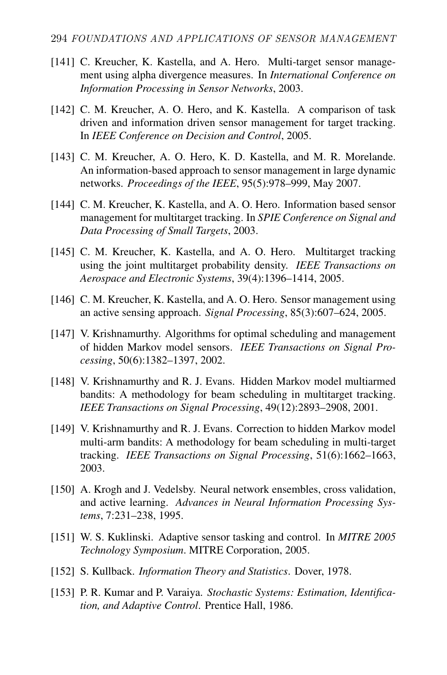- [141] C. Kreucher, K. Kastella, and A. Hero. Multi-target sensor management using alpha divergence measures. In *International Conference on Information Processing in Sensor Networks*, 2003.
- [142] C. M. Kreucher, A. O. Hero, and K. Kastella. A comparison of task driven and information driven sensor management for target tracking. In *IEEE Conference on Decision and Control*, 2005.
- [143] C. M. Kreucher, A. O. Hero, K. D. Kastella, and M. R. Morelande. An information-based approach to sensor management in large dynamic networks. *Proceedings of the IEEE*, 95(5):978–999, May 2007.
- [144] C. M. Kreucher, K. Kastella, and A. O. Hero. Information based sensor management for multitarget tracking. In *SPIE Conference on Signal and Data Processing of Small Targets*, 2003.
- [145] C. M. Kreucher, K. Kastella, and A. O. Hero. Multitarget tracking using the joint multitarget probability density. *IEEE Transactions on Aerospace and Electronic Systems*, 39(4):1396–1414, 2005.
- [146] C. M. Kreucher, K. Kastella, and A. O. Hero. Sensor management using an active sensing approach. *Signal Processing*, 85(3):607–624, 2005.
- [147] V. Krishnamurthy. Algorithms for optimal scheduling and management of hidden Markov model sensors. *IEEE Transactions on Signal Processing*, 50(6):1382–1397, 2002.
- [148] V. Krishnamurthy and R. J. Evans. Hidden Markov model multiarmed bandits: A methodology for beam scheduling in multitarget tracking. *IEEE Transactions on Signal Processing*, 49(12):2893–2908, 2001.
- [149] V. Krishnamurthy and R. J. Evans. Correction to hidden Markov model multi-arm bandits: A methodology for beam scheduling in multi-target tracking. *IEEE Transactions on Signal Processing*, 51(6):1662–1663, 2003.
- [150] A. Krogh and J. Vedelsby. Neural network ensembles, cross validation, and active learning. *Advances in Neural Information Processing Systems*, 7:231–238, 1995.
- [151] W. S. Kuklinski. Adaptive sensor tasking and control. In *MITRE 2005 Technology Symposium*. MITRE Corporation, 2005.
- [152] S. Kullback. *Information Theory and Statistics*. Dover, 1978.
- [153] P. R. Kumar and P. Varaiya. *Stochastic Systems: Estimation, Identification, and Adaptive Control*. Prentice Hall, 1986.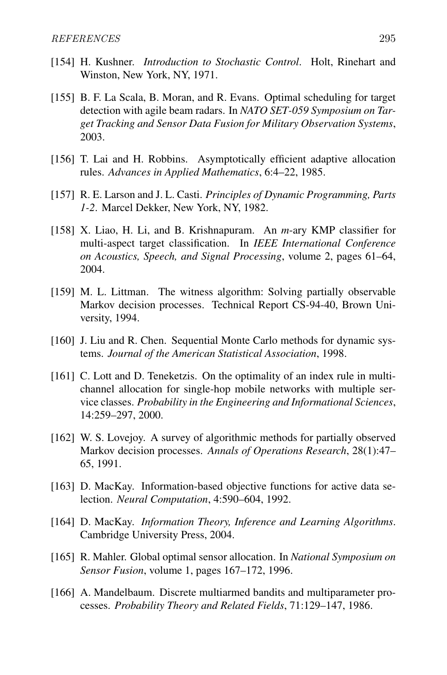- [154] H. Kushner. *Introduction to Stochastic Control*. Holt, Rinehart and Winston, New York, NY, 1971.
- [155] B. F. La Scala, B. Moran, and R. Evans. Optimal scheduling for target detection with agile beam radars. In *NATO SET-059 Symposium on Target Tracking and Sensor Data Fusion for Military Observation Systems*, 2003.
- [156] T. Lai and H. Robbins. Asymptotically efficient adaptive allocation rules. *Advances in Applied Mathematics*, 6:4–22, 1985.
- [157] R. E. Larson and J. L. Casti. *Principles of Dynamic Programming, Parts 1-2*. Marcel Dekker, New York, NY, 1982.
- [158] X. Liao, H. Li, and B. Krishnapuram. An *m*-ary KMP classifier for multi-aspect target classification. In *IEEE International Conference on Acoustics, Speech, and Signal Processing*, volume 2, pages 61–64, 2004.
- [159] M. L. Littman. The witness algorithm: Solving partially observable Markov decision processes. Technical Report CS-94-40, Brown University, 1994.
- [160] J. Liu and R. Chen. Sequential Monte Carlo methods for dynamic systems. *Journal of the American Statistical Association*, 1998.
- [161] C. Lott and D. Teneketzis. On the optimality of an index rule in multichannel allocation for single-hop mobile networks with multiple service classes. *Probability in the Engineering and Informational Sciences*, 14:259–297, 2000.
- [162] W. S. Lovejoy. A survey of algorithmic methods for partially observed Markov decision processes. *Annals of Operations Research*, 28(1):47– 65, 1991.
- [163] D. MacKay. Information-based objective functions for active data selection. *Neural Computation*, 4:590–604, 1992.
- [164] D. MacKay. *Information Theory, Inference and Learning Algorithms*. Cambridge University Press, 2004.
- [165] R. Mahler. Global optimal sensor allocation. In *National Symposium on Sensor Fusion*, volume 1, pages 167–172, 1996.
- [166] A. Mandelbaum. Discrete multiarmed bandits and multiparameter processes. *Probability Theory and Related Fields*, 71:129–147, 1986.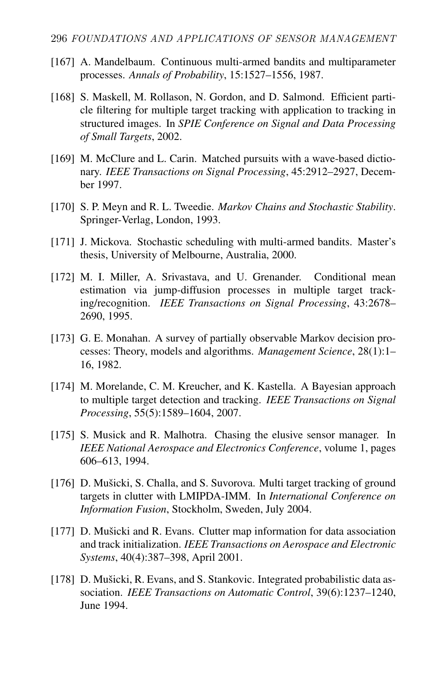- [167] A. Mandelbaum. Continuous multi-armed bandits and multiparameter processes. *Annals of Probability*, 15:1527–1556, 1987.
- [168] S. Maskell, M. Rollason, N. Gordon, and D. Salmond. Efficient particle filtering for multiple target tracking with application to tracking in structured images. In *SPIE Conference on Signal and Data Processing of Small Targets*, 2002.
- [169] M. McClure and L. Carin. Matched pursuits with a wave-based dictionary. *IEEE Transactions on Signal Processing*, 45:2912–2927, December 1997.
- [170] S. P. Meyn and R. L. Tweedie. *Markov Chains and Stochastic Stability*. Springer-Verlag, London, 1993.
- [171] J. Mickova. Stochastic scheduling with multi-armed bandits. Master's thesis, University of Melbourne, Australia, 2000.
- [172] M. I. Miller, A. Srivastava, and U. Grenander. Conditional mean estimation via jump-diffusion processes in multiple target tracking/recognition. *IEEE Transactions on Signal Processing*, 43:2678– 2690, 1995.
- [173] G. E. Monahan. A survey of partially observable Markov decision processes: Theory, models and algorithms. *Management Science*, 28(1):1– 16, 1982.
- [174] M. Morelande, C. M. Kreucher, and K. Kastella. A Bayesian approach to multiple target detection and tracking. *IEEE Transactions on Signal Processing*, 55(5):1589–1604, 2007.
- [175] S. Musick and R. Malhotra. Chasing the elusive sensor manager. In *IEEE National Aerospace and Electronics Conference*, volume 1, pages 606–613, 1994.
- [176] D. Mušicki, S. Challa, and S. Suvorova. Multi target tracking of ground targets in clutter with LMIPDA-IMM. In *International Conference on Information Fusion*, Stockholm, Sweden, July 2004.
- $[177]$  D. Musicki and R. Evans. Clutter map information for data association and track initialization. *IEEE Transactions on Aerospace and Electronic Systems*, 40(4):387–398, April 2001.
- [178] D. Mušicki, R. Evans, and S. Stankovic. Integrated probabilistic data association. *IEEE Transactions on Automatic Control*, 39(6):1237–1240, June 1994.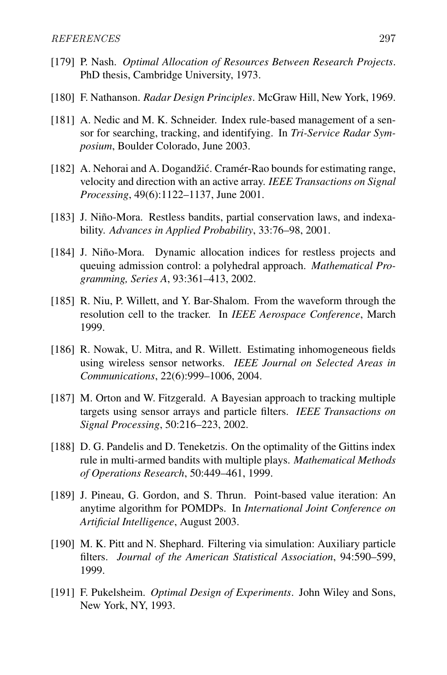- [179] P. Nash. *Optimal Allocation of Resources Between Research Projects*. PhD thesis, Cambridge University, 1973.
- [180] F. Nathanson. *Radar Design Principles*. McGraw Hill, New York, 1969.
- [181] A. Nedic and M. K. Schneider. Index rule-based management of a sensor for searching, tracking, and identifying. In *Tri-Service Radar Symposium*, Boulder Colorado, June 2003.
- [182] A. Nehorai and A. Dogandžić. Cramer-Rao bounds for estimating range, velocity and direction with an active array. *IEEE Transactions on Signal Processing*, 49(6):1122–1137, June 2001.
- [183] J. Niño-Mora. Restless bandits, partial conservation laws, and indexability. *Advances in Applied Probability*, 33:76–98, 2001.
- [184] J. Niño-Mora. Dynamic allocation indices for restless projects and queuing admission control: a polyhedral approach. *Mathematical Programming, Series A*, 93:361–413, 2002.
- [185] R. Niu, P. Willett, and Y. Bar-Shalom. From the waveform through the resolution cell to the tracker. In *IEEE Aerospace Conference*, March 1999.
- [186] R. Nowak, U. Mitra, and R. Willett. Estimating inhomogeneous fields using wireless sensor networks. *IEEE Journal on Selected Areas in Communications*, 22(6):999–1006, 2004.
- [187] M. Orton and W. Fitzgerald. A Bayesian approach to tracking multiple targets using sensor arrays and particle filters. *IEEE Transactions on Signal Processing*, 50:216–223, 2002.
- [188] D. G. Pandelis and D. Teneketzis. On the optimality of the Gittins index rule in multi-armed bandits with multiple plays. *Mathematical Methods of Operations Research*, 50:449–461, 1999.
- [189] J. Pineau, G. Gordon, and S. Thrun. Point-based value iteration: An anytime algorithm for POMDPs. In *International Joint Conference on Artificial Intelligence*, August 2003.
- [190] M. K. Pitt and N. Shephard. Filtering via simulation: Auxiliary particle filters. *Journal of the American Statistical Association*, 94:590–599, 1999.
- [191] F. Pukelsheim. *Optimal Design of Experiments*. John Wiley and Sons, New York, NY, 1993.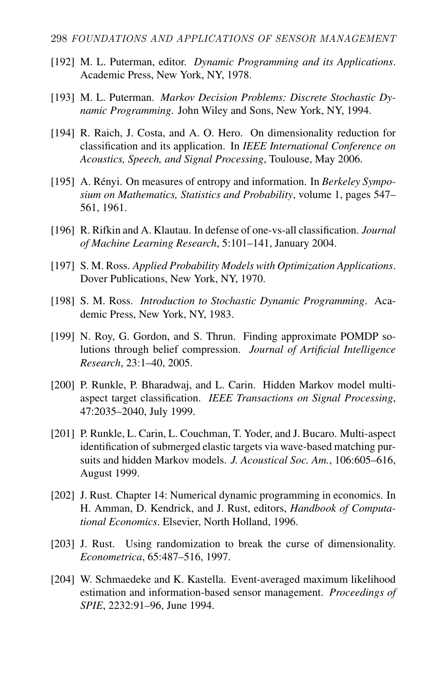- [192] M. L. Puterman, editor. *Dynamic Programming and its Applications*. Academic Press, New York, NY, 1978.
- [193] M. L. Puterman. *Markov Decision Problems: Discrete Stochastic Dynamic Programming*. John Wiley and Sons, New York, NY, 1994.
- [194] R. Raich, J. Costa, and A. O. Hero. On dimensionality reduction for classification and its application. In *IEEE International Conference on Acoustics, Speech, and Signal Processing*, Toulouse, May 2006.
- [195] A. Rényi. On measures of entropy and information. In *Berkeley Symposium on Mathematics, Statistics and Probability*, volume 1, pages 547– 561, 1961.
- [196] R. Rifkin and A. Klautau. In defense of one-vs-all classification. *Journal of Machine Learning Research*, 5:101–141, January 2004.
- [197] S. M. Ross. *Applied Probability Models with Optimization Applications*. Dover Publications, New York, NY, 1970.
- [198] S. M. Ross. *Introduction to Stochastic Dynamic Programming*. Academic Press, New York, NY, 1983.
- [199] N. Roy, G. Gordon, and S. Thrun. Finding approximate POMDP solutions through belief compression. *Journal of Artificial Intelligence Research*, 23:1–40, 2005.
- [200] P. Runkle, P. Bharadwaj, and L. Carin. Hidden Markov model multiaspect target classification. *IEEE Transactions on Signal Processing*, 47:2035–2040, July 1999.
- [201] P. Runkle, L. Carin, L. Couchman, T. Yoder, and J. Bucaro. Multi-aspect identification of submerged elastic targets via wave-based matching pursuits and hidden Markov models. *J. Acoustical Soc. Am.*, 106:605–616, August 1999.
- [202] J. Rust. Chapter 14: Numerical dynamic programming in economics. In H. Amman, D. Kendrick, and J. Rust, editors, *Handbook of Computational Economics*. Elsevier, North Holland, 1996.
- [203] J. Rust. Using randomization to break the curse of dimensionality. *Econometrica*, 65:487–516, 1997.
- [204] W. Schmaedeke and K. Kastella. Event-averaged maximum likelihood estimation and information-based sensor management. *Proceedings of SPIE*, 2232:91–96, June 1994.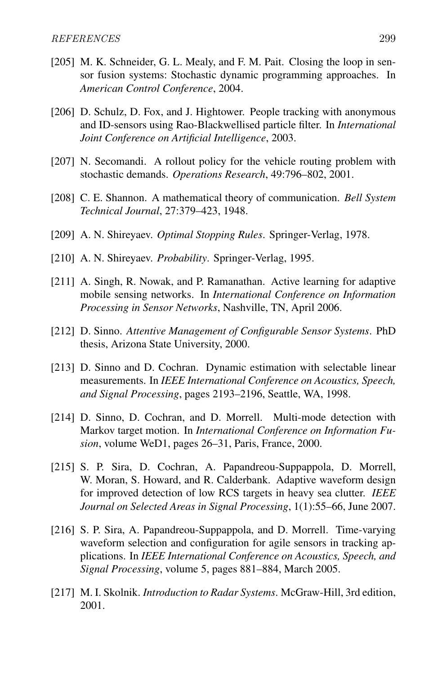- [205] M. K. Schneider, G. L. Mealy, and F. M. Pait. Closing the loop in sensor fusion systems: Stochastic dynamic programming approaches. In *American Control Conference*, 2004.
- [206] D. Schulz, D. Fox, and J. Hightower. People tracking with anonymous and ID-sensors using Rao-Blackwellised particle filter. In *International Joint Conference on Artificial Intelligence*, 2003.
- [207] N. Secomandi. A rollout policy for the vehicle routing problem with stochastic demands. *Operations Research*, 49:796–802, 2001.
- [208] C. E. Shannon. A mathematical theory of communication. *Bell System Technical Journal*, 27:379–423, 1948.
- [209] A. N. Shireyaev. *Optimal Stopping Rules*. Springer-Verlag, 1978.
- [210] A. N. Shireyaev. *Probability*. Springer-Verlag, 1995.
- [211] A. Singh, R. Nowak, and P. Ramanathan. Active learning for adaptive mobile sensing networks. In *International Conference on Information Processing in Sensor Networks*, Nashville, TN, April 2006.
- [212] D. Sinno. *Attentive Management of Configurable Sensor Systems*. PhD thesis, Arizona State University, 2000.
- [213] D. Sinno and D. Cochran. Dynamic estimation with selectable linear measurements. In *IEEE International Conference on Acoustics, Speech, and Signal Processing*, pages 2193–2196, Seattle, WA, 1998.
- [214] D. Sinno, D. Cochran, and D. Morrell. Multi-mode detection with Markov target motion. In *International Conference on Information Fusion*, volume WeD1, pages 26–31, Paris, France, 2000.
- [215] S. P. Sira, D. Cochran, A. Papandreou-Suppappola, D. Morrell, W. Moran, S. Howard, and R. Calderbank. Adaptive waveform design for improved detection of low RCS targets in heavy sea clutter. *IEEE Journal on Selected Areas in Signal Processing*, 1(1):55–66, June 2007.
- [216] S. P. Sira, A. Papandreou-Suppappola, and D. Morrell. Time-varying waveform selection and configuration for agile sensors in tracking applications. In *IEEE International Conference on Acoustics, Speech, and Signal Processing*, volume 5, pages 881–884, March 2005.
- [217] M. I. Skolnik. *Introduction to Radar Systems*. McGraw-Hill, 3rd edition, 2001.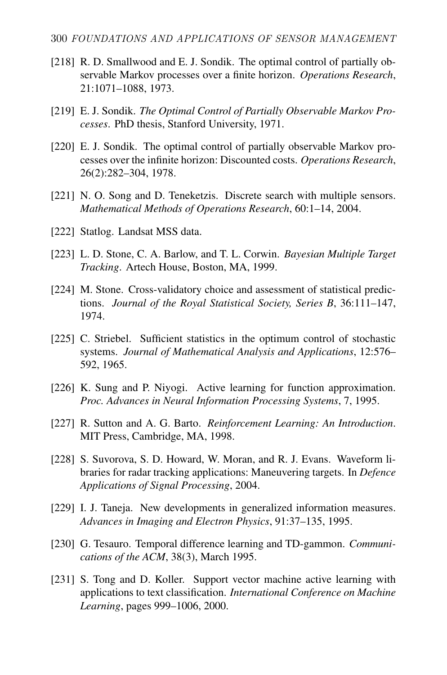- [218] R. D. Smallwood and E. J. Sondik. The optimal control of partially observable Markov processes over a finite horizon. *Operations Research*, 21:1071–1088, 1973.
- [219] E. J. Sondik. *The Optimal Control of Partially Observable Markov Processes*. PhD thesis, Stanford University, 1971.
- [220] E. J. Sondik. The optimal control of partially observable Markov processes over the infinite horizon: Discounted costs. *Operations Research*, 26(2):282–304, 1978.
- [221] N. O. Song and D. Teneketzis. Discrete search with multiple sensors. *Mathematical Methods of Operations Research*, 60:1–14, 2004.
- [222] Statlog. Landsat MSS data.
- [223] L. D. Stone, C. A. Barlow, and T. L. Corwin. *Bayesian Multiple Target Tracking*. Artech House, Boston, MA, 1999.
- [224] M. Stone. Cross-validatory choice and assessment of statistical predictions. *Journal of the Royal Statistical Society, Series B*, 36:111–147, 1974.
- [225] C. Striebel. Sufficient statistics in the optimum control of stochastic systems. *Journal of Mathematical Analysis and Applications*, 12:576– 592, 1965.
- [226] K. Sung and P. Niyogi. Active learning for function approximation. *Proc. Advances in Neural Information Processing Systems*, 7, 1995.
- [227] R. Sutton and A. G. Barto. *Reinforcement Learning: An Introduction*. MIT Press, Cambridge, MA, 1998.
- [228] S. Suvorova, S. D. Howard, W. Moran, and R. J. Evans. Waveform libraries for radar tracking applications: Maneuvering targets. In *Defence Applications of Signal Processing*, 2004.
- [229] I. J. Taneja. New developments in generalized information measures. *Advances in Imaging and Electron Physics*, 91:37–135, 1995.
- [230] G. Tesauro. Temporal difference learning and TD-gammon. *Communications of the ACM*, 38(3), March 1995.
- [231] S. Tong and D. Koller. Support vector machine active learning with applications to text classification. *International Conference on Machine Learning*, pages 999–1006, 2000.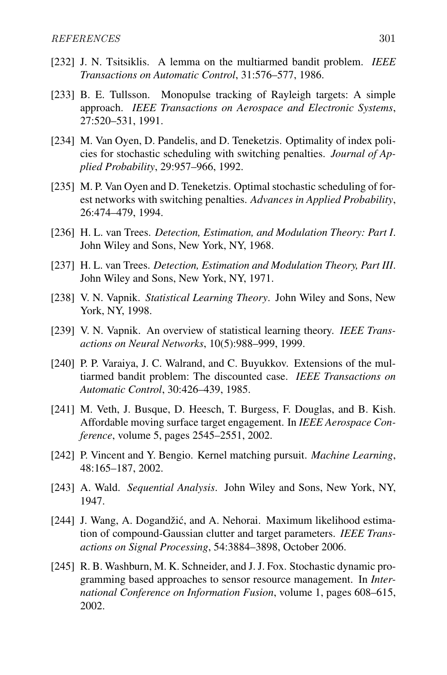- [232] J. N. Tsitsiklis. A lemma on the multiarmed bandit problem. *IEEE Transactions on Automatic Control*, 31:576–577, 1986.
- [233] B. E. Tullsson. Monopulse tracking of Rayleigh targets: A simple approach. *IEEE Transactions on Aerospace and Electronic Systems*, 27:520–531, 1991.
- [234] M. Van Oyen, D. Pandelis, and D. Teneketzis. Optimality of index policies for stochastic scheduling with switching penalties. *Journal of Applied Probability*, 29:957–966, 1992.
- [235] M. P. Van Oyen and D. Teneketzis. Optimal stochastic scheduling of forest networks with switching penalties. *Advances in Applied Probability*, 26:474–479, 1994.
- [236] H. L. van Trees. *Detection, Estimation, and Modulation Theory: Part I*. John Wiley and Sons, New York, NY, 1968.
- [237] H. L. van Trees. *Detection, Estimation and Modulation Theory, Part III*. John Wiley and Sons, New York, NY, 1971.
- [238] V. N. Vapnik. *Statistical Learning Theory*. John Wiley and Sons, New York, NY, 1998.
- [239] V. N. Vapnik. An overview of statistical learning theory. *IEEE Transactions on Neural Networks*, 10(5):988–999, 1999.
- [240] P. P. Varaiya, J. C. Walrand, and C. Buyukkov. Extensions of the multiarmed bandit problem: The discounted case. *IEEE Transactions on Automatic Control*, 30:426–439, 1985.
- [241] M. Veth, J. Busque, D. Heesch, T. Burgess, F. Douglas, and B. Kish. Affordable moving surface target engagement. In *IEEE Aerospace Conference*, volume 5, pages 2545–2551, 2002.
- [242] P. Vincent and Y. Bengio. Kernel matching pursuit. *Machine Learning*, 48:165–187, 2002.
- [243] A. Wald. *Sequential Analysis*. John Wiley and Sons, New York, NY, 1947.
- [244] J. Wang, A. Dogandžić, and A. Nehorai. Maximum likelihood estimation of compound-Gaussian clutter and target parameters. *IEEE Transactions on Signal Processing*, 54:3884–3898, October 2006.
- [245] R. B. Washburn, M. K. Schneider, and J. J. Fox. Stochastic dynamic programming based approaches to sensor resource management. In *International Conference on Information Fusion*, volume 1, pages 608–615, 2002.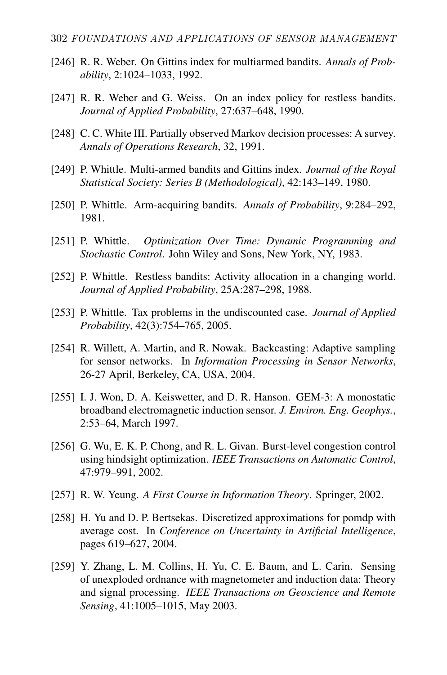- [246] R. R. Weber. On Gittins index for multiarmed bandits. *Annals of Probability*, 2:1024–1033, 1992.
- [247] R. R. Weber and G. Weiss. On an index policy for restless bandits. *Journal of Applied Probability*, 27:637–648, 1990.
- [248] C. C. White III. Partially observed Markov decision processes: A survey. *Annals of Operations Research*, 32, 1991.
- [249] P. Whittle. Multi-armed bandits and Gittins index. *Journal of the Royal Statistical Society: Series B (Methodological)*, 42:143–149, 1980.
- [250] P. Whittle. Arm-acquiring bandits. *Annals of Probability*, 9:284–292, 1981.
- [251] P. Whittle. *Optimization Over Time: Dynamic Programming and Stochastic Control*. John Wiley and Sons, New York, NY, 1983.
- [252] P. Whittle. Restless bandits: Activity allocation in a changing world. *Journal of Applied Probability*, 25A:287–298, 1988.
- [253] P. Whittle. Tax problems in the undiscounted case. *Journal of Applied Probability*, 42(3):754–765, 2005.
- [254] R. Willett, A. Martin, and R. Nowak. Backcasting: Adaptive sampling for sensor networks. In *Information Processing in Sensor Networks*, 26-27 April, Berkeley, CA, USA, 2004.
- [255] I. J. Won, D. A. Keiswetter, and D. R. Hanson. GEM-3: A monostatic broadband electromagnetic induction sensor. *J. Environ. Eng. Geophys.*, 2:53–64, March 1997.
- [256] G. Wu, E. K. P. Chong, and R. L. Givan. Burst-level congestion control using hindsight optimization. *IEEE Transactions on Automatic Control*, 47:979–991, 2002.
- [257] R. W. Yeung. *A First Course in Information Theory*. Springer, 2002.
- [258] H. Yu and D. P. Bertsekas. Discretized approximations for pomdp with average cost. In *Conference on Uncertainty in Artificial Intelligence*, pages 619–627, 2004.
- [259] Y. Zhang, L. M. Collins, H. Yu, C. E. Baum, and L. Carin. Sensing of unexploded ordnance with magnetometer and induction data: Theory and signal processing. *IEEE Transactions on Geoscience and Remote Sensing*, 41:1005–1015, May 2003.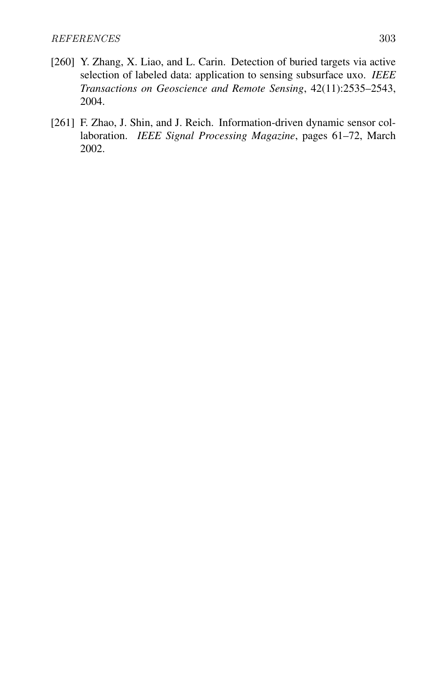- [260] Y. Zhang, X. Liao, and L. Carin. Detection of buried targets via active selection of labeled data: application to sensing subsurface uxo. *IEEE Transactions on Geoscience and Remote Sensing*, 42(11):2535–2543, 2004.
- [261] F. Zhao, J. Shin, and J. Reich. Information-driven dynamic sensor collaboration. *IEEE Signal Processing Magazine*, pages 61–72, March 2002.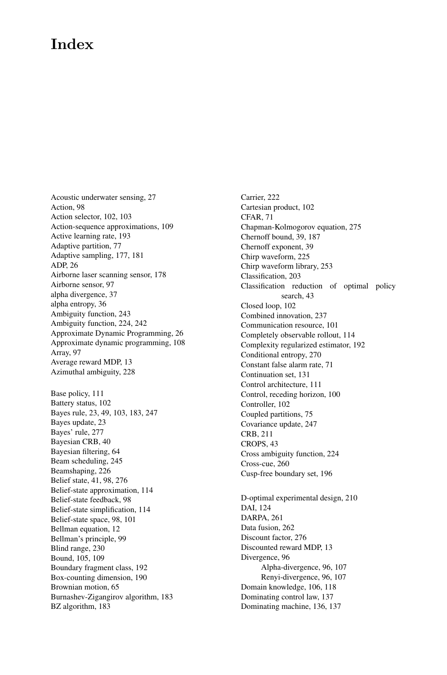# Index

Acoustic underwater sensing, 27 Action, 98 Action selector, 102, 103 Action-sequence approximations, 109 Active learning rate, 193 Adaptive partition, 77 Adaptive sampling, 177, 181 ADP, 26 Airborne laser scanning sensor, 178 Airborne sensor, 97 alpha divergence, 37 alpha entropy, 36 Ambiguity function, 243 Ambiguity function, 224, 242 Approximate Dynamic Programming, 26 Approximate dynamic programming, 108 Array, 97 Average reward MDP, 13 Azimuthal ambiguity, 228 Base policy, 111 Battery status, 102 Bayes rule, 23, 49, 103, 183, 247 Bayes update, 23 Bayes' rule, 277 Bayesian CRB, 40 Bayesian filtering, 64 Beam scheduling, 245 Beamshaping, 226 Belief state, 41, 98, 276 Belief-state approximation, 114 Belief-state feedback, 98 Belief-state simplification, 114 Belief-state space, 98, 101 Bellman equation, 12 Bellman's principle, 99 Blind range, 230 Bound, 105, 109 Boundary fragment class, 192 Box-counting dimension, 190 Brownian motion, 65 Burnashev-Zigangirov algorithm, 183 BZ algorithm, 183

Carrier, 222 Cartesian product, 102 CFAR, 71 Chapman-Kolmogorov equation, 275 Chernoff bound, 39, 187 Chernoff exponent, 39 Chirp waveform, 225 Chirp waveform library, 253 Classification, 203 Classification reduction of optimal policy search, 43 Closed loop, 102 Combined innovation, 237 Communication resource, 101 Completely observable rollout, 114 Complexity regularized estimator, 192 Conditional entropy, 270 Constant false alarm rate, 71 Continuation set, 131 Control architecture, 111 Control, receding horizon, 100 Controller, 102 Coupled partitions, 75 Covariance update, 247 CRB, 211 CROPS, 43 Cross ambiguity function, 224 Cross-cue, 260 Cusp-free boundary set, 196 D-optimal experimental design, 210 DAI, 124 DARPA, 261 Data fusion, 262 Discount factor, 276 Discounted reward MDP, 13 Divergence, 96 Alpha-divergence, 96, 107 Renyi-divergence, 96, 107 Domain knowledge, 106, 118 Dominating control law, 137 Dominating machine, 136, 137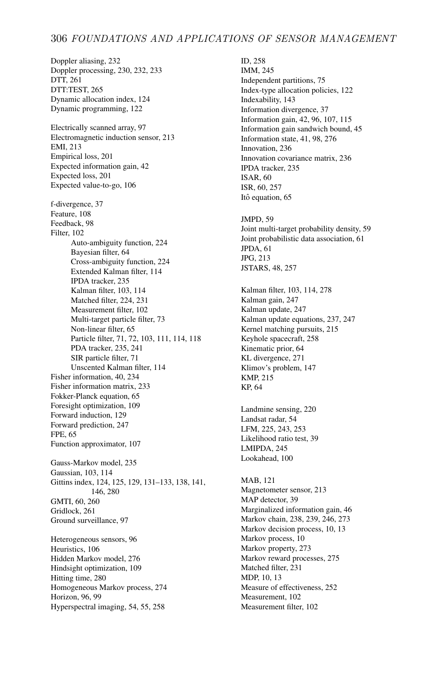Doppler aliasing, 232 Doppler processing, 230, 232, 233 DTT, 261 DTT:TEST, 265 Dynamic allocation index, 124 Dynamic programming, 122 Electrically scanned array, 97 Electromagnetic induction sensor, 213 EMI, 213 Empirical loss, 201 Expected information gain, 42 Expected loss, 201 Expected value-to-go, 106 f-divergence, 37 Feature, 108 Feedback, 98 Filter, 102 Auto-ambiguity function, 224 Bayesian filter, 64 Cross-ambiguity function, 224 Extended Kalman filter, 114 IPDA tracker, 235 Kalman filter, 103, 114 Matched filter, 224, 231 Measurement filter, 102 Multi-target particle filter, 73 Non-linear filter, 65 Particle filter, 71, 72, 103, 111, 114, 118 PDA tracker, 235, 241 SIR particle filter, 71 Unscented Kalman filter, 114 Fisher information, 40, 234 Fisher information matrix, 233 Fokker-Planck equation, 65 Foresight optimization, 109 Forward induction, 129 Forward prediction, 247 FPE, 65 Function approximator, 107 Gauss-Markov model, 235 Gaussian, 103, 114 Gittins index, 124, 125, 129, 131–133, 138, 141, 146, 280 GMTI, 60, 260 Gridlock, 261 Ground surveillance, 97 Heterogeneous sensors, 96 Heuristics, 106 Hidden Markov model, 276 Hindsight optimization, 109 Hitting time, 280 Homogeneous Markov process, 274

Horizon, 96, 99

Hyperspectral imaging, 54, 55, 258

ID, 258 IMM, 245 Independent partitions, 75 Index-type allocation policies, 122 Indexability, 143 Information divergence, 37 Information gain, 42, 96, 107, 115 Information gain sandwich bound, 45 Information state, 41, 98, 276 Innovation, 236 Innovation covariance matrix, 236 IPDA tracker, 235 ISAR, 60 ISR, 60, 257 Itô equation, 65 JMPD, 59 Joint multi-target probability density, 59 Joint probabilistic data association, 61 JPDA, 61 JPG, 213 JSTARS, 48, 257 Kalman filter, 103, 114, 278 Kalman gain, 247 Kalman update, 247 Kalman update equations, 237, 247 Kernel matching pursuits, 215 Keyhole spacecraft, 258 Kinematic prior, 64 KL divergence, 271 Klimov's problem, 147 KMP, 215 KP, 64 Landmine sensing, 220 Landsat radar, 54 LFM, 225, 243, 253 Likelihood ratio test, 39 LMIPDA, 245 Lookahead, 100 MAB, 121 Magnetometer sensor, 213 MAP detector, 39 Marginalized information gain, 46 Markov chain, 238, 239, 246, 273 Markov decision process, 10, 13 Markov process, 10 Markov property, 273 Markov reward processes, 275 Matched filter, 231 MDP, 10, 13 Measure of effectiveness, 252 Measurement, 102 Measurement filter, 102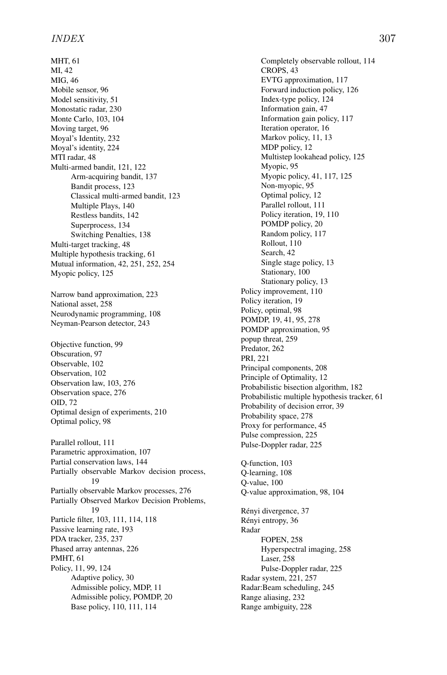MHT, 61 MI, 42 MIG, 46 Mobile sensor, 96 Model sensitivity, 51 Monostatic radar, 230 Monte Carlo, 103, 104 Moving target, 96 Moyal's Identity, 232 Moyal's identity, 224 MTI radar, 48 Multi-armed bandit, 121, 122 Arm-acquiring bandit, 137 Bandit process, 123 Classical multi-armed bandit, 123 Multiple Plays, 140 Restless bandits, 142 Superprocess, 134 Switching Penalties, 138 Multi-target tracking, 48 Multiple hypothesis tracking, 61 Mutual information, 42, 251, 252, 254 Myopic policy, 125

Narrow band approximation, 223 National asset, 258 Neurodynamic programming, 108 Neyman-Pearson detector, 243

Objective function, 99 Obscuration, 97 Observable, 102 Observation, 102 Observation law, 103, 276 Observation space, 276 OID, 72 Optimal design of experiments, 210 Optimal policy, 98

Parallel rollout, 111 Parametric approximation, 107 Partial conservation laws, 144 Partially observable Markov decision process, 19 Partially observable Markov processes, 276 Partially Observed Markov Decision Problems, 19 Particle filter, 103, 111, 114, 118 Passive learning rate, 193 PDA tracker, 235, 237 Phased array antennas, 226 PMHT, 61 Policy, 11, 99, 124 Adaptive policy, 30 Admissible policy, MDP, 11 Admissible policy, POMDP, 20 Base policy, 110, 111, 114

Completely observable rollout, 114 CROPS, 43 EVTG approximation, 117 Forward induction policy, 126 Index-type policy, 124 Information gain, 47 Information gain policy, 117 Iteration operator, 16 Markov policy, 11, 13 MDP policy, 12 Multistep lookahead policy, 125 Myopic, 95 Myopic policy, 41, 117, 125 Non-myopic, 95 Optimal policy, 12 Parallel rollout, 111 Policy iteration, 19, 110 POMDP policy, 20 Random policy, 117 Rollout, 110 Search, 42 Single stage policy, 13 Stationary, 100 Stationary policy, 13 Policy improvement, 110 Policy iteration, 19 Policy, optimal, 98 POMDP, 19, 41, 95, 278 POMDP approximation, 95 popup threat, 259 Predator, 262 PRI, 221 Principal components, 208 Principle of Optimality, 12 Probabilistic bisection algorithm, 182 Probabilistic multiple hypothesis tracker, 61 Probability of decision error, 39 Probability space, 278 Proxy for performance, 45 Pulse compression, 225 Pulse-Doppler radar, 225 Q-function, 103 Q-learning, 108 Q-value, 100 Q-value approximation, 98, 104 Rényi divergence, 37 Rényi entropy, 36 Radar FOPEN, 258 Hyperspectral imaging, 258 Laser, 258

Pulse-Doppler radar, 225

Radar system, 221, 257 Radar:Beam scheduling, 245 Range aliasing, 232 Range ambiguity, 228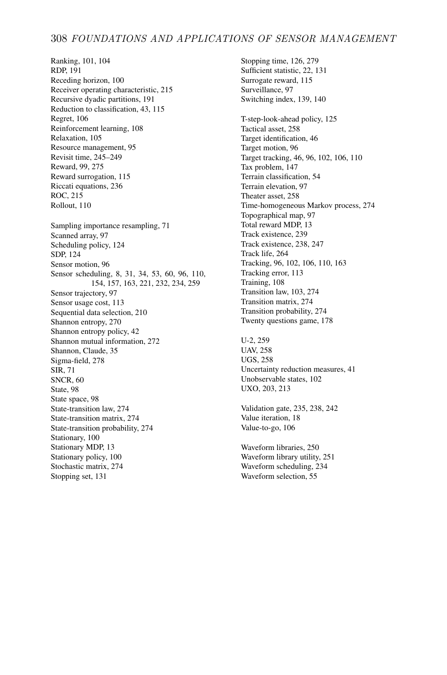Ranking, 101, 104 RDP, 191 Receding horizon, 100 Receiver operating characteristic, 215 Recursive dyadic partitions, 191 Reduction to classification, 43, 115 Regret, 106 Reinforcement learning, 108 Relaxation, 105 Resource management, 95 Revisit time, 245–249 Reward, 99, 275 Reward surrogation, 115 Riccati equations, 236 ROC, 215 Rollout, 110 Sampling importance resampling, 71 Scanned array, 97 Scheduling policy, 124 SDP, 124 Sensor motion, 96 Sensor scheduling, 8, 31, 34, 53, 60, 96, 110, 154, 157, 163, 221, 232, 234, 259 Sensor trajectory, 97 Sensor usage cost, 113 Sequential data selection, 210 Shannon entropy, 270 Shannon entropy policy, 42 Shannon mutual information, 272 Shannon, Claude, 35 Sigma-field, 278 SIR, 71 SNCR, 60 State, 98 State space, 98 State-transition law, 274 State-transition matrix, 274 State-transition probability, 274 Stationary, 100 Stationary MDP, 13 Stationary policy, 100 Stochastic matrix, 274 Stopping set, 131

Stopping time, 126, 279 Sufficient statistic, 22, 131 Surrogate reward, 115 Surveillance, 97 Switching index, 139, 140 T-step-look-ahead policy, 125 Tactical asset, 258 Target identification, 46 Target motion, 96 Target tracking, 46, 96, 102, 106, 110 Tax problem, 147 Terrain classification, 54 Terrain elevation, 97 Theater asset, 258 Time-homogeneous Markov process, 274 Topographical map, 97 Total reward MDP, 13 Track existence, 239 Track existence, 238, 247 Track life, 264 Tracking, 96, 102, 106, 110, 163 Tracking error, 113 Training, 108 Transition law, 103, 274 Transition matrix, 274 Transition probability, 274 Twenty questions game, 178 U-2, 259 UAV, 258 UGS, 258 Uncertainty reduction measures, 41

Unobservable states, 102 UXO, 203, 213

Waveform libraries, 250 Waveform library utility, 251 Waveform scheduling, 234 Waveform selection, 55

Value iteration, 18 Value-to-go, 106

Validation gate, 235, 238, 242